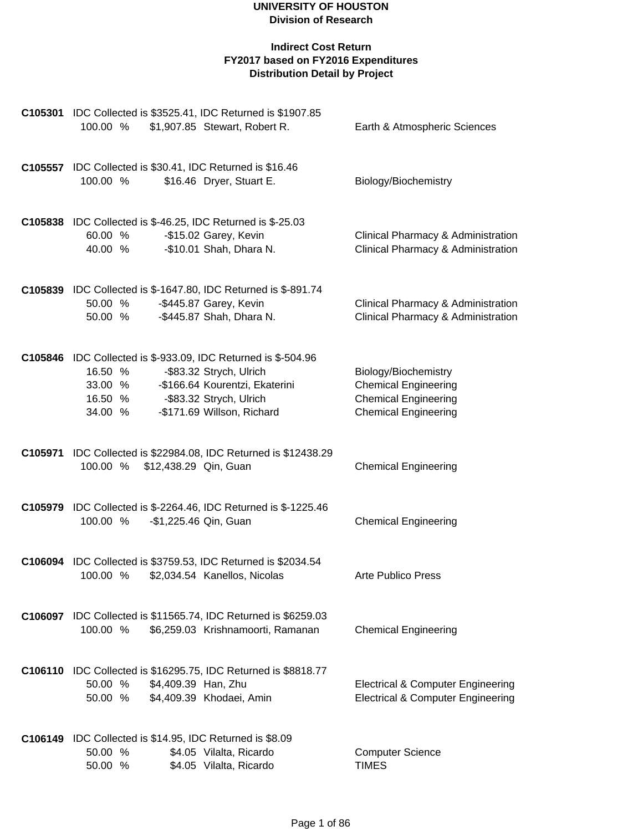#### **UNIVERSITY OF HOUSTON Division of Research**

| C105301 IDC Collected is \$3525.41, IDC Returned is \$1907.85<br>100.00 %                                        | \$1,907.85 Stewart, Robert R.                                                                                      | Earth & Atmospheric Sciences                                                                                      |
|------------------------------------------------------------------------------------------------------------------|--------------------------------------------------------------------------------------------------------------------|-------------------------------------------------------------------------------------------------------------------|
| C105557 IDC Collected is \$30.41, IDC Returned is \$16.46<br>100.00 %                                            | \$16.46 Dryer, Stuart E.                                                                                           | Biology/Biochemistry                                                                                              |
| <b>C105838</b> IDC Collected is \$-46.25, IDC Returned is \$-25.03<br>60.00 %<br>40.00 %                         | -\$15.02 Garey, Kevin<br>-\$10.01 Shah, Dhara N.                                                                   | Clinical Pharmacy & Administration<br><b>Clinical Pharmacy &amp; Administration</b>                               |
| C105839 IDC Collected is \$-1647.80, IDC Returned is \$-891.74<br>50.00 %<br>50.00 %                             | -\$445.87 Garey, Kevin<br>-\$445.87 Shah, Dhara N.                                                                 | Clinical Pharmacy & Administration<br>Clinical Pharmacy & Administration                                          |
| <b>C105846</b> IDC Collected is \$-933.09, IDC Returned is \$-504.96<br>16.50 %<br>33.00 %<br>16.50 %<br>34.00 % | -\$83.32 Strych, Ulrich<br>-\$166.64 Kourentzi, Ekaterini<br>-\$83.32 Strych, Ulrich<br>-\$171.69 Willson, Richard | Biology/Biochemistry<br><b>Chemical Engineering</b><br><b>Chemical Engineering</b><br><b>Chemical Engineering</b> |
| 100.00 %<br>\$12,438.29 Qin, Guan                                                                                | C105971 IDC Collected is \$22984.08, IDC Returned is \$12438.29                                                    | <b>Chemical Engineering</b>                                                                                       |
| 100.00 %                                                                                                         | <b>C105979</b> IDC Collected is \$-2264.46, IDC Returned is \$-1225.46<br>-\$1,225.46 Qin, Guan                    | <b>Chemical Engineering</b>                                                                                       |
| C106094 IDC Collected is \$3759.53, IDC Returned is \$2034.54<br>100.00 % \$2,034.54 Kanellos, Nicolas           |                                                                                                                    | Arte Publico Press                                                                                                |
| 100.00 %                                                                                                         | C106097 IDC Collected is \$11565.74, IDC Returned is \$6259.03<br>\$6,259.03 Krishnamoorti, Ramanan                | <b>Chemical Engineering</b>                                                                                       |
| \$4,409.39 Han, Zhu<br>50.00 %<br>50.00 %                                                                        | C106110 IDC Collected is \$16295.75, IDC Returned is \$8818.77<br>\$4,409.39 Khodaei, Amin                         | <b>Electrical &amp; Computer Engineering</b><br><b>Electrical &amp; Computer Engineering</b>                      |
| C106149 IDC Collected is \$14.95, IDC Returned is \$8.09<br>50.00 %<br>50.00 %                                   | \$4.05 Vilalta, Ricardo<br>\$4.05 Vilalta, Ricardo                                                                 | <b>Computer Science</b><br><b>TIMES</b>                                                                           |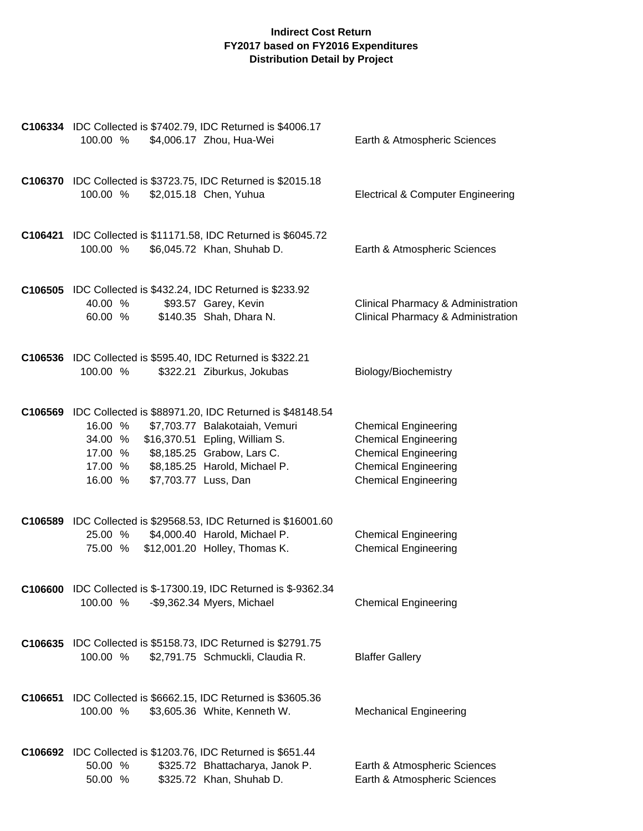|         | C106334 IDC Collected is \$7402.79, IDC Returned is \$4006.17<br>100.00 %                | \$4,006.17 Zhou, Hua-Wei                                                                                                                                                                                                   | Earth & Atmospheric Sciences                                                                                                                            |
|---------|------------------------------------------------------------------------------------------|----------------------------------------------------------------------------------------------------------------------------------------------------------------------------------------------------------------------------|---------------------------------------------------------------------------------------------------------------------------------------------------------|
|         | C106370 IDC Collected is \$3723.75, IDC Returned is \$2015.18<br>100.00 %                | \$2,015.18 Chen, Yuhua                                                                                                                                                                                                     | <b>Electrical &amp; Computer Engineering</b>                                                                                                            |
|         | 100.00 %                                                                                 | C106421 IDC Collected is \$11171.58, IDC Returned is \$6045.72<br>\$6,045.72 Khan, Shuhab D.                                                                                                                               | Earth & Atmospheric Sciences                                                                                                                            |
|         | <b>C106505</b> IDC Collected is \$432.24, IDC Returned is \$233.92<br>40.00 %<br>60.00 % | \$93.57 Garey, Kevin<br>\$140.35 Shah, Dhara N.                                                                                                                                                                            | Clinical Pharmacy & Administration<br>Clinical Pharmacy & Administration                                                                                |
|         | C106536 IDC Collected is \$595.40, IDC Returned is \$322.21<br>100.00 %                  | \$322.21 Ziburkus, Jokubas                                                                                                                                                                                                 | Biology/Biochemistry                                                                                                                                    |
|         | 16.00 %<br>34.00 %<br>17.00 %<br>17.00 %<br>16.00 %                                      | C106569 IDC Collected is \$88971.20, IDC Returned is \$48148.54<br>\$7,703.77 Balakotaiah, Vemuri<br>\$16,370.51 Epling, William S.<br>\$8,185.25 Grabow, Lars C.<br>\$8,185.25 Harold, Michael P.<br>\$7,703.77 Luss, Dan | <b>Chemical Engineering</b><br><b>Chemical Engineering</b><br><b>Chemical Engineering</b><br><b>Chemical Engineering</b><br><b>Chemical Engineering</b> |
|         | 25.00 % \$4,000.40 Harold, Michael P.<br>75.00 %                                         | C106589 IDC Collected is \$29568.53, IDC Returned is \$16001.60<br>\$12,001.20 Holley, Thomas K.                                                                                                                           | <b>Chemical Engineering</b><br><b>Chemical Engineering</b>                                                                                              |
|         | 100.00 %                                                                                 | <b>C106600</b> IDC Collected is \$-17300.19, IDC Returned is \$-9362.34<br>-\$9,362.34 Myers, Michael                                                                                                                      | <b>Chemical Engineering</b>                                                                                                                             |
|         | C106635 IDC Collected is \$5158.73, IDC Returned is \$2791.75<br>100.00 %                | \$2,791.75 Schmuckli, Claudia R.                                                                                                                                                                                           | <b>Blaffer Gallery</b>                                                                                                                                  |
| C106651 | IDC Collected is \$6662.15, IDC Returned is \$3605.36<br>100.00 %                        | \$3,605.36 White, Kenneth W.                                                                                                                                                                                               | <b>Mechanical Engineering</b>                                                                                                                           |
|         | C106692 IDC Collected is \$1203.76, IDC Returned is \$651.44<br>50.00 %<br>50.00 %       | \$325.72 Bhattacharya, Janok P.<br>\$325.72 Khan, Shuhab D.                                                                                                                                                                | Earth & Atmospheric Sciences<br>Earth & Atmospheric Sciences                                                                                            |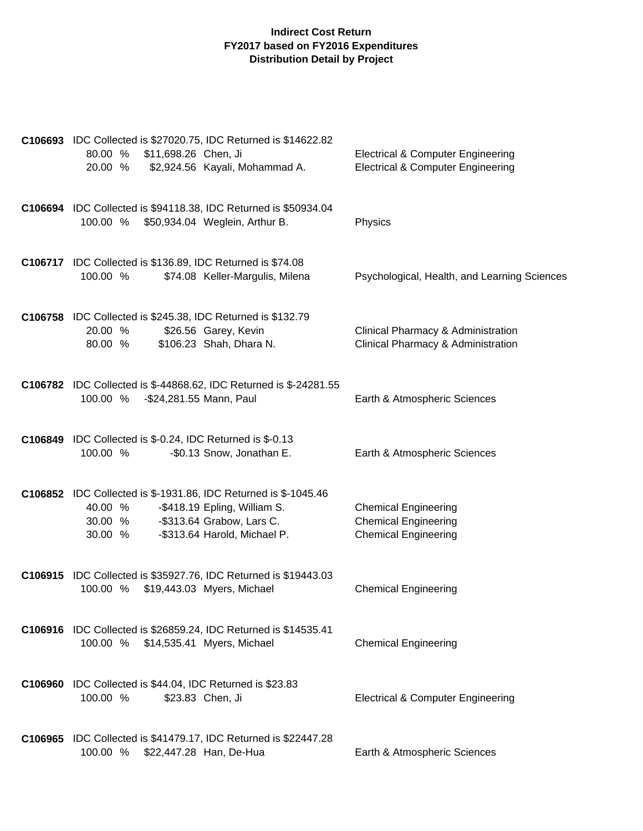| C106693 IDC Collected is \$27020.75, IDC Returned is \$14622.82<br>80.00 % \$11,698.26 Chen, Ji<br>\$2,924.56 Kayali, Mohammad A.<br>20.00 %                                                  | <b>Electrical &amp; Computer Engineering</b><br><b>Electrical &amp; Computer Engineering</b> |
|-----------------------------------------------------------------------------------------------------------------------------------------------------------------------------------------------|----------------------------------------------------------------------------------------------|
| C106694 IDC Collected is \$94118.38, IDC Returned is \$50934.04<br>100.00 %<br>\$50,934.04 Weglein, Arthur B.                                                                                 | Physics                                                                                      |
| <b>C106717</b> IDC Collected is \$136.89, IDC Returned is \$74.08<br>100.00 %<br>\$74.08 Keller-Margulis, Milena                                                                              | Psychological, Health, and Learning Sciences                                                 |
| C106758 IDC Collected is \$245.38, IDC Returned is \$132.79<br>\$26.56 Garey, Kevin<br>20.00 %<br>\$106.23 Shah, Dhara N.<br>80.00 %                                                          | Clinical Pharmacy & Administration<br>Clinical Pharmacy & Administration                     |
| <b>C106782</b> IDC Collected is \$-44868.62, IDC Returned is \$-24281.55<br>100.00 % - \$24,281.55 Mann, Paul                                                                                 | Earth & Atmospheric Sciences                                                                 |
| C106849 IDC Collected is \$-0.24, IDC Returned is \$-0.13<br>100.00 %<br>-\$0.13 Snow, Jonathan E.                                                                                            | Earth & Atmospheric Sciences                                                                 |
| C106852 IDC Collected is \$-1931.86, IDC Returned is \$-1045.46<br>-\$418.19 Epling, William S.<br>40.00 %<br>-\$313.64 Grabow, Lars C.<br>30.00 %<br>30.00 %<br>-\$313.64 Harold, Michael P. | <b>Chemical Engineering</b><br><b>Chemical Engineering</b><br><b>Chemical Engineering</b>    |
| C106915 IDC Collected is \$35927.76, IDC Returned is \$19443.03<br>100.00 %<br>\$19,443.03 Myers, Michael                                                                                     | <b>Chemical Engineering</b>                                                                  |
| C106916 IDC Collected is \$26859.24, IDC Returned is \$14535.41<br>100.00 % \$14,535.41 Myers, Michael                                                                                        | <b>Chemical Engineering</b>                                                                  |
| <b>C106960</b> IDC Collected is \$44.04, IDC Returned is \$23.83<br>100.00 %<br>\$23.83 Chen, Ji                                                                                              | <b>Electrical &amp; Computer Engineering</b>                                                 |
| C106965 IDC Collected is \$41479.17, IDC Returned is \$22447.28<br>100.00 % \$22,447.28 Han, De-Hua                                                                                           | Earth & Atmospheric Sciences                                                                 |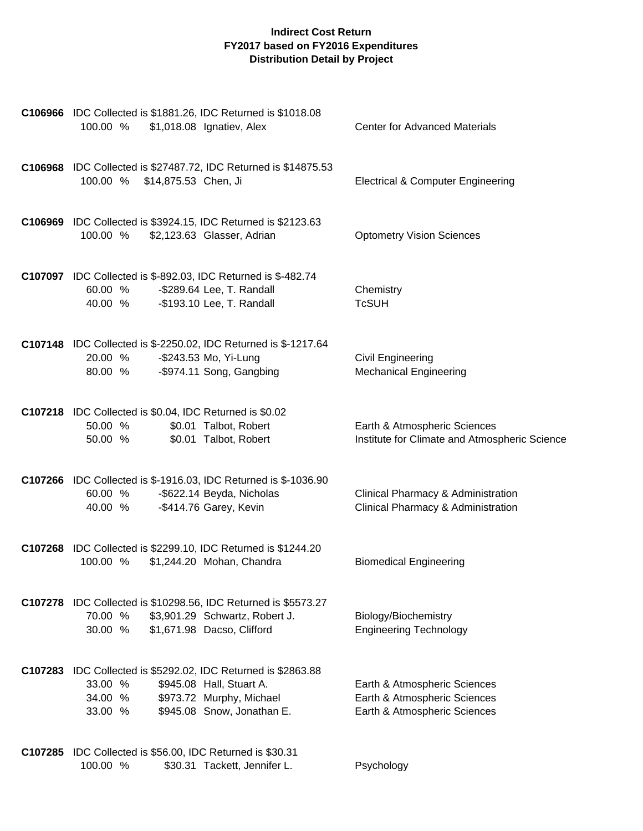| C106966 IDC Collected is \$1881.26, IDC Returned is \$1018.08<br>\$1,018.08 Ignatiev, Alex<br>100.00 %                                                                               | <b>Center for Advanced Materials</b>                                                         |
|--------------------------------------------------------------------------------------------------------------------------------------------------------------------------------------|----------------------------------------------------------------------------------------------|
| C106968 IDC Collected is \$27487.72, IDC Returned is \$14875.53<br>100.00 % \$14,875.53 Chen, Ji                                                                                     | <b>Electrical &amp; Computer Engineering</b>                                                 |
| C106969 IDC Collected is \$3924.15, IDC Returned is \$2123.63<br>100.00 %<br>\$2,123.63 Glasser, Adrian                                                                              | <b>Optometry Vision Sciences</b>                                                             |
| C107097 IDC Collected is \$-892.03, IDC Returned is \$-482.74<br>-\$289.64 Lee, T. Randall<br>60.00 %<br>-\$193.10 Lee, T. Randall<br>40.00 %                                        | Chemistry<br><b>TcSUH</b>                                                                    |
| <b>C107148</b> IDC Collected is \$-2250.02, IDC Returned is \$-1217.64<br>20.00 %<br>-\$243.53 Mo, Yi-Lung<br>-\$974.11 Song, Gangbing<br>80.00 %                                    | Civil Engineering<br><b>Mechanical Engineering</b>                                           |
| C107218 IDC Collected is \$0.04, IDC Returned is \$0.02<br>50.00 %<br>\$0.01 Talbot, Robert<br>\$0.01 Talbot, Robert<br>50.00 %                                                      | Earth & Atmospheric Sciences<br>Institute for Climate and Atmospheric Science                |
| <b>C107266</b> IDC Collected is \$-1916.03, IDC Returned is \$-1036.90<br>-\$622.14 Beyda, Nicholas<br>60.00 %<br>-\$414.76 Garey, Kevin<br>40.00 %                                  | Clinical Pharmacy & Administration<br>Clinical Pharmacy & Administration                     |
| C107268 IDC Collected is \$2299.10, IDC Returned is \$1244.20<br>100.00 %<br>\$1,244.20 Mohan, Chandra                                                                               | <b>Biomedical Engineering</b>                                                                |
| C107278 IDC Collected is \$10298.56, IDC Returned is \$5573.27<br>70.00 %<br>\$3,901.29 Schwartz, Robert J.<br>30.00 %<br>\$1,671.98 Dacso, Clifford                                 | Biology/Biochemistry<br><b>Engineering Technology</b>                                        |
| C107283 IDC Collected is \$5292.02, IDC Returned is \$2863.88<br>33.00 %<br>\$945.08 Hall, Stuart A.<br>\$973.72 Murphy, Michael<br>34.00 %<br>\$945.08 Snow, Jonathan E.<br>33.00 % | Earth & Atmospheric Sciences<br>Earth & Atmospheric Sciences<br>Earth & Atmospheric Sciences |
| C107285 IDC Collected is \$56.00, IDC Returned is \$30.31<br>100.00 %<br>\$30.31 Tackett, Jennifer L.                                                                                | Psychology                                                                                   |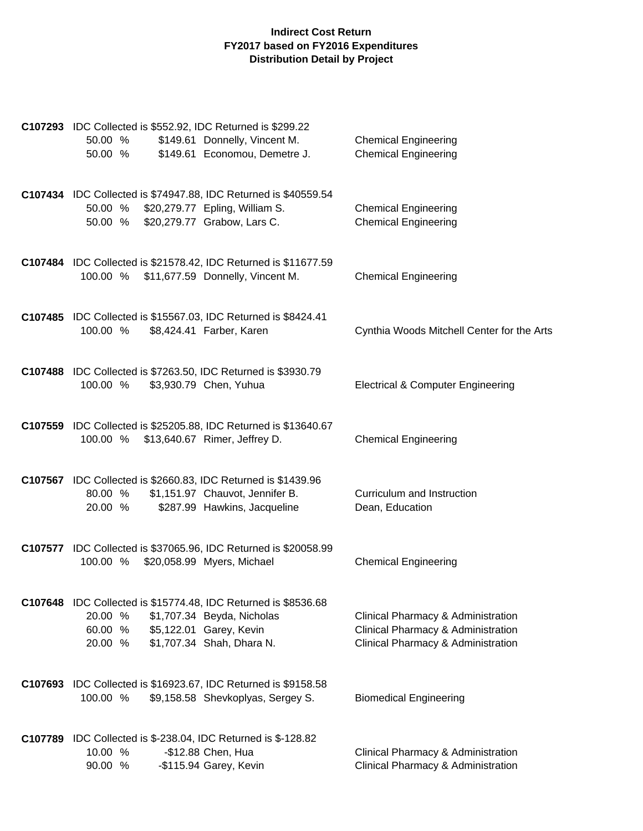|         |          |  | C107293 IDC Collected is \$552.92, IDC Returned is \$299.22                             |                                              |
|---------|----------|--|-----------------------------------------------------------------------------------------|----------------------------------------------|
|         | 50.00 %  |  | \$149.61 Donnelly, Vincent M.                                                           | <b>Chemical Engineering</b>                  |
|         | 50.00 %  |  | \$149.61 Economou, Demetre J.                                                           | <b>Chemical Engineering</b>                  |
|         |          |  | C107434 IDC Collected is \$74947.88, IDC Returned is \$40559.54                         |                                              |
|         | 50.00 %  |  | \$20,279.77 Epling, William S.                                                          | <b>Chemical Engineering</b>                  |
|         | 50.00 %  |  | \$20,279.77 Grabow, Lars C.                                                             | <b>Chemical Engineering</b>                  |
|         |          |  | C107484 IDC Collected is \$21578.42, IDC Returned is \$11677.59                         |                                              |
|         | 100.00 % |  | \$11,677.59 Donnelly, Vincent M.                                                        | <b>Chemical Engineering</b>                  |
|         |          |  | C107485 IDC Collected is \$15567.03, IDC Returned is \$8424.41                          |                                              |
|         | 100.00 % |  | \$8,424.41 Farber, Karen                                                                | Cynthia Woods Mitchell Center for the Arts   |
|         |          |  |                                                                                         |                                              |
|         | 100.00 % |  | C107488 IDC Collected is \$7263.50, IDC Returned is \$3930.79<br>\$3,930.79 Chen, Yuhua | <b>Electrical &amp; Computer Engineering</b> |
|         |          |  |                                                                                         |                                              |
|         |          |  | C107559 IDC Collected is \$25205.88, IDC Returned is \$13640.67                         |                                              |
|         | 100.00 % |  | \$13,640.67 Rimer, Jeffrey D.                                                           | <b>Chemical Engineering</b>                  |
|         |          |  | <b>C107567</b> IDC Collected is \$2660.83, IDC Returned is \$1439.96                    |                                              |
|         | 80.00 %  |  | \$1,151.97 Chauvot, Jennifer B.                                                         | Curriculum and Instruction                   |
|         | 20.00 %  |  | \$287.99 Hawkins, Jacqueline                                                            | Dean, Education                              |
|         |          |  | C107577 IDC Collected is \$37065.96, IDC Returned is \$20058.99                         |                                              |
|         | 100.00 % |  | \$20,058.99 Myers, Michael                                                              | <b>Chemical Engineering</b>                  |
|         |          |  | <b>C107648</b> IDC Collected is \$15774.48, IDC Returned is \$8536.68                   |                                              |
|         | 20.00 %  |  | \$1,707.34 Beyda, Nicholas                                                              | Clinical Pharmacy & Administration           |
|         | 60.00 %  |  | \$5,122.01 Garey, Kevin                                                                 | Clinical Pharmacy & Administration           |
|         | 20.00 %  |  | \$1,707.34 Shah, Dhara N.                                                               | Clinical Pharmacy & Administration           |
|         |          |  | C107693 IDC Collected is \$16923.67, IDC Returned is \$9158.58                          |                                              |
|         | 100.00 % |  | \$9,158.58 Shevkoplyas, Sergey S.                                                       | <b>Biomedical Engineering</b>                |
|         |          |  |                                                                                         |                                              |
| C107789 |          |  | IDC Collected is \$-238.04, IDC Returned is \$-128.82                                   |                                              |
|         | 10.00 %  |  | -\$12.88 Chen, Hua                                                                      | Clinical Pharmacy & Administration           |
|         | 90.00 %  |  | -\$115.94 Garey, Kevin                                                                  | Clinical Pharmacy & Administration           |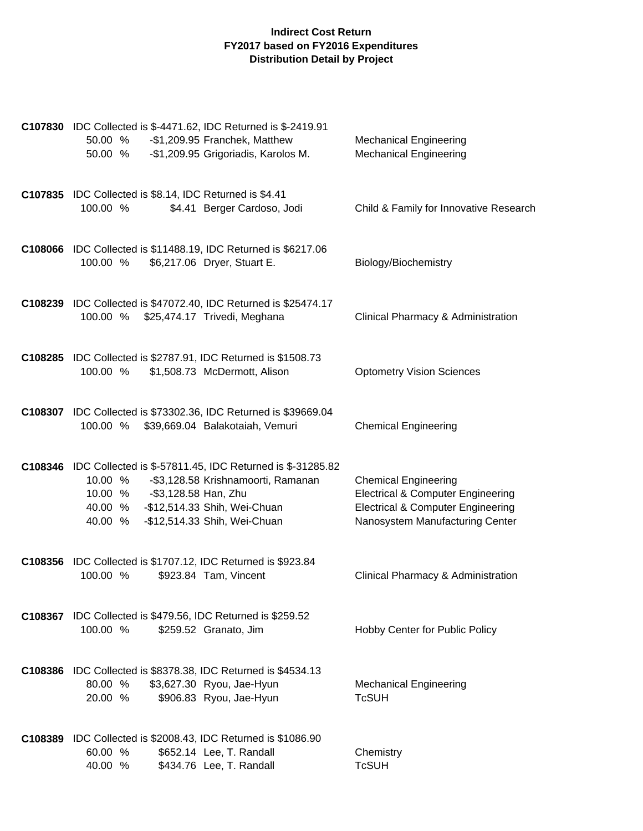| <b>C107830</b> IDC Collected is \$-4471.62, IDC Returned is \$-2419.91<br>-\$1,209.95 Franchek, Matthew<br>50.00 %<br>-\$1,209.95 Grigoriadis, Karolos M.<br>50.00 %                                                                      | <b>Mechanical Engineering</b><br><b>Mechanical Engineering</b>                                                                                                 |
|-------------------------------------------------------------------------------------------------------------------------------------------------------------------------------------------------------------------------------------------|----------------------------------------------------------------------------------------------------------------------------------------------------------------|
| C107835 IDC Collected is \$8.14, IDC Returned is \$4.41<br>\$4.41 Berger Cardoso, Jodi<br>100.00 %                                                                                                                                        | Child & Family for Innovative Research                                                                                                                         |
| C108066 IDC Collected is \$11488.19, IDC Returned is \$6217.06<br>100.00 %<br>\$6,217.06 Dryer, Stuart E.                                                                                                                                 | Biology/Biochemistry                                                                                                                                           |
| C108239 IDC Collected is \$47072.40, IDC Returned is \$25474.17<br>100.00 % \$25,474.17 Trivedi, Meghana                                                                                                                                  | Clinical Pharmacy & Administration                                                                                                                             |
| C108285 IDC Collected is \$2787.91, IDC Returned is \$1508.73<br>\$1,508.73 McDermott, Alison<br>100.00 %                                                                                                                                 | <b>Optometry Vision Sciences</b>                                                                                                                               |
| C108307 IDC Collected is \$73302.36, IDC Returned is \$39669.04<br>100.00 %<br>\$39,669.04 Balakotaiah, Vemuri                                                                                                                            | <b>Chemical Engineering</b>                                                                                                                                    |
| C108346 IDC Collected is \$-57811.45, IDC Returned is \$-31285.82<br>10.00 %<br>-\$3,128.58 Krishnamoorti, Ramanan<br>10.00 % - \$3,128.58 Han, Zhu<br>-\$12,514.33 Shih, Wei-Chuan<br>40.00 %<br>-\$12,514.33 Shih, Wei-Chuan<br>40.00 % | <b>Chemical Engineering</b><br><b>Electrical &amp; Computer Engineering</b><br><b>Electrical &amp; Computer Engineering</b><br>Nanosystem Manufacturing Center |
| C108356 IDC Collected is \$1707.12, IDC Returned is \$923.84<br>100.00 %<br>\$923.84 Tam, Vincent                                                                                                                                         | Clinical Pharmacy & Administration                                                                                                                             |
| C108367 IDC Collected is \$479.56, IDC Returned is \$259.52<br>100.00 %<br>\$259.52 Granato, Jim                                                                                                                                          | Hobby Center for Public Policy                                                                                                                                 |
| C108386 IDC Collected is \$8378.38, IDC Returned is \$4534.13<br>80.00 %<br>\$3,627.30 Ryou, Jae-Hyun<br>20.00 %<br>\$906.83 Ryou, Jae-Hyun                                                                                               | <b>Mechanical Engineering</b><br><b>TcSUH</b>                                                                                                                  |
| C108389 IDC Collected is \$2008.43, IDC Returned is \$1086.90<br>60.00 %<br>\$652.14 Lee, T. Randall<br>\$434.76 Lee, T. Randall<br>40.00 %                                                                                               | Chemistry<br><b>TcSUH</b>                                                                                                                                      |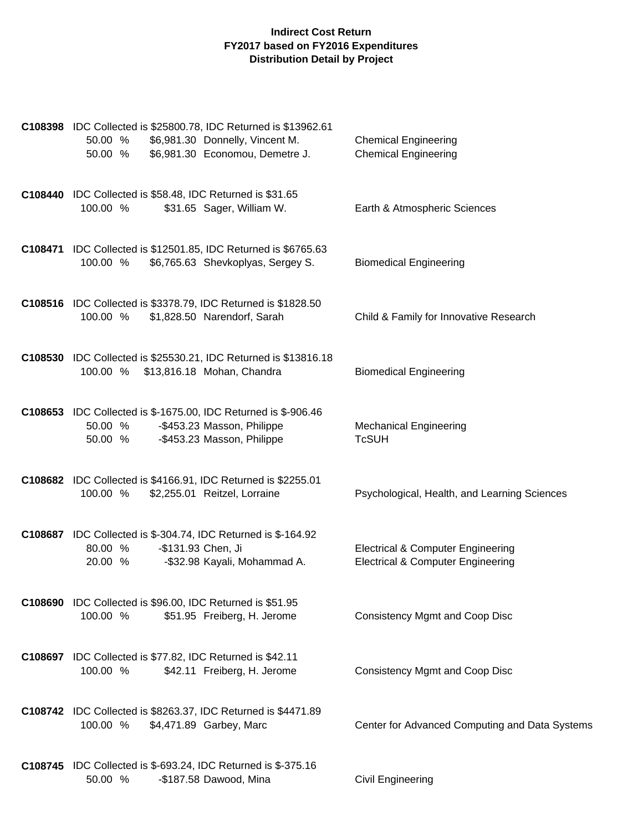| C108398 IDC Collected is \$25800.78, IDC Returned is \$13962.61<br>\$6,981.30 Donnelly, Vincent M.<br>50.00 %<br>\$6,981.30 Economou, Demetre J.<br>50.00 % | <b>Chemical Engineering</b><br><b>Chemical Engineering</b>                                   |
|-------------------------------------------------------------------------------------------------------------------------------------------------------------|----------------------------------------------------------------------------------------------|
| <b>C108440</b> IDC Collected is \$58.48, IDC Returned is \$31.65<br>100.00 %<br>\$31.65 Sager, William W.                                                   | Earth & Atmospheric Sciences                                                                 |
| C108471 IDC Collected is \$12501.85, IDC Returned is \$6765.63<br>100.00 %<br>\$6,765.63 Shevkoplyas, Sergey S.                                             | <b>Biomedical Engineering</b>                                                                |
| C108516 IDC Collected is \$3378.79, IDC Returned is \$1828.50<br>\$1,828.50 Narendorf, Sarah<br>100.00 %                                                    | Child & Family for Innovative Research                                                       |
| C108530 IDC Collected is \$25530.21, IDC Returned is \$13816.18<br>100.00 % \$13,816.18 Mohan, Chandra                                                      | <b>Biomedical Engineering</b>                                                                |
| <b>C108653</b> IDC Collected is \$-1675.00, IDC Returned is \$-906.46<br>-\$453.23 Masson, Philippe<br>50.00 %<br>-\$453.23 Masson, Philippe<br>50.00 %     | <b>Mechanical Engineering</b><br><b>TcSUH</b>                                                |
| C108682 IDC Collected is \$4166.91, IDC Returned is \$2255.01<br>100.00 %<br>\$2,255.01 Reitzel, Lorraine                                                   | Psychological, Health, and Learning Sciences                                                 |
| <b>C108687</b> IDC Collected is \$-304.74, IDC Returned is \$-164.92<br>-\$131.93 Chen, Ji<br>80.00 %<br>20.00 %<br>-\$32.98 Kayali, Mohammad A.            | <b>Electrical &amp; Computer Engineering</b><br><b>Electrical &amp; Computer Engineering</b> |
| <b>C108690</b> IDC Collected is \$96.00, IDC Returned is \$51.95<br>100.00 %<br>\$51.95 Freiberg, H. Jerome                                                 | <b>Consistency Mgmt and Coop Disc</b>                                                        |
| C108697 IDC Collected is \$77.82, IDC Returned is \$42.11<br>100.00 %<br>\$42.11 Freiberg, H. Jerome                                                        | <b>Consistency Mgmt and Coop Disc</b>                                                        |
| C108742 IDC Collected is \$8263.37, IDC Returned is \$4471.89<br>100.00 %<br>\$4,471.89 Garbey, Marc                                                        | Center for Advanced Computing and Data Systems                                               |
| <b>C108745</b> IDC Collected is \$-693.24, IDC Returned is \$-375.16<br>-\$187.58 Dawood, Mina<br>50.00 %                                                   | <b>Civil Engineering</b>                                                                     |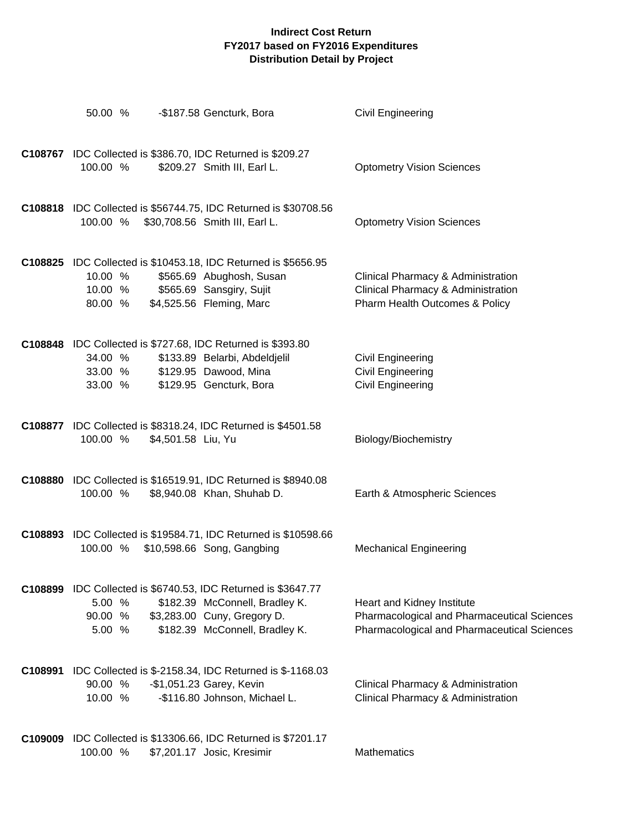|         | 50.00 %                       |                               | -\$187.58 Gencturk, Bora                                                                                                                                         | Civil Engineering                                                                                                        |
|---------|-------------------------------|-------------------------------|------------------------------------------------------------------------------------------------------------------------------------------------------------------|--------------------------------------------------------------------------------------------------------------------------|
|         | 100.00 %                      |                               | C108767 IDC Collected is \$386.70, IDC Returned is \$209.27<br>\$209.27 Smith III, Earl L.                                                                       | <b>Optometry Vision Sciences</b>                                                                                         |
|         |                               |                               | C108818 IDC Collected is \$56744.75, IDC Returned is \$30708.56<br>100.00 % \$30,708.56 Smith III, Earl L.                                                       | <b>Optometry Vision Sciences</b>                                                                                         |
|         | 10.00 %<br>10.00 %<br>80.00 % |                               | C108825 IDC Collected is \$10453.18, IDC Returned is \$5656.95<br>\$565.69 Abughosh, Susan<br>\$565.69 Sansgiry, Sujit<br>\$4,525.56 Fleming, Marc               | Clinical Pharmacy & Administration<br>Clinical Pharmacy & Administration<br>Pharm Health Outcomes & Policy               |
|         | 34.00 %<br>33.00 %            | 33.00 % \$129.95 Dawood, Mina | C108848 IDC Collected is \$727.68, IDC Returned is \$393.80<br>\$133.89 Belarbi, Abdeldjelil<br>\$129.95 Gencturk, Bora                                          | <b>Civil Engineering</b><br><b>Civil Engineering</b><br><b>Civil Engineering</b>                                         |
|         | 100.00 %                      | \$4,501.58 Liu, Yu            | C108877 IDC Collected is \$8318.24, IDC Returned is \$4501.58                                                                                                    | Biology/Biochemistry                                                                                                     |
|         | 100.00 %                      |                               | C108880 IDC Collected is \$16519.91, IDC Returned is \$8940.08<br>\$8,940.08 Khan, Shuhab D.                                                                     | Earth & Atmospheric Sciences                                                                                             |
|         | 100.00 %                      |                               | C108893 IDC Collected is \$19584.71, IDC Returned is \$10598.66<br>\$10,598.66 Song, Gangbing                                                                    | <b>Mechanical Engineering</b>                                                                                            |
|         | 5.00 %<br>90.00 %<br>5.00 %   |                               | C108899 IDC Collected is \$6740.53, IDC Returned is \$3647.77<br>\$182.39 McConnell, Bradley K.<br>\$3,283.00 Cuny, Gregory D.<br>\$182.39 McConnell, Bradley K. | Heart and Kidney Institute<br>Pharmacological and Pharmaceutical Sciences<br>Pharmacological and Pharmaceutical Sciences |
| C108991 | 90.00 %<br>10.00 %            |                               | IDC Collected is \$-2158.34, IDC Returned is \$-1168.03<br>-\$1,051.23 Garey, Kevin<br>-\$116.80 Johnson, Michael L.                                             | Clinical Pharmacy & Administration<br>Clinical Pharmacy & Administration                                                 |
|         | 100.00 %                      |                               | C109009 IDC Collected is \$13306.66, IDC Returned is \$7201.17<br>\$7,201.17 Josic, Kresimir                                                                     | Mathematics                                                                                                              |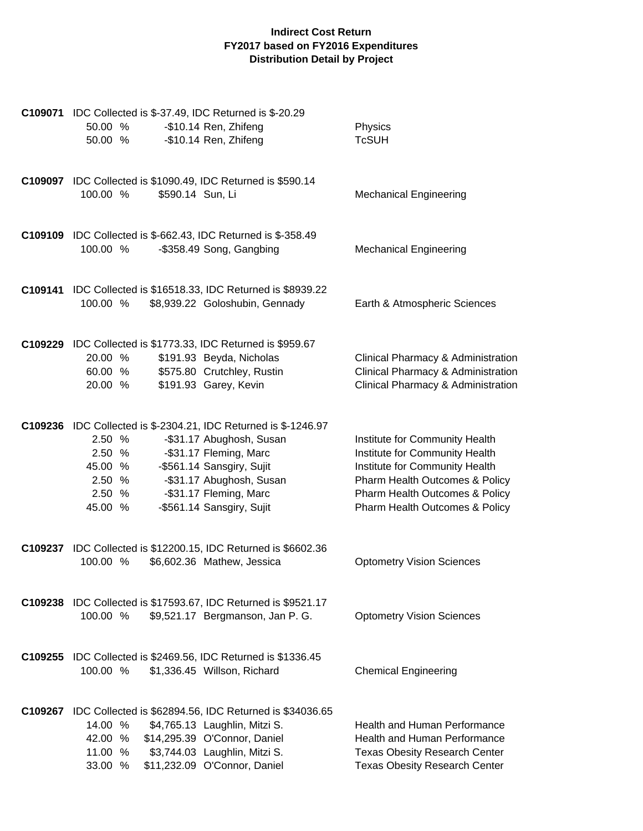| <b>C109071</b> IDC Collected is \$-37.49, IDC Returned is \$-20.29<br>-\$10.14 Ren, Zhifeng<br>50.00 %<br>-\$10.14 Ren, Zhifeng<br>50.00 %                                                                                                                                                          | Physics<br><b>TcSUH</b>                                                                                                                                                                                  |
|-----------------------------------------------------------------------------------------------------------------------------------------------------------------------------------------------------------------------------------------------------------------------------------------------------|----------------------------------------------------------------------------------------------------------------------------------------------------------------------------------------------------------|
| C109097 IDC Collected is \$1090.49, IDC Returned is \$590.14<br>\$590.14 Sun, Li<br>100.00 %                                                                                                                                                                                                        | <b>Mechanical Engineering</b>                                                                                                                                                                            |
| <b>C109109</b> IDC Collected is \$-662.43, IDC Returned is \$-358.49<br>100.00 %<br>-\$358.49 Song, Gangbing                                                                                                                                                                                        | <b>Mechanical Engineering</b>                                                                                                                                                                            |
| C109141 IDC Collected is \$16518.33, IDC Returned is \$8939.22<br>\$8,939.22 Goloshubin, Gennady<br>100.00 %                                                                                                                                                                                        | Earth & Atmospheric Sciences                                                                                                                                                                             |
| C109229 IDC Collected is \$1773.33, IDC Returned is \$959.67<br>20.00 %<br>\$191.93 Beyda, Nicholas<br>\$575.80 Crutchley, Rustin<br>60.00 %<br>\$191.93 Garey, Kevin<br>20.00 %                                                                                                                    | Clinical Pharmacy & Administration<br>Clinical Pharmacy & Administration<br>Clinical Pharmacy & Administration                                                                                           |
| C109236 IDC Collected is \$-2304.21, IDC Returned is \$-1246.97<br>2.50 %<br>-\$31.17 Abughosh, Susan<br>-\$31.17 Fleming, Marc<br>2.50 %<br>-\$561.14 Sansgiry, Sujit<br>45.00 %<br>-\$31.17 Abughosh, Susan<br>2.50 %<br>-\$31.17 Fleming, Marc<br>2.50 %<br>-\$561.14 Sansgiry, Sujit<br>45.00 % | Institute for Community Health<br>Institute for Community Health<br>Institute for Community Health<br>Pharm Health Outcomes & Policy<br>Pharm Health Outcomes & Policy<br>Pharm Health Outcomes & Policy |
| C109237 IDC Collected is \$12200.15, IDC Returned is \$6602.36<br>100.00 %<br>\$6,602.36 Mathew, Jessica                                                                                                                                                                                            | <b>Optometry Vision Sciences</b>                                                                                                                                                                         |
| C109238 IDC Collected is \$17593.67, IDC Returned is \$9521.17<br>\$9,521.17 Bergmanson, Jan P. G.<br>100.00 %                                                                                                                                                                                      | <b>Optometry Vision Sciences</b>                                                                                                                                                                         |
| <b>C109255</b> IDC Collected is \$2469.56, IDC Returned is \$1336.45<br>100.00 %<br>\$1,336.45 Willson, Richard                                                                                                                                                                                     | <b>Chemical Engineering</b>                                                                                                                                                                              |
| C109267 IDC Collected is \$62894.56, IDC Returned is \$34036.65<br>14.00 %<br>\$4,765.13 Laughlin, Mitzi S.<br>42.00 %<br>\$14,295.39 O'Connor, Daniel<br>\$3,744.03 Laughlin, Mitzi S.<br>11.00 %<br>\$11,232.09 O'Connor, Daniel<br>33.00 %                                                       | <b>Health and Human Performance</b><br><b>Health and Human Performance</b><br><b>Texas Obesity Research Center</b><br><b>Texas Obesity Research Center</b>                                               |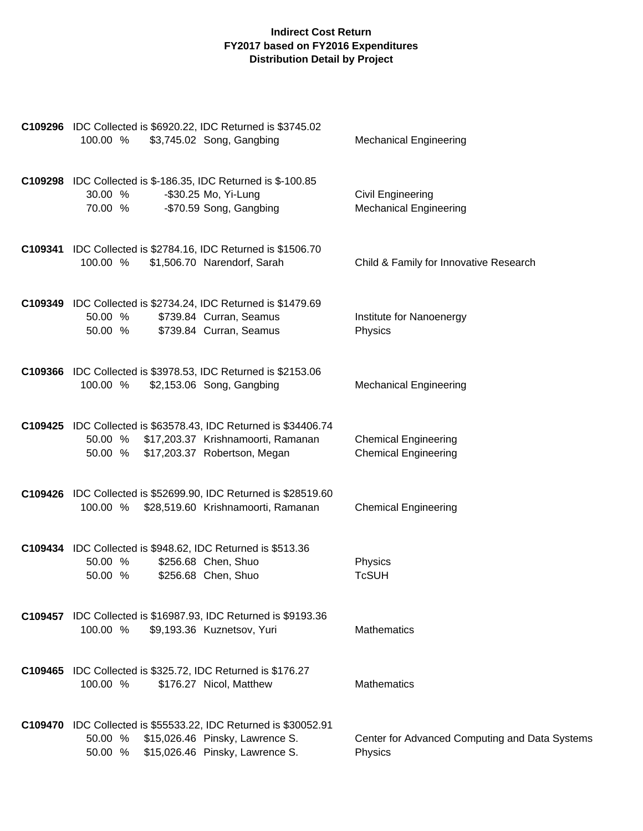| C109296 IDC Collected is \$6920.22, IDC Returned is \$3745.02<br>\$3,745.02 Song, Gangbing<br>100.00 %                                                      | <b>Mechanical Engineering</b>                              |
|-------------------------------------------------------------------------------------------------------------------------------------------------------------|------------------------------------------------------------|
| <b>C109298</b> IDC Collected is \$-186.35, IDC Returned is \$-100.85<br>-\$30.25 Mo, Yi-Lung<br>30.00 %<br>-\$70.59 Song, Gangbing<br>70.00 %               | Civil Engineering<br><b>Mechanical Engineering</b>         |
| <b>C109341</b> IDC Collected is \$2784.16, IDC Returned is \$1506.70<br>100.00 %<br>\$1,506.70 Narendorf, Sarah                                             | Child & Family for Innovative Research                     |
| C109349 IDC Collected is \$2734.24, IDC Returned is \$1479.69<br>\$739.84 Curran, Seamus<br>50.00 %<br>\$739.84 Curran, Seamus<br>50.00 %                   | Institute for Nanoenergy<br>Physics                        |
| C109366 IDC Collected is \$3978.53, IDC Returned is \$2153.06<br>\$2,153.06 Song, Gangbing<br>100.00 %                                                      | <b>Mechanical Engineering</b>                              |
| C109425 IDC Collected is \$63578.43, IDC Returned is \$34406.74<br>50.00 % \$17,203.37 Krishnamoorti, Ramanan<br>50.00 %<br>\$17,203.37 Robertson, Megan    | <b>Chemical Engineering</b><br><b>Chemical Engineering</b> |
| C109426 IDC Collected is \$52699.90, IDC Returned is \$28519.60<br>\$28,519.60 Krishnamoorti, Ramanan<br>100.00 %                                           | <b>Chemical Engineering</b>                                |
| <b>C109434</b> IDC Collected is \$948.62, IDC Returned is \$513.36<br>50.00 %<br>\$256.68 Chen, Shuo<br>\$256.68 Chen, Shuo<br>50.00 %                      | Physics<br><b>TcSUH</b>                                    |
| C109457 IDC Collected is \$16987.93, IDC Returned is \$9193.36<br>100.00 %<br>\$9,193.36 Kuznetsov, Yuri                                                    | <b>Mathematics</b>                                         |
| C109465 IDC Collected is \$325.72, IDC Returned is \$176.27<br>100.00 %<br>\$176.27 Nicol, Matthew                                                          | Mathematics                                                |
| C109470 IDC Collected is \$55533.22, IDC Returned is \$30052.91<br>\$15,026.46 Pinsky, Lawrence S.<br>50.00 %<br>\$15,026.46 Pinsky, Lawrence S.<br>50.00 % | Center for Advanced Computing and Data Systems<br>Physics  |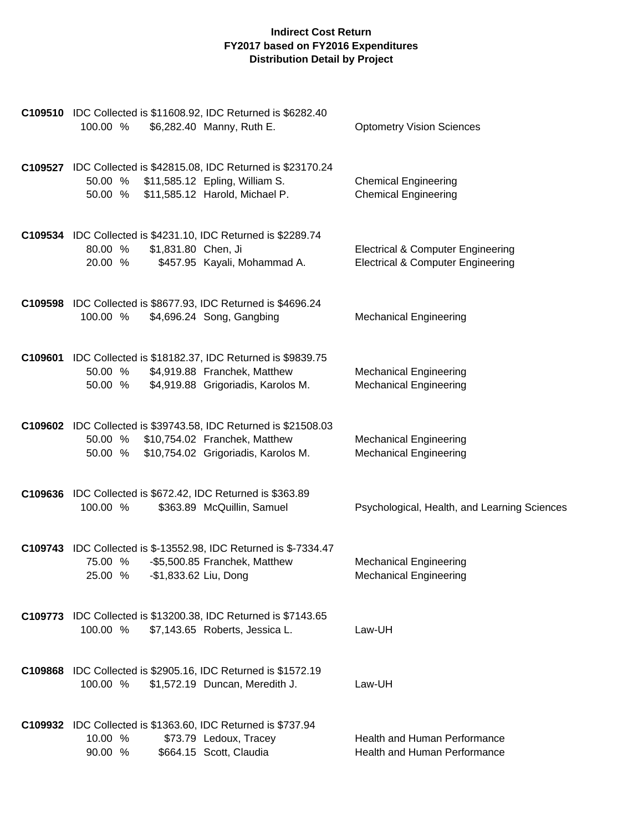| C109510 IDC Collected is \$11608.92, IDC Returned is \$6282.40<br>\$6,282.40 Manny, Ruth E.<br>100.00 %                                                    | <b>Optometry Vision Sciences</b>                                                             |
|------------------------------------------------------------------------------------------------------------------------------------------------------------|----------------------------------------------------------------------------------------------|
| C109527 IDC Collected is \$42815.08, IDC Returned is \$23170.24<br>50.00 % \$11,585.12 Epling, William S.<br>\$11,585.12 Harold, Michael P.<br>50.00 %     | <b>Chemical Engineering</b><br><b>Chemical Engineering</b>                                   |
| C109534 IDC Collected is \$4231.10, IDC Returned is \$2289.74<br>\$1,831.80 Chen, Ji<br>80.00 %<br>20.00 %<br>\$457.95 Kayali, Mohammad A.                 | <b>Electrical &amp; Computer Engineering</b><br><b>Electrical &amp; Computer Engineering</b> |
| C109598 IDC Collected is \$8677.93, IDC Returned is \$4696.24<br>\$4,696.24 Song, Gangbing<br>100.00 %                                                     | <b>Mechanical Engineering</b>                                                                |
| C109601 IDC Collected is \$18182.37, IDC Returned is \$9839.75<br>\$4,919.88 Franchek, Matthew<br>50.00 %<br>\$4,919.88 Grigoriadis, Karolos M.<br>50.00 % | <b>Mechanical Engineering</b><br><b>Mechanical Engineering</b>                               |
| C109602 IDC Collected is \$39743.58, IDC Returned is \$21508.03<br>50.00 % \$10,754.02 Franchek, Matthew<br>\$10,754.02 Grigoriadis, Karolos M.<br>50.00 % | <b>Mechanical Engineering</b><br><b>Mechanical Engineering</b>                               |
| C109636 IDC Collected is \$672.42, IDC Returned is \$363.89<br>100.00 %<br>\$363.89 McQuillin, Samuel                                                      | Psychological, Health, and Learning Sciences                                                 |
| <b>C109743</b> IDC Collected is \$-13552.98, IDC Returned is \$-7334.47<br>75.00 %<br>-\$5,500.85 Franchek, Matthew<br>-\$1,833.62 Liu, Dong<br>25.00 %    | <b>Mechanical Engineering</b><br><b>Mechanical Engineering</b>                               |
| C109773 IDC Collected is \$13200.38, IDC Returned is \$7143.65<br>\$7,143.65 Roberts, Jessica L.<br>100.00 %                                               | Law-UH                                                                                       |
| C109868 IDC Collected is \$2905.16, IDC Returned is \$1572.19<br>100.00 %<br>\$1,572.19 Duncan, Meredith J.                                                | Law-UH                                                                                       |
| C109932 IDC Collected is \$1363.60, IDC Returned is \$737.94<br>10.00 %<br>\$73.79 Ledoux, Tracey<br>90.00 %<br>\$664.15 Scott, Claudia                    | <b>Health and Human Performance</b><br>Health and Human Performance                          |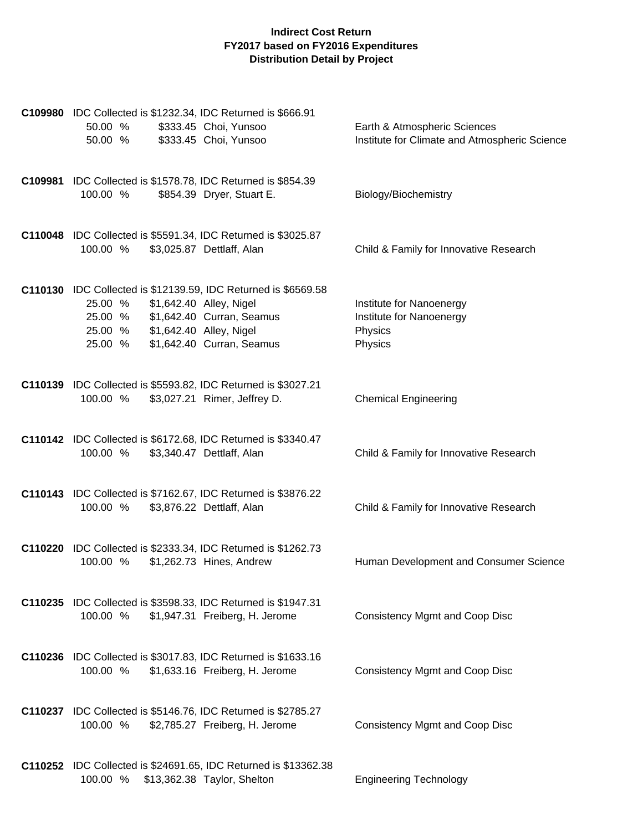| C109980 IDC Collected is \$1232.34, IDC Returned is \$666.91<br>50.00 %          | \$333.45 Choi, Yunsoo                                                  | Earth & Atmospheric Sciences                  |
|----------------------------------------------------------------------------------|------------------------------------------------------------------------|-----------------------------------------------|
| 50.00 %                                                                          | \$333.45 Choi, Yunsoo                                                  | Institute for Climate and Atmospheric Science |
| C109981 IDC Collected is \$1578.78, IDC Returned is \$854.39                     |                                                                        |                                               |
| 100.00 %                                                                         | \$854.39 Dryer, Stuart E.                                              | Biology/Biochemistry                          |
|                                                                                  |                                                                        |                                               |
| C110048 IDC Collected is \$5591.34, IDC Returned is \$3025.87<br>100.00 %        | \$3,025.87 Dettlaff, Alan                                              | Child & Family for Innovative Research        |
|                                                                                  |                                                                        |                                               |
| C110130 IDC Collected is \$12139.59, IDC Returned is \$6569.58<br>25.00 %        | \$1,642.40 Alley, Nigel                                                | Institute for Nanoenergy                      |
| 25.00 %                                                                          | \$1,642.40 Curran, Seamus                                              | Institute for Nanoenergy                      |
| 25.00 %<br>25.00 %                                                               | \$1,642.40 Alley, Nigel<br>\$1,642.40 Curran, Seamus                   | Physics<br>Physics                            |
|                                                                                  |                                                                        |                                               |
| C110139 IDC Collected is \$5593.82, IDC Returned is \$3027.21<br>100.00 %        | \$3,027.21 Rimer, Jeffrey D.                                           | <b>Chemical Engineering</b>                   |
|                                                                                  |                                                                        |                                               |
| C110142 IDC Collected is \$6172.68, IDC Returned is \$3340.47                    |                                                                        |                                               |
| 100.00 %                                                                         | \$3,340.47 Dettlaff, Alan                                              | Child & Family for Innovative Research        |
| C110143 IDC Collected is \$7162.67, IDC Returned is \$3876.22                    |                                                                        |                                               |
| 100.00 %                                                                         | \$3,876.22 Dettlaff, Alan                                              | Child & Family for Innovative Research        |
| C110220 IDC Collected is \$2333.34, IDC Returned is \$1262.73                    |                                                                        |                                               |
| 100.00 %                                                                         | \$1,262.73 Hines, Andrew                                               | Human Development and Consumer Science        |
| C110235 IDC Collected is \$3598.33, IDC Returned is \$1947.31                    |                                                                        |                                               |
| 100.00 %                                                                         | \$1,947.31 Freiberg, H. Jerome                                         | <b>Consistency Mgmt and Coop Disc</b>         |
|                                                                                  |                                                                        |                                               |
| C110236 IDC Collected is \$3017.83, IDC Returned is \$1633.16<br>100.00 %        | \$1,633.16 Freiberg, H. Jerome                                         | <b>Consistency Mgmt and Coop Disc</b>         |
|                                                                                  |                                                                        |                                               |
| <b>C110237</b> IDC Collected is \$5146.76, IDC Returned is \$2785.27<br>100.00 % | \$2,785.27 Freiberg, H. Jerome                                         | <b>Consistency Mgmt and Coop Disc</b>         |
|                                                                                  |                                                                        |                                               |
|                                                                                  | <b>C110252</b> IDC Collected is \$24691.65, IDC Returned is \$13362.38 |                                               |
| 100.00 %                                                                         | \$13,362.38 Taylor, Shelton                                            | <b>Engineering Technology</b>                 |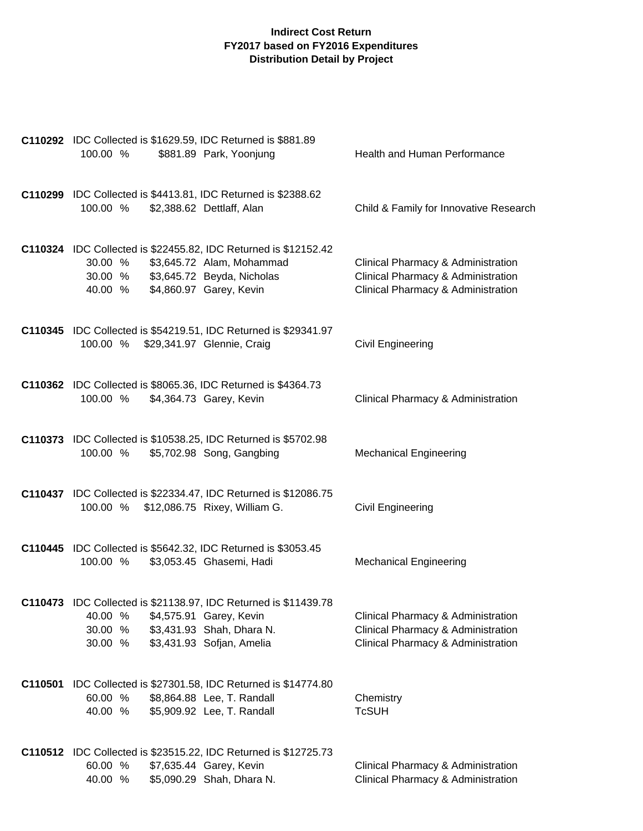| C110292 IDC Collected is \$1629.59, IDC Returned is \$881.89<br>100.00 %<br>\$881.89 Park, Yoonjung                                                                                    | Health and Human Performance                                                                                   |
|----------------------------------------------------------------------------------------------------------------------------------------------------------------------------------------|----------------------------------------------------------------------------------------------------------------|
| C110299 IDC Collected is \$4413.81, IDC Returned is \$2388.62<br>\$2,388.62 Dettlaff, Alan<br>100.00 %                                                                                 | Child & Family for Innovative Research                                                                         |
| C110324 IDC Collected is \$22455.82, IDC Returned is \$12152.42<br>30.00 %<br>\$3,645.72 Alam, Mohammad<br>\$3,645.72 Beyda, Nicholas<br>30.00 %<br>\$4,860.97 Garey, Kevin<br>40.00 % | Clinical Pharmacy & Administration<br>Clinical Pharmacy & Administration<br>Clinical Pharmacy & Administration |
| C110345 IDC Collected is \$54219.51, IDC Returned is \$29341.97<br>100.00 % \$29,341.97 Glennie, Craig                                                                                 | Civil Engineering                                                                                              |
| C110362 IDC Collected is \$8065.36, IDC Returned is \$4364.73<br>100.00 %<br>\$4,364.73 Garey, Kevin                                                                                   | Clinical Pharmacy & Administration                                                                             |
| C110373 IDC Collected is \$10538.25, IDC Returned is \$5702.98<br>100.00 %<br>\$5,702.98 Song, Gangbing                                                                                | <b>Mechanical Engineering</b>                                                                                  |
| C110437 IDC Collected is \$22334.47, IDC Returned is \$12086.75<br>100.00 % \$12,086.75 Rixey, William G.                                                                              | Civil Engineering                                                                                              |
| C110445 IDC Collected is \$5642.32, IDC Returned is \$3053.45<br>\$3,053.45 Ghasemi, Hadi<br>100.00 %                                                                                  | <b>Mechanical Engineering</b>                                                                                  |
| C110473 IDC Collected is \$21138.97, IDC Returned is \$11439.78<br>40.00 %<br>\$4,575.91 Garey, Kevin<br>\$3,431.93 Shah, Dhara N.<br>30.00 %<br>\$3,431.93 Sofjan, Amelia<br>30.00 %  | Clinical Pharmacy & Administration<br>Clinical Pharmacy & Administration<br>Clinical Pharmacy & Administration |
| C110501 IDC Collected is \$27301.58, IDC Returned is \$14774.80<br>60.00 %<br>\$8,864.88 Lee, T. Randall<br>40.00 %<br>\$5,909.92 Lee, T. Randall                                      | Chemistry<br><b>TcSUH</b>                                                                                      |
| C110512 IDC Collected is \$23515.22, IDC Returned is \$12725.73<br>60.00 %<br>\$7,635.44 Garey, Kevin<br>40.00 %<br>\$5,090.29 Shah, Dhara N.                                          | Clinical Pharmacy & Administration<br>Clinical Pharmacy & Administration                                       |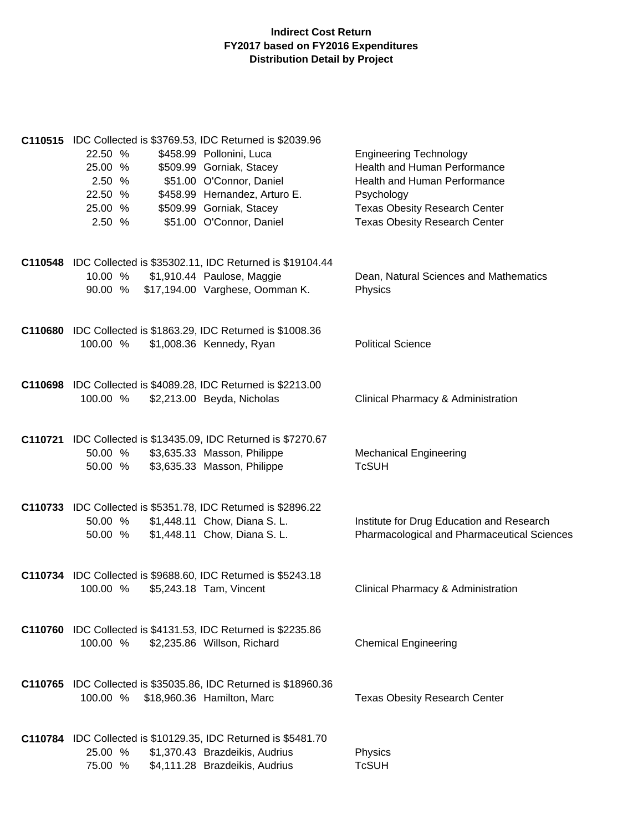| C110515 IDC Collected is \$3769.53, IDC Returned is \$2039.96<br>22.50 %<br>\$458.99 Pollonini, Luca<br>25.00 %<br>\$509.99 Gorniak, Stacey<br>\$51.00 O'Connor, Daniel<br>2.50 %<br>22.50 %<br>\$458.99 Hernandez, Arturo E.<br>25.00 %<br>\$509.99 Gorniak, Stacey<br>\$51.00 O'Connor, Daniel<br>2.50 % | <b>Engineering Technology</b><br>Health and Human Performance<br>Health and Human Performance<br>Psychology<br><b>Texas Obesity Research Center</b><br><b>Texas Obesity Research Center</b> |
|------------------------------------------------------------------------------------------------------------------------------------------------------------------------------------------------------------------------------------------------------------------------------------------------------------|---------------------------------------------------------------------------------------------------------------------------------------------------------------------------------------------|
| C110548 IDC Collected is \$35302.11, IDC Returned is \$19104.44<br>10.00 %<br>\$1,910.44 Paulose, Maggie<br>\$17,194.00 Varghese, Oomman K.<br>90.00 %                                                                                                                                                     | Dean, Natural Sciences and Mathematics<br>Physics                                                                                                                                           |
| C110680 IDC Collected is \$1863.29, IDC Returned is \$1008.36<br>\$1,008.36 Kennedy, Ryan<br>100.00 %                                                                                                                                                                                                      | <b>Political Science</b>                                                                                                                                                                    |
| C110698 IDC Collected is \$4089.28, IDC Returned is \$2213.00<br>100.00 %<br>\$2,213.00 Beyda, Nicholas                                                                                                                                                                                                    | Clinical Pharmacy & Administration                                                                                                                                                          |
| C110721 IDC Collected is \$13435.09, IDC Returned is \$7270.67<br>\$3,635.33 Masson, Philippe<br>50.00 %<br>\$3,635.33 Masson, Philippe<br>50.00 %                                                                                                                                                         | <b>Mechanical Engineering</b><br><b>TcSUH</b>                                                                                                                                               |
| C110733 IDC Collected is \$5351.78, IDC Returned is \$2896.22<br>\$1,448.11 Chow, Diana S. L.<br>50.00 %<br>\$1,448.11 Chow, Diana S. L.<br>50.00 %                                                                                                                                                        | Institute for Drug Education and Research<br>Pharmacological and Pharmaceutical Sciences                                                                                                    |
| C110734 IDC Collected is \$9688.60, IDC Returned is \$5243.18<br>100.00 %<br>\$5,243.18 Tam, Vincent                                                                                                                                                                                                       | Clinical Pharmacy & Administration                                                                                                                                                          |
| <b>C110760</b> IDC Collected is \$4131.53, IDC Returned is \$2235.86<br>100.00 %<br>\$2,235.86 Willson, Richard                                                                                                                                                                                            | <b>Chemical Engineering</b>                                                                                                                                                                 |
| <b>C110765</b> IDC Collected is \$35035.86, IDC Returned is \$18960.36<br>100.00 %<br>\$18,960.36 Hamilton, Marc                                                                                                                                                                                           | <b>Texas Obesity Research Center</b>                                                                                                                                                        |
| C110784 IDC Collected is \$10129.35, IDC Returned is \$5481.70<br>25.00 %<br>\$1,370.43 Brazdeikis, Audrius<br>\$4,111.28 Brazdeikis, Audrius<br>75.00 %                                                                                                                                                   | Physics<br><b>TcSUH</b>                                                                                                                                                                     |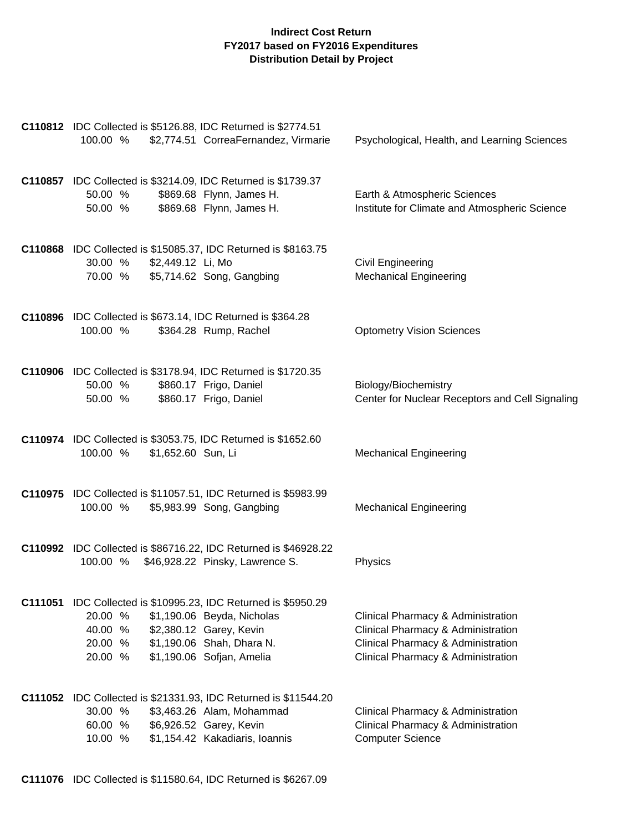|         | C110812 IDC Collected is \$5126.88, IDC Returned is \$2774.51<br>\$2,774.51 CorreaFernandez, Virmarie<br>100.00 %                                                                                                     | Psychological, Health, and Learning Sciences                                                                                                         |
|---------|-----------------------------------------------------------------------------------------------------------------------------------------------------------------------------------------------------------------------|------------------------------------------------------------------------------------------------------------------------------------------------------|
|         | C110857 IDC Collected is \$3214.09, IDC Returned is \$1739.37<br>\$869.68 Flynn, James H.<br>50.00 %<br>\$869.68 Flynn, James H.<br>50.00 %                                                                           | Earth & Atmospheric Sciences<br>Institute for Climate and Atmospheric Science                                                                        |
|         | C110868 IDC Collected is \$15085.37, IDC Returned is \$8163.75<br>30.00 % \$2,449.12 Li, Mo<br>\$5,714.62 Song, Gangbing<br>70.00 %                                                                                   | Civil Engineering<br><b>Mechanical Engineering</b>                                                                                                   |
|         | C110896 IDC Collected is \$673.14, IDC Returned is \$364.28<br>\$364.28 Rump, Rachel<br>100.00 %                                                                                                                      | <b>Optometry Vision Sciences</b>                                                                                                                     |
|         | C110906 IDC Collected is \$3178.94, IDC Returned is \$1720.35<br>\$860.17 Frigo, Daniel<br>50.00 %<br>\$860.17 Frigo, Daniel<br>50.00 %                                                                               | Biology/Biochemistry<br>Center for Nuclear Receptors and Cell Signaling                                                                              |
|         | C110974 IDC Collected is \$3053.75, IDC Returned is \$1652.60<br>\$1,652.60 Sun, Li<br>100.00 %                                                                                                                       | <b>Mechanical Engineering</b>                                                                                                                        |
|         | C110975 IDC Collected is \$11057.51, IDC Returned is \$5983.99<br>\$5,983.99 Song, Gangbing<br>100.00 %                                                                                                               | <b>Mechanical Engineering</b>                                                                                                                        |
|         | C110992 IDC Collected is \$86716.22, IDC Returned is \$46928.22<br>100.00 %<br>\$46,928.22 Pinsky, Lawrence S.                                                                                                        | Physics                                                                                                                                              |
| C111051 | IDC Collected is \$10995.23, IDC Returned is \$5950.29<br>20.00 %<br>\$1,190.06 Beyda, Nicholas<br>\$2,380.12 Garey, Kevin<br>40.00 %<br>\$1,190.06 Shah, Dhara N.<br>20.00 %<br>\$1,190.06 Sofjan, Amelia<br>20.00 % | Clinical Pharmacy & Administration<br>Clinical Pharmacy & Administration<br>Clinical Pharmacy & Administration<br>Clinical Pharmacy & Administration |
|         | C111052 IDC Collected is \$21331.93, IDC Returned is \$11544.20<br>30.00 %<br>\$3,463.26 Alam, Mohammad<br>60.00 %<br>\$6,926.52 Garey, Kevin<br>\$1,154.42 Kakadiaris, Ioannis<br>10.00 %                            | Clinical Pharmacy & Administration<br>Clinical Pharmacy & Administration<br><b>Computer Science</b>                                                  |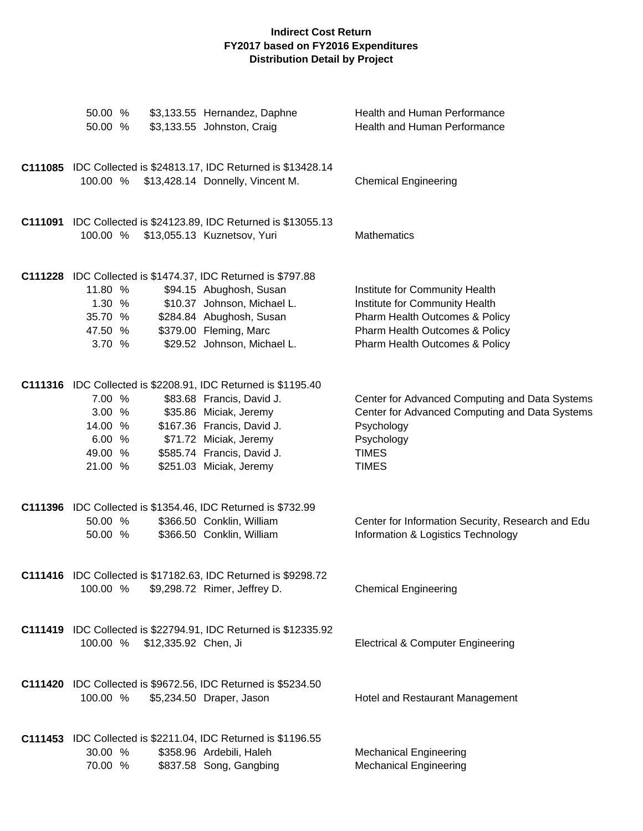| 50.00 %<br>50.00 %                                                                                                          | \$3,133.55 Hernandez, Daphne<br>\$3,133.55 Johnston, Craig                                                                                                           | Health and Human Performance<br>Health and Human Performance                                                                                                           |
|-----------------------------------------------------------------------------------------------------------------------------|----------------------------------------------------------------------------------------------------------------------------------------------------------------------|------------------------------------------------------------------------------------------------------------------------------------------------------------------------|
| 100.00 %                                                                                                                    | C111085 IDC Collected is \$24813.17, IDC Returned is \$13428.14<br>\$13,428.14 Donnelly, Vincent M.                                                                  | <b>Chemical Engineering</b>                                                                                                                                            |
| 100.00 %                                                                                                                    | C111091 IDC Collected is \$24123.89, IDC Returned is \$13055.13<br>\$13,055.13 Kuznetsov, Yuri                                                                       | Mathematics                                                                                                                                                            |
| C111228 IDC Collected is \$1474.37, IDC Returned is \$797.88<br>11.80 %<br>1.30 %<br>35.70 %<br>47.50 %<br>3.70 %           | \$94.15 Abughosh, Susan<br>\$10.37 Johnson, Michael L.<br>\$284.84 Abughosh, Susan<br>\$379.00 Fleming, Marc<br>\$29.52 Johnson, Michael L.                          | Institute for Community Health<br>Institute for Community Health<br>Pharm Health Outcomes & Policy<br>Pharm Health Outcomes & Policy<br>Pharm Health Outcomes & Policy |
| C111316 IDC Collected is \$2208.91, IDC Returned is \$1195.40<br>7.00 %<br>3.00%<br>14.00 %<br>6.00 %<br>49.00 %<br>21.00 % | \$83.68 Francis, David J.<br>\$35.86 Miciak, Jeremy<br>\$167.36 Francis, David J.<br>\$71.72 Miciak, Jeremy<br>\$585.74 Francis, David J.<br>\$251.03 Miciak, Jeremy | Center for Advanced Computing and Data Systems<br>Center for Advanced Computing and Data Systems<br>Psychology<br>Psychology<br><b>TIMES</b><br><b>TIMES</b>           |
| C111396 IDC Collected is \$1354.46, IDC Returned is \$732.99<br>50.00 %<br>50.00 %                                          | \$366.50 Conklin, William<br>\$366.50 Conklin, William                                                                                                               | Center for Information Security, Research and Edu<br>Information & Logistics Technology                                                                                |
| 100.00 %                                                                                                                    | C111416 IDC Collected is \$17182.63, IDC Returned is \$9298.72<br>\$9,298.72 Rimer, Jeffrey D.                                                                       | <b>Chemical Engineering</b>                                                                                                                                            |
| 100.00 %<br>\$12,335.92 Chen, Ji                                                                                            | <b>C111419</b> IDC Collected is \$22794.91, IDC Returned is \$12335.92                                                                                               | <b>Electrical &amp; Computer Engineering</b>                                                                                                                           |
| C111420 IDC Collected is \$9672.56, IDC Returned is \$5234.50<br>100.00 %                                                   | \$5,234.50 Draper, Jason                                                                                                                                             | Hotel and Restaurant Management                                                                                                                                        |
| C111453 IDC Collected is \$2211.04, IDC Returned is \$1196.55<br>30.00 %<br>70.00 %                                         | \$358.96 Ardebili, Haleh<br>\$837.58 Song, Gangbing                                                                                                                  | <b>Mechanical Engineering</b><br><b>Mechanical Engineering</b>                                                                                                         |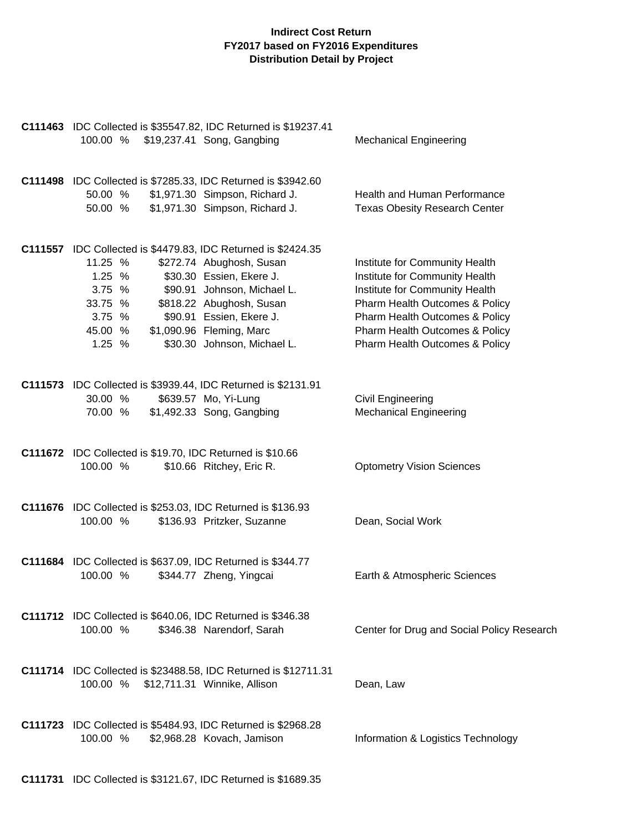| C111463 IDC Collected is \$35547.82, IDC Returned is \$19237.41<br>\$19,237.41 Song, Gangbing<br>100.00 %                                                                                                                                                                                                                                       | <b>Mechanical Engineering</b>                                                                                                                                                                                                              |
|-------------------------------------------------------------------------------------------------------------------------------------------------------------------------------------------------------------------------------------------------------------------------------------------------------------------------------------------------|--------------------------------------------------------------------------------------------------------------------------------------------------------------------------------------------------------------------------------------------|
| C111498 IDC Collected is \$7285.33, IDC Returned is \$3942.60<br>\$1,971.30 Simpson, Richard J.<br>50.00 %<br>\$1,971.30 Simpson, Richard J.<br>50.00 %                                                                                                                                                                                         | Health and Human Performance<br><b>Texas Obesity Research Center</b>                                                                                                                                                                       |
| C111557 IDC Collected is \$4479.83, IDC Returned is \$2424.35<br>11.25 %<br>\$272.74 Abughosh, Susan<br>1.25 %<br>\$30.30 Essien, Ekere J.<br>3.75 %<br>\$90.91 Johnson, Michael L.<br>33.75 %<br>\$818.22 Abughosh, Susan<br>3.75 %<br>\$90.91 Essien, Ekere J.<br>\$1,090.96 Fleming, Marc<br>45.00 %<br>\$30.30 Johnson, Michael L.<br>1.25% | Institute for Community Health<br>Institute for Community Health<br>Institute for Community Health<br>Pharm Health Outcomes & Policy<br>Pharm Health Outcomes & Policy<br>Pharm Health Outcomes & Policy<br>Pharm Health Outcomes & Policy |
| C111573 IDC Collected is \$3939.44, IDC Returned is \$2131.91<br>30.00 %<br>\$639.57 Mo, Yi-Lung<br>\$1,492.33 Song, Gangbing<br>70.00 %                                                                                                                                                                                                        | Civil Engineering<br><b>Mechanical Engineering</b>                                                                                                                                                                                         |
| C111672 IDC Collected is \$19.70, IDC Returned is \$10.66<br>100.00 %<br>\$10.66 Ritchey, Eric R.                                                                                                                                                                                                                                               | <b>Optometry Vision Sciences</b>                                                                                                                                                                                                           |
| C111676 IDC Collected is \$253.03, IDC Returned is \$136.93<br>100.00 %<br>\$136.93 Pritzker, Suzanne                                                                                                                                                                                                                                           | Dean, Social Work                                                                                                                                                                                                                          |
| C111684 IDC Collected is \$637.09, IDC Returned is \$344.77<br>100.00 %<br>\$344.77 Zheng, Yingcai                                                                                                                                                                                                                                              | Earth & Atmospheric Sciences                                                                                                                                                                                                               |
| C111712 IDC Collected is \$640.06, IDC Returned is \$346.38<br>100.00 %<br>\$346.38 Narendorf, Sarah                                                                                                                                                                                                                                            | Center for Drug and Social Policy Research                                                                                                                                                                                                 |
| C111714 IDC Collected is \$23488.58, IDC Returned is \$12711.31<br>100.00 % \$12,711.31 Winnike, Allison                                                                                                                                                                                                                                        | Dean, Law                                                                                                                                                                                                                                  |
| C111723 IDC Collected is \$5484.93, IDC Returned is \$2968.28<br>100.00 %<br>\$2,968.28 Kovach, Jamison                                                                                                                                                                                                                                         | Information & Logistics Technology                                                                                                                                                                                                         |

**C111731** IDC Collected is \$3121.67, IDC Returned is \$1689.35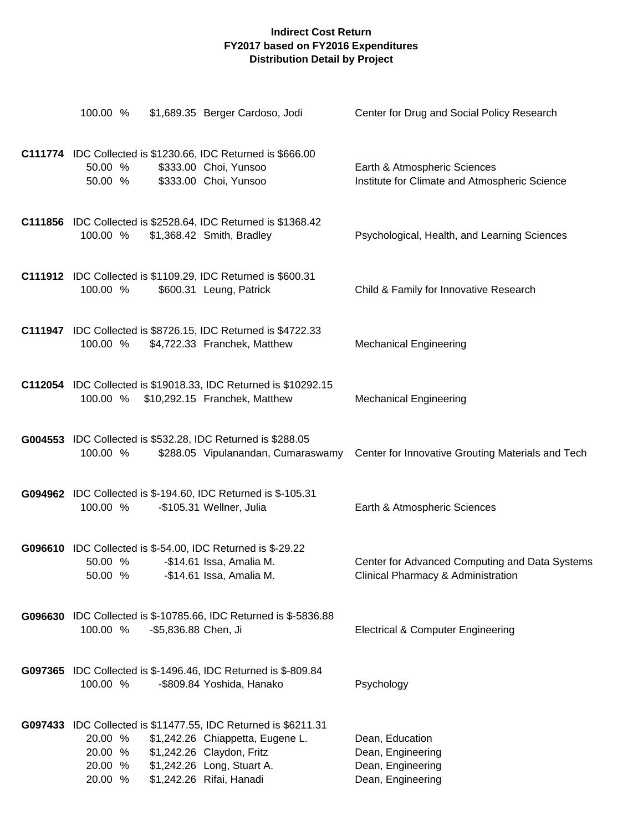| 100.00 %                                                                                                   | \$1,689.35 Berger Cardoso, Jodi                                                                                         | Center for Drug and Social Policy Research                                           |
|------------------------------------------------------------------------------------------------------------|-------------------------------------------------------------------------------------------------------------------------|--------------------------------------------------------------------------------------|
| C111774 IDC Collected is \$1230.66, IDC Returned is \$666.00<br>50.00 %<br>50.00 %                         | \$333.00 Choi, Yunsoo<br>\$333.00 Choi, Yunsoo                                                                          | Earth & Atmospheric Sciences<br>Institute for Climate and Atmospheric Science        |
| C111856 IDC Collected is \$2528.64, IDC Returned is \$1368.42<br>100.00 %                                  | \$1,368.42 Smith, Bradley                                                                                               | Psychological, Health, and Learning Sciences                                         |
| C111912 IDC Collected is \$1109.29, IDC Returned is \$600.31<br>100.00 %                                   | \$600.31 Leung, Patrick                                                                                                 | Child & Family for Innovative Research                                               |
| C111947 IDC Collected is \$8726.15, IDC Returned is \$4722.33<br>100.00 %                                  | \$4,722.33 Franchek, Matthew                                                                                            | <b>Mechanical Engineering</b>                                                        |
| 100.00 %                                                                                                   | C112054 IDC Collected is \$19018.33, IDC Returned is \$10292.15<br>\$10,292.15 Franchek, Matthew                        | <b>Mechanical Engineering</b>                                                        |
| G004553 IDC Collected is \$532.28, IDC Returned is \$288.05<br>100.00 %                                    | \$288.05 Vipulanandan, Cumaraswamy                                                                                      | Center for Innovative Grouting Materials and Tech                                    |
| G094962 IDC Collected is \$-194.60, IDC Returned is \$-105.31<br>100.00 %                                  | -\$105.31 Wellner, Julia                                                                                                | Earth & Atmospheric Sciences                                                         |
| <b>G096610</b> IDC Collected is \$-54.00, IDC Returned is \$-29.22<br>50.00 %<br>50.00 %                   | -\$14.61 Issa, Amalia M.<br>-\$14.61 Issa, Amalia M.                                                                    | Center for Advanced Computing and Data Systems<br>Clinical Pharmacy & Administration |
| 100.00 %<br>-\$5,836.88 Chen, Ji                                                                           | G096630 IDC Collected is \$-10785.66, IDC Returned is \$-5836.88                                                        | <b>Electrical &amp; Computer Engineering</b>                                         |
| G097365 IDC Collected is \$-1496.46, IDC Returned is \$-809.84<br>100.00 %                                 | -\$809.84 Yoshida, Hanako                                                                                               | Psychology                                                                           |
| G097433 IDC Collected is \$11477.55, IDC Returned is \$6211.31<br>20.00 %<br>20.00 %<br>20.00 %<br>20.00 % | \$1,242.26 Chiappetta, Eugene L.<br>\$1,242.26 Claydon, Fritz<br>\$1,242.26 Long, Stuart A.<br>\$1,242.26 Rifai, Hanadi | Dean, Education<br>Dean, Engineering<br>Dean, Engineering<br>Dean, Engineering       |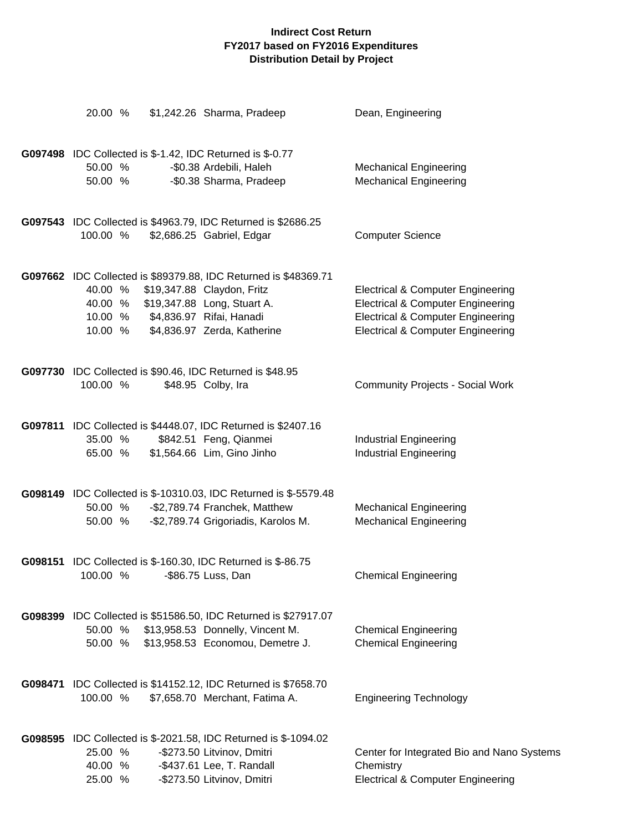|         | 20.00 %                                  | \$1,242.26 Sharma, Pradeep                                                                                                                                                              | Dean, Engineering                                                                                                                                                                            |
|---------|------------------------------------------|-----------------------------------------------------------------------------------------------------------------------------------------------------------------------------------------|----------------------------------------------------------------------------------------------------------------------------------------------------------------------------------------------|
|         | 50.00 %<br>50.00 %                       | G097498 IDC Collected is \$-1.42, IDC Returned is \$-0.77<br>-\$0.38 Ardebili, Haleh<br>-\$0.38 Sharma, Pradeep                                                                         | <b>Mechanical Engineering</b><br><b>Mechanical Engineering</b>                                                                                                                               |
|         | 100.00 %                                 | G097543 IDC Collected is \$4963.79, IDC Returned is \$2686.25<br>\$2,686.25 Gabriel, Edgar                                                                                              | <b>Computer Science</b>                                                                                                                                                                      |
|         | 40.00 %<br>40.00 %<br>10.00 %<br>10.00 % | G097662 IDC Collected is \$89379.88, IDC Returned is \$48369.71<br>\$19,347.88 Claydon, Fritz<br>\$19,347.88 Long, Stuart A.<br>\$4,836.97 Rifai, Hanadi<br>\$4,836.97 Zerda, Katherine | <b>Electrical &amp; Computer Engineering</b><br><b>Electrical &amp; Computer Engineering</b><br><b>Electrical &amp; Computer Engineering</b><br><b>Electrical &amp; Computer Engineering</b> |
|         | 100.00 %                                 | G097730 IDC Collected is \$90.46, IDC Returned is \$48.95<br>\$48.95 Colby, Ira                                                                                                         | <b>Community Projects - Social Work</b>                                                                                                                                                      |
|         | 35.00 %<br>65.00 %                       | G097811 IDC Collected is \$4448.07, IDC Returned is \$2407.16<br>\$842.51 Feng, Qianmei<br>\$1,564.66 Lim, Gino Jinho                                                                   | <b>Industrial Engineering</b><br><b>Industrial Engineering</b>                                                                                                                               |
|         | 50.00 %<br>50.00 %                       | G098149 IDC Collected is \$-10310.03, IDC Returned is \$-5579.48<br>-\$2,789.74 Franchek, Matthew<br>-\$2,789.74 Grigoriadis, Karolos M.                                                | <b>Mechanical Engineering</b><br><b>Mechanical Engineering</b>                                                                                                                               |
| G098151 | 100.00 %                                 | IDC Collected is \$-160.30, IDC Returned is \$-86.75<br>-\$86.75 Luss, Dan                                                                                                              | <b>Chemical Engineering</b>                                                                                                                                                                  |
|         | 50.00 %<br>50.00 %                       | G098399 IDC Collected is \$51586.50, IDC Returned is \$27917.07<br>\$13,958.53 Donnelly, Vincent M.<br>\$13,958.53 Economou, Demetre J.                                                 | <b>Chemical Engineering</b><br><b>Chemical Engineering</b>                                                                                                                                   |
|         | 100.00 %                                 | G098471 IDC Collected is \$14152.12, IDC Returned is \$7658.70<br>\$7,658.70 Merchant, Fatima A.                                                                                        | <b>Engineering Technology</b>                                                                                                                                                                |
|         | 25.00 %<br>40.00 %<br>25.00 %            | G098595 IDC Collected is \$-2021.58, IDC Returned is \$-1094.02<br>-\$273.50 Litvinov, Dmitri<br>-\$437.61 Lee, T. Randall<br>-\$273.50 Litvinov, Dmitri                                | Center for Integrated Bio and Nano Systems<br>Chemistry<br><b>Electrical &amp; Computer Engineering</b>                                                                                      |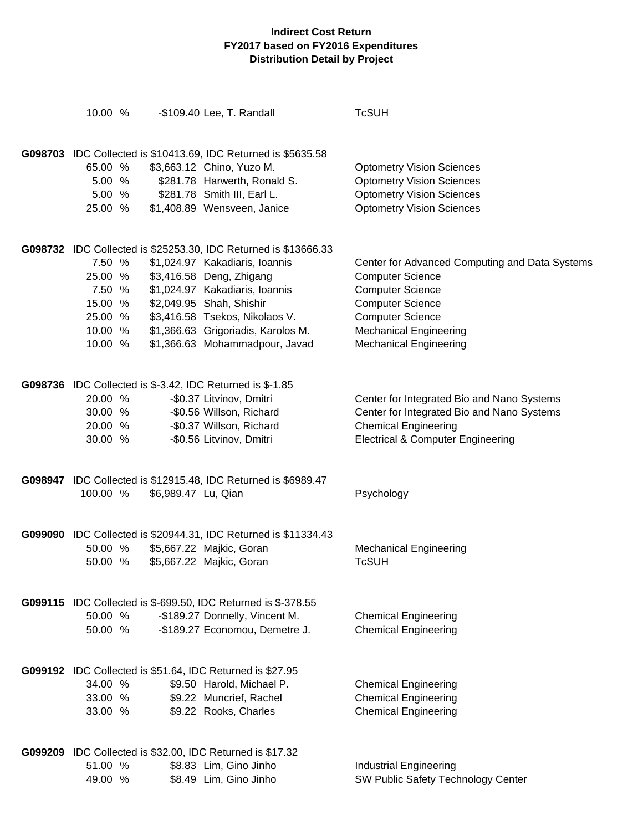| 10.00 %            |                     | -\$109.40 Lee, T. Randall                                            | <b>TcSUH</b>                                                        |
|--------------------|---------------------|----------------------------------------------------------------------|---------------------------------------------------------------------|
|                    |                     |                                                                      |                                                                     |
|                    |                     | G098703 IDC Collected is \$10413.69, IDC Returned is \$5635.58       |                                                                     |
| 65.00 %            |                     | \$3,663.12 Chino, Yuzo M.                                            | <b>Optometry Vision Sciences</b>                                    |
| 5.00 %             |                     | \$281.78 Harwerth, Ronald S.                                         | <b>Optometry Vision Sciences</b>                                    |
| 5.00 %             |                     | \$281.78 Smith III, Earl L.                                          | <b>Optometry Vision Sciences</b>                                    |
| 25.00 %            |                     | \$1,408.89 Wensveen, Janice                                          | <b>Optometry Vision Sciences</b>                                    |
|                    |                     | G098732 IDC Collected is \$25253.30, IDC Returned is \$13666.33      |                                                                     |
| 7.50 %             |                     | \$1,024.97 Kakadiaris, Ioannis                                       | Center for Advanced Computing and Data Systems                      |
| 25.00 %            |                     | \$3,416.58 Deng, Zhigang                                             | <b>Computer Science</b>                                             |
| 7.50 %             |                     | \$1,024.97 Kakadiaris, Ioannis                                       | <b>Computer Science</b>                                             |
| 15.00 %            |                     | \$2,049.95 Shah, Shishir                                             | <b>Computer Science</b>                                             |
| 25.00 %            |                     | \$3,416.58 Tsekos, Nikolaos V.                                       | <b>Computer Science</b>                                             |
| 10.00 %            |                     | \$1,366.63 Grigoriadis, Karolos M.                                   | <b>Mechanical Engineering</b>                                       |
| 10.00 %            |                     | \$1,366.63 Mohammadpour, Javad                                       | <b>Mechanical Engineering</b>                                       |
|                    |                     |                                                                      |                                                                     |
|                    |                     | <b>G098736</b> IDC Collected is \$-3.42, IDC Returned is \$-1.85     |                                                                     |
| 20.00 %            |                     | -\$0.37 Litvinov, Dmitri                                             | Center for Integrated Bio and Nano Systems                          |
| 30.00 %            |                     | -\$0.56 Willson, Richard                                             | Center for Integrated Bio and Nano Systems                          |
| 20.00 %            |                     | -\$0.37 Willson, Richard                                             | <b>Chemical Engineering</b>                                         |
| 30.00 %            |                     | -\$0.56 Litvinov, Dmitri                                             | <b>Electrical &amp; Computer Engineering</b>                        |
|                    |                     | G098947 IDC Collected is \$12915.48, IDC Returned is \$6989.47       |                                                                     |
| 100.00 %           | \$6,989.47 Lu, Qian |                                                                      | Psychology                                                          |
|                    |                     |                                                                      |                                                                     |
| 50.00 %            |                     | G099090 IDC Collected is \$20944.31, IDC Returned is \$11334.43      |                                                                     |
| 50.00 %            |                     | \$5,667.22 Majkic, Goran<br>\$5,667.22 Majkic, Goran                 | <b>Mechanical Engineering</b><br><b>TcSUH</b>                       |
|                    |                     |                                                                      |                                                                     |
|                    |                     | <b>G099115</b> IDC Collected is \$-699.50, IDC Returned is \$-378.55 |                                                                     |
| 50.00 %            |                     | -\$189.27 Donnelly, Vincent M.                                       | <b>Chemical Engineering</b>                                         |
| 50.00 %            |                     | -\$189.27 Economou, Demetre J.                                       | <b>Chemical Engineering</b>                                         |
|                    |                     | G099192 IDC Collected is \$51.64, IDC Returned is \$27.95            |                                                                     |
| 34.00 %            |                     | \$9.50 Harold, Michael P.                                            | <b>Chemical Engineering</b>                                         |
| 33.00 %            |                     | \$9.22 Muncrief, Rachel                                              | <b>Chemical Engineering</b>                                         |
| 33.00 %            |                     | \$9.22 Rooks, Charles                                                | <b>Chemical Engineering</b>                                         |
|                    |                     |                                                                      |                                                                     |
|                    |                     | G099209 IDC Collected is \$32.00, IDC Returned is \$17.32            |                                                                     |
| 51.00 %<br>49.00 % |                     | \$8.83 Lim, Gino Jinho<br>\$8.49 Lim, Gino Jinho                     | <b>Industrial Engineering</b><br>SW Public Safety Technology Center |
|                    |                     |                                                                      |                                                                     |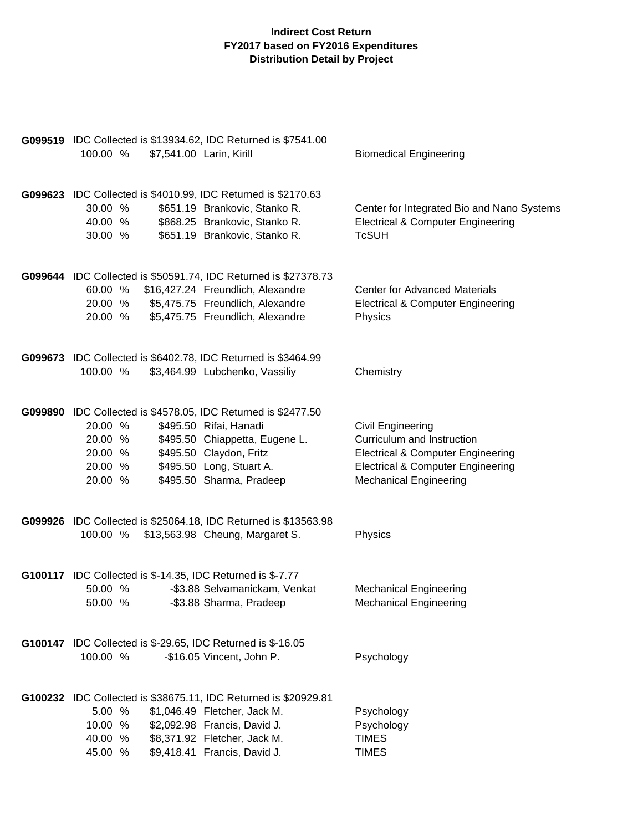| 100.00 %                                            | G099519 IDC Collected is \$13934.62, IDC Returned is \$7541.00<br>\$7,541.00 Larin, Kirill                                                                                                                   | <b>Biomedical Engineering</b>                                                                                                                                                    |
|-----------------------------------------------------|--------------------------------------------------------------------------------------------------------------------------------------------------------------------------------------------------------------|----------------------------------------------------------------------------------------------------------------------------------------------------------------------------------|
| 30.00 %<br>40.00 %<br>30.00 %                       | G099623 IDC Collected is \$4010.99, IDC Returned is \$2170.63<br>\$651.19 Brankovic, Stanko R.<br>\$868.25 Brankovic, Stanko R.<br>\$651.19 Brankovic, Stanko R.                                             | Center for Integrated Bio and Nano Systems<br><b>Electrical &amp; Computer Engineering</b><br><b>TcSUH</b>                                                                       |
| 20.00 %<br>20.00 %                                  | G099644 IDC Collected is \$50591.74, IDC Returned is \$27378.73<br>60.00 % \$16,427.24 Freundlich, Alexandre<br>\$5,475.75 Freundlich, Alexandre<br>\$5,475.75 Freundlich, Alexandre                         | <b>Center for Advanced Materials</b><br><b>Electrical &amp; Computer Engineering</b><br>Physics                                                                                  |
| 100.00 %                                            | G099673 IDC Collected is \$6402.78, IDC Returned is \$3464.99<br>\$3,464.99 Lubchenko, Vassiliy                                                                                                              | Chemistry                                                                                                                                                                        |
| 20.00 %<br>20.00 %<br>20.00 %<br>20.00 %<br>20.00 % | G099890 IDC Collected is \$4578.05, IDC Returned is \$2477.50<br>\$495.50 Rifai, Hanadi<br>\$495.50 Chiappetta, Eugene L.<br>\$495.50 Claydon, Fritz<br>\$495.50 Long, Stuart A.<br>\$495.50 Sharma, Pradeep | Civil Engineering<br>Curriculum and Instruction<br><b>Electrical &amp; Computer Engineering</b><br><b>Electrical &amp; Computer Engineering</b><br><b>Mechanical Engineering</b> |
|                                                     | G099926 IDC Collected is \$25064.18, IDC Returned is \$13563.98<br>100.00 % \$13,563.98 Cheung, Margaret S.                                                                                                  | Physics                                                                                                                                                                          |
| 50.00 %<br>50.00 %                                  | <b>G100117</b> IDC Collected is \$-14.35, IDC Returned is \$-7.77<br>-\$3.88 Selvamanickam, Venkat<br>-\$3.88 Sharma, Pradeep                                                                                | <b>Mechanical Engineering</b><br><b>Mechanical Engineering</b>                                                                                                                   |
| 100.00 %                                            | <b>G100147</b> IDC Collected is \$-29.65, IDC Returned is \$-16.05<br>-\$16.05 Vincent, John P.                                                                                                              | Psychology                                                                                                                                                                       |
| 5.00 %<br>10.00 %<br>40.00 %<br>45.00 %             | G100232 IDC Collected is \$38675.11, IDC Returned is \$20929.81<br>\$1,046.49 Fletcher, Jack M.<br>\$2,092.98 Francis, David J.<br>\$8,371.92 Fletcher, Jack M.<br>\$9,418.41 Francis, David J.              | Psychology<br>Psychology<br><b>TIMES</b><br><b>TIMES</b>                                                                                                                         |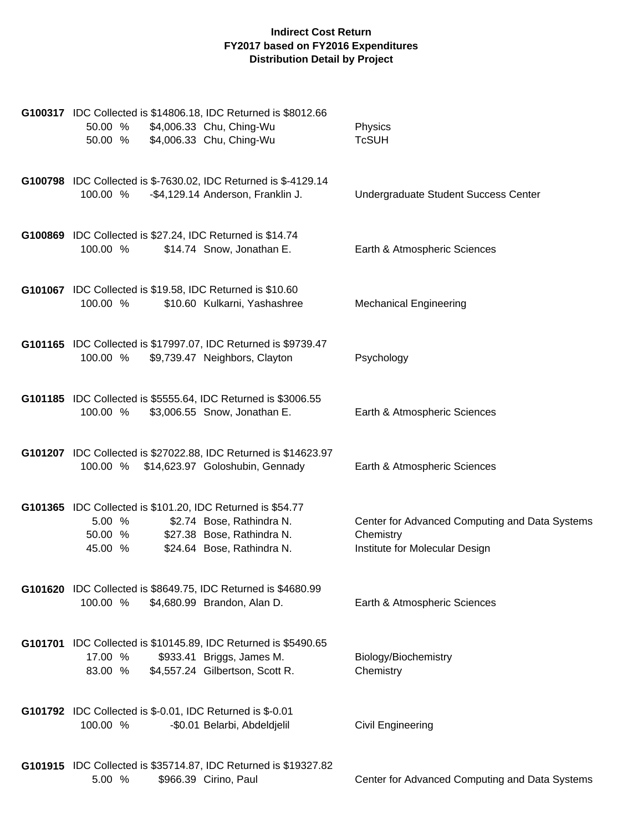| G100317 IDC Collected is \$14806.18, IDC Returned is \$8012.66<br>\$4,006.33 Chu, Ching-Wu<br>50.00 %<br>\$4,006.33 Chu, Ching-Wu<br>50.00 %                                        | Physics<br><b>TcSUH</b>                                                                       |
|-------------------------------------------------------------------------------------------------------------------------------------------------------------------------------------|-----------------------------------------------------------------------------------------------|
| G100798 IDC Collected is \$-7630.02, IDC Returned is \$-4129.14<br>-\$4,129.14 Anderson, Franklin J.<br>100.00 %                                                                    | Undergraduate Student Success Center                                                          |
| G100869 IDC Collected is \$27.24, IDC Returned is \$14.74<br>100.00 %<br>\$14.74 Snow, Jonathan E.                                                                                  | Earth & Atmospheric Sciences                                                                  |
| <b>G101067</b> IDC Collected is \$19.58, IDC Returned is \$10.60<br>100.00 %<br>\$10.60 Kulkarni, Yashashree                                                                        | <b>Mechanical Engineering</b>                                                                 |
| G101165 IDC Collected is \$17997.07, IDC Returned is \$9739.47<br>100.00 %<br>\$9,739.47 Neighbors, Clayton                                                                         | Psychology                                                                                    |
| G101185 IDC Collected is \$5555.64, IDC Returned is \$3006.55<br>\$3,006.55 Snow, Jonathan E.<br>100.00 %                                                                           | Earth & Atmospheric Sciences                                                                  |
| G101207 IDC Collected is \$27022.88, IDC Returned is \$14623.97<br>100.00 %<br>\$14,623.97 Goloshubin, Gennady                                                                      | Earth & Atmospheric Sciences                                                                  |
| G101365 IDC Collected is \$101.20, IDC Returned is \$54.77<br>5.00 %<br>\$2.74 Bose, Rathindra N.<br>\$27.38 Bose, Rathindra N.<br>50.00 %<br>\$24.64 Bose, Rathindra N.<br>45.00 % | Center for Advanced Computing and Data Systems<br>Chemistry<br>Institute for Molecular Design |
| G101620 IDC Collected is \$8649.75, IDC Returned is \$4680.99<br>100.00 %<br>\$4,680.99 Brandon, Alan D.                                                                            | Earth & Atmospheric Sciences                                                                  |
| G101701 IDC Collected is \$10145.89, IDC Returned is \$5490.65<br>17.00 %<br>\$933.41 Briggs, James M.<br>\$4,557.24 Gilbertson, Scott R.<br>83.00 %                                | Biology/Biochemistry<br>Chemistry                                                             |
| G101792 IDC Collected is \$-0.01, IDC Returned is \$-0.01<br>100.00 %<br>-\$0.01 Belarbi, Abdeldjelil                                                                               | <b>Civil Engineering</b>                                                                      |
| G101915 IDC Collected is \$35714.87, IDC Returned is \$19327.82<br>5.00 %<br>\$966.39 Cirino, Paul                                                                                  | Center for Advanced Computing and Data Systems                                                |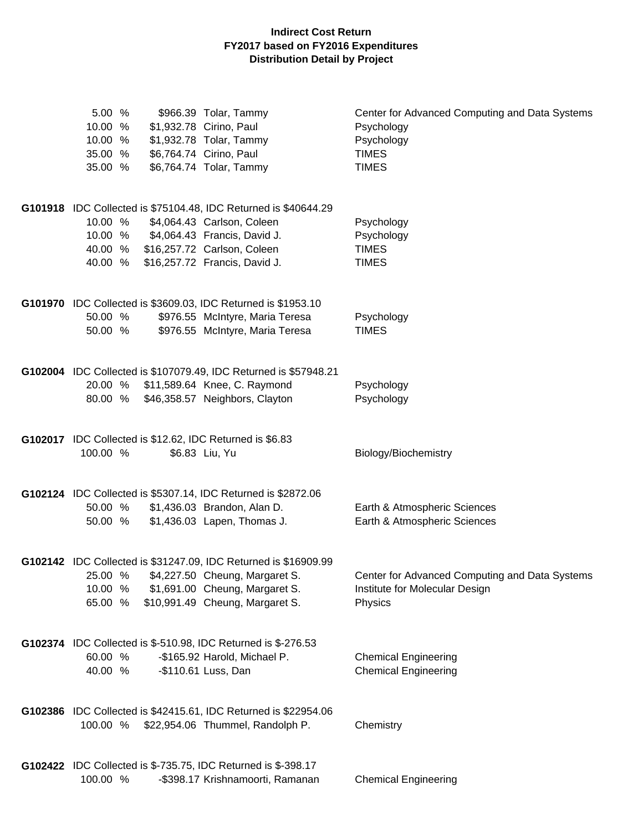| 5.00 %<br>10.00 %<br>10.00 %<br>35.00 %<br>35.00 % | \$966.39 Tolar, Tammy<br>\$1,932.78 Cirino, Paul<br>\$1,932.78 Tolar, Tammy<br>\$6,764.74 Cirino, Paul<br>\$6,764.74 Tolar, Tammy                                                             | Center for Advanced Computing and Data Systems<br>Psychology<br>Psychology<br><b>TIMES</b><br><b>TIMES</b> |
|----------------------------------------------------|-----------------------------------------------------------------------------------------------------------------------------------------------------------------------------------------------|------------------------------------------------------------------------------------------------------------|
| 10.00 %<br>10.00 %<br>40.00 %<br>40.00 %           | G101918 IDC Collected is \$75104.48, IDC Returned is \$40644.29<br>\$4,064.43 Carlson, Coleen<br>\$4,064.43 Francis, David J.<br>\$16,257.72 Carlson, Coleen<br>\$16,257.72 Francis, David J. | Psychology<br>Psychology<br><b>TIMES</b><br><b>TIMES</b>                                                   |
| 50.00 %<br>50.00 %                                 | G101970 IDC Collected is \$3609.03, IDC Returned is \$1953.10<br>\$976.55 McIntyre, Maria Teresa<br>\$976.55 McIntyre, Maria Teresa                                                           | Psychology<br><b>TIMES</b>                                                                                 |
| 80.00 %                                            | G102004 IDC Collected is \$107079.49, IDC Returned is \$57948.21<br>20.00 % \$11,589.64 Knee, C. Raymond<br>\$46,358.57 Neighbors, Clayton                                                    | Psychology<br>Psychology                                                                                   |
| 100.00 %                                           | G102017 IDC Collected is \$12.62, IDC Returned is \$6.83<br>\$6.83 Liu, Yu                                                                                                                    | Biology/Biochemistry                                                                                       |
| 50.00 %<br>50.00 %                                 | G102124 IDC Collected is \$5307.14, IDC Returned is \$2872.06<br>\$1,436.03 Brandon, Alan D.<br>\$1,436.03 Lapen, Thomas J.                                                                   | Earth & Atmospheric Sciences<br>Earth & Atmospheric Sciences                                               |
| 10.00 %<br>65.00 %                                 | G102142 IDC Collected is \$31247.09, IDC Returned is \$16909.99<br>25.00 % \$4,227.50 Cheung, Margaret S.<br>\$1,691.00 Cheung, Margaret S.<br>\$10,991.49 Cheung, Margaret S.                | Center for Advanced Computing and Data Systems<br>Institute for Molecular Design<br>Physics                |
| 60.00 %<br>40.00 %                                 | G102374 IDC Collected is \$-510.98, IDC Returned is \$-276.53<br>-\$165.92 Harold, Michael P.<br>-\$110.61 Luss, Dan                                                                          | <b>Chemical Engineering</b><br><b>Chemical Engineering</b>                                                 |
| 100.00 %                                           | G102386 IDC Collected is \$42415.61, IDC Returned is \$22954.06<br>\$22,954.06 Thummel, Randolph P.                                                                                           | Chemistry                                                                                                  |
| 100.00 %                                           | G102422 IDC Collected is \$-735.75, IDC Returned is \$-398.17<br>-\$398.17 Krishnamoorti, Ramanan                                                                                             | <b>Chemical Engineering</b>                                                                                |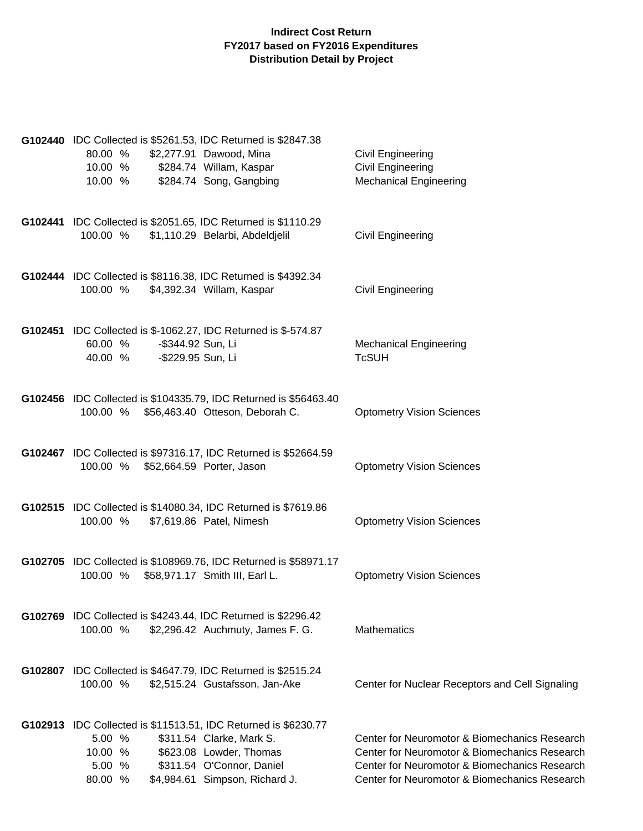| G102440 IDC Collected is \$5261.53, IDC Returned is \$2847.38<br>80.00 %<br>10.00 % \$284.74 Willam, Kaspar<br>10.00 %       | \$2,277.91 Dawood, Mina<br>\$284.74 Song, Gangbing                                                                 | Civil Engineering<br>Civil Engineering<br><b>Mechanical Engineering</b>                                                                                                                          |
|------------------------------------------------------------------------------------------------------------------------------|--------------------------------------------------------------------------------------------------------------------|--------------------------------------------------------------------------------------------------------------------------------------------------------------------------------------------------|
| G102441 IDC Collected is \$2051.65, IDC Returned is \$1110.29<br>100.00 %                                                    | \$1,110.29 Belarbi, Abdeldjelil                                                                                    | Civil Engineering                                                                                                                                                                                |
| G102444 IDC Collected is \$8116.38, IDC Returned is \$4392.34<br>100.00 %                                                    | \$4,392.34 Willam, Kaspar                                                                                          | Civil Engineering                                                                                                                                                                                |
| G102451 IDC Collected is \$-1062.27, IDC Returned is \$-574.87<br>60.00 %<br>-\$344.92 Sun, Li<br>40.00 % - \$229.95 Sun, Li |                                                                                                                    | <b>Mechanical Engineering</b><br><b>TcSUH</b>                                                                                                                                                    |
| 100.00 % \$56,463.40 Otteson, Deborah C.                                                                                     | G102456 IDC Collected is \$104335.79, IDC Returned is \$56463.40                                                   | <b>Optometry Vision Sciences</b>                                                                                                                                                                 |
| 100.00 % \$52,664.59 Porter, Jason                                                                                           | G102467 IDC Collected is \$97316.17, IDC Returned is \$52664.59                                                    | <b>Optometry Vision Sciences</b>                                                                                                                                                                 |
| G102515 IDC Collected is \$14080.34, IDC Returned is \$7619.86<br>100.00 %                                                   | \$7,619.86 Patel, Nimesh                                                                                           | <b>Optometry Vision Sciences</b>                                                                                                                                                                 |
| 100.00 % \$58,971.17 Smith III, Earl L.                                                                                      | G102705 IDC Collected is \$108969.76, IDC Returned is \$58971.17                                                   | <b>Optometry Vision Sciences</b>                                                                                                                                                                 |
| G102769 IDC Collected is \$4243.44, IDC Returned is \$2296.42<br>100.00 %                                                    | \$2,296.42 Auchmuty, James F. G.                                                                                   | <b>Mathematics</b>                                                                                                                                                                               |
| G102807 IDC Collected is \$4647.79, IDC Returned is \$2515.24<br>100.00 %                                                    | \$2,515.24 Gustafsson, Jan-Ake                                                                                     | Center for Nuclear Receptors and Cell Signaling                                                                                                                                                  |
| G102913 IDC Collected is \$11513.51, IDC Returned is \$6230.77<br>5.00 %<br>10.00 %<br>5.00 %<br>80.00 %                     | \$311.54 Clarke, Mark S.<br>\$623.08 Lowder, Thomas<br>\$311.54 O'Connor, Daniel<br>\$4,984.61 Simpson, Richard J. | Center for Neuromotor & Biomechanics Research<br>Center for Neuromotor & Biomechanics Research<br>Center for Neuromotor & Biomechanics Research<br>Center for Neuromotor & Biomechanics Research |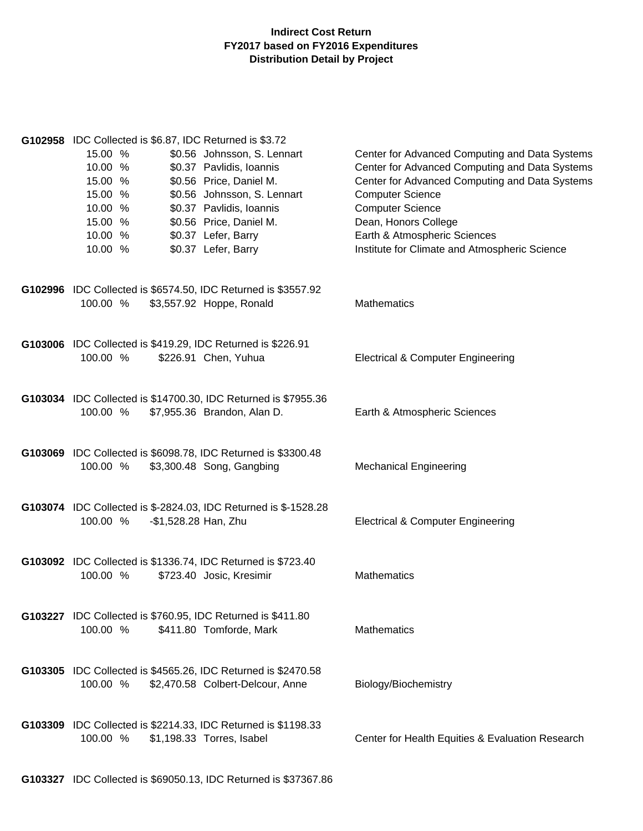| G102958 IDC Collected is \$6.87, IDC Returned is \$3.72<br>\$0.56 Johnsson, S. Lennart<br>15.00 %<br>\$0.37 Pavlidis, Ioannis<br>10.00 %<br>15.00 %<br>\$0.56 Price, Daniel M.<br>\$0.56 Johnsson, S. Lennart<br>15.00 %<br>\$0.37 Pavlidis, Ioannis<br>10.00 %<br>15.00 %<br>\$0.56 Price, Daniel M.<br>\$0.37 Lefer, Barry<br>10.00 %<br>\$0.37 Lefer, Barry<br>10.00 % | Center for Advanced Computing and Data Systems<br>Center for Advanced Computing and Data Systems<br>Center for Advanced Computing and Data Systems<br><b>Computer Science</b><br><b>Computer Science</b><br>Dean, Honors College<br>Earth & Atmospheric Sciences<br>Institute for Climate and Atmospheric Science |
|---------------------------------------------------------------------------------------------------------------------------------------------------------------------------------------------------------------------------------------------------------------------------------------------------------------------------------------------------------------------------|-------------------------------------------------------------------------------------------------------------------------------------------------------------------------------------------------------------------------------------------------------------------------------------------------------------------|
| G102996 IDC Collected is \$6574.50, IDC Returned is \$3557.92                                                                                                                                                                                                                                                                                                             |                                                                                                                                                                                                                                                                                                                   |
| 100.00 %<br>\$3,557.92 Hoppe, Ronald                                                                                                                                                                                                                                                                                                                                      | <b>Mathematics</b>                                                                                                                                                                                                                                                                                                |
|                                                                                                                                                                                                                                                                                                                                                                           |                                                                                                                                                                                                                                                                                                                   |
| G103006 IDC Collected is \$419.29, IDC Returned is \$226.91<br>\$226.91 Chen, Yuhua<br>100.00 %                                                                                                                                                                                                                                                                           | <b>Electrical &amp; Computer Engineering</b>                                                                                                                                                                                                                                                                      |
|                                                                                                                                                                                                                                                                                                                                                                           |                                                                                                                                                                                                                                                                                                                   |
| G103034 IDC Collected is \$14700.30, IDC Returned is \$7955.36<br>\$7,955.36 Brandon, Alan D.<br>100.00 %                                                                                                                                                                                                                                                                 | Earth & Atmospheric Sciences                                                                                                                                                                                                                                                                                      |
|                                                                                                                                                                                                                                                                                                                                                                           |                                                                                                                                                                                                                                                                                                                   |
| G103069 IDC Collected is \$6098.78, IDC Returned is \$3300.48<br>\$3,300.48 Song, Gangbing<br>100.00 %                                                                                                                                                                                                                                                                    | <b>Mechanical Engineering</b>                                                                                                                                                                                                                                                                                     |
| G103074 IDC Collected is \$-2824.03, IDC Returned is \$-1528.28<br>100.00 %<br>-\$1,528.28 Han, Zhu                                                                                                                                                                                                                                                                       | <b>Electrical &amp; Computer Engineering</b>                                                                                                                                                                                                                                                                      |
| G103092 IDC Collected is \$1336.74, IDC Returned is \$723.40<br>100.00 %<br>\$723.40 Josic, Kresimir                                                                                                                                                                                                                                                                      | <b>Mathematics</b>                                                                                                                                                                                                                                                                                                |
| G103227 IDC Collected is \$760.95, IDC Returned is \$411.80<br>100.00 %<br>\$411.80 Tomforde, Mark                                                                                                                                                                                                                                                                        | Mathematics                                                                                                                                                                                                                                                                                                       |
| G103305 IDC Collected is \$4565.26, IDC Returned is \$2470.58<br>100.00 %<br>\$2,470.58 Colbert-Delcour, Anne                                                                                                                                                                                                                                                             | Biology/Biochemistry                                                                                                                                                                                                                                                                                              |
| G103309 IDC Collected is \$2214.33, IDC Returned is \$1198.33<br>100.00 %<br>\$1,198.33 Torres, Isabel                                                                                                                                                                                                                                                                    | Center for Health Equities & Evaluation Research                                                                                                                                                                                                                                                                  |

**G103327** IDC Collected is \$69050.13, IDC Returned is \$37367.86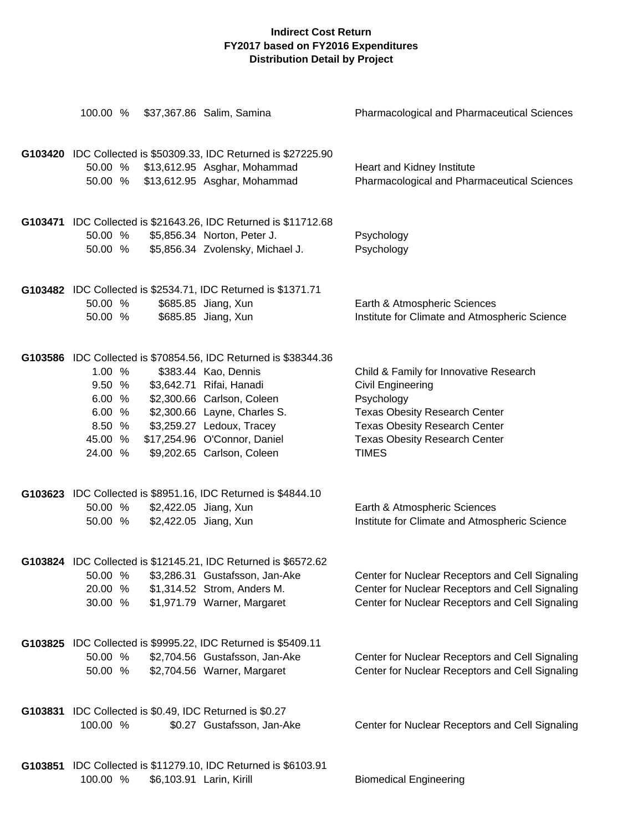| 100.00 %                                                             | \$37,367.86 Salim, Samina                                                                                                                                                                                                                                                    | Pharmacological and Pharmaceutical Sciences                                                                                                                                                                              |
|----------------------------------------------------------------------|------------------------------------------------------------------------------------------------------------------------------------------------------------------------------------------------------------------------------------------------------------------------------|--------------------------------------------------------------------------------------------------------------------------------------------------------------------------------------------------------------------------|
| 50.00 %<br>50.00 %                                                   | G103420 IDC Collected is \$50309.33, IDC Returned is \$27225.90<br>\$13,612.95 Asghar, Mohammad<br>\$13,612.95 Asghar, Mohammad                                                                                                                                              | Heart and Kidney Institute<br>Pharmacological and Pharmaceutical Sciences                                                                                                                                                |
| 50.00 %<br>50.00 %                                                   | G103471 IDC Collected is \$21643.26, IDC Returned is \$11712.68<br>\$5,856.34 Norton, Peter J.<br>\$5,856.34 Zvolensky, Michael J.                                                                                                                                           | Psychology<br>Psychology                                                                                                                                                                                                 |
| 50.00 %<br>50.00 %                                                   | G103482 IDC Collected is \$2534.71, IDC Returned is \$1371.71<br>\$685.85 Jiang, Xun<br>\$685.85 Jiang, Xun                                                                                                                                                                  | Earth & Atmospheric Sciences<br>Institute for Climate and Atmospheric Science                                                                                                                                            |
| 1.00 %<br>9.50 %<br>6.00 %<br>6.00 %<br>8.50 %<br>45.00 %<br>24.00 % | G103586 IDC Collected is \$70854.56, IDC Returned is \$38344.36<br>\$383.44 Kao, Dennis<br>\$3,642.71 Rifai, Hanadi<br>\$2,300.66 Carlson, Coleen<br>\$2,300.66 Layne, Charles S.<br>\$3,259.27 Ledoux, Tracey<br>\$17,254.96 O'Connor, Daniel<br>\$9,202.65 Carlson, Coleen | Child & Family for Innovative Research<br><b>Civil Engineering</b><br>Psychology<br><b>Texas Obesity Research Center</b><br><b>Texas Obesity Research Center</b><br><b>Texas Obesity Research Center</b><br><b>TIMES</b> |
| 50.00 %<br>50.00 %                                                   | G103623 IDC Collected is \$8951.16, IDC Returned is \$4844.10<br>\$2,422.05 Jiang, Xun<br>\$2,422.05 Jiang, Xun                                                                                                                                                              | Earth & Atmospheric Sciences<br>Institute for Climate and Atmospheric Science                                                                                                                                            |
| 50.00 %<br>20.00 %<br>30.00 %                                        | G103824 IDC Collected is \$12145.21, IDC Returned is \$6572.62<br>\$3,286.31 Gustafsson, Jan-Ake<br>\$1,314.52 Strom, Anders M.<br>\$1,971.79 Warner, Margaret                                                                                                               | Center for Nuclear Receptors and Cell Signaling<br>Center for Nuclear Receptors and Cell Signaling<br>Center for Nuclear Receptors and Cell Signaling                                                                    |
| 50.00 %<br>50.00 %                                                   | G103825 IDC Collected is \$9995.22, IDC Returned is \$5409.11<br>\$2,704.56 Gustafsson, Jan-Ake<br>\$2,704.56 Warner, Margaret                                                                                                                                               | Center for Nuclear Receptors and Cell Signaling<br>Center for Nuclear Receptors and Cell Signaling                                                                                                                       |
| 100.00 %                                                             | G103831 IDC Collected is \$0.49, IDC Returned is \$0.27<br>\$0.27 Gustafsson, Jan-Ake                                                                                                                                                                                        | Center for Nuclear Receptors and Cell Signaling                                                                                                                                                                          |
| 100.00 %                                                             | G103851 IDC Collected is \$11279.10, IDC Returned is \$6103.91<br>\$6,103.91 Larin, Kirill                                                                                                                                                                                   | <b>Biomedical Engineering</b>                                                                                                                                                                                            |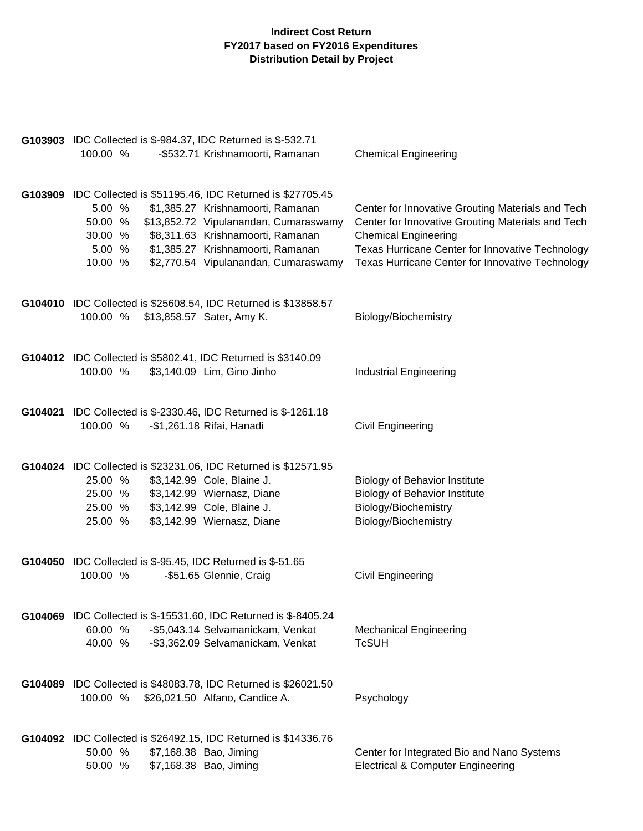| G103903 IDC Collected is \$-984.37, IDC Returned is \$-532.71<br>100.00 %                                                                                                                                                           | -\$532.71 Krishnamoorti, Ramanan                                                                                                                                                             | <b>Chemical Engineering</b>                                                                                                                                                                                                                   |
|-------------------------------------------------------------------------------------------------------------------------------------------------------------------------------------------------------------------------------------|----------------------------------------------------------------------------------------------------------------------------------------------------------------------------------------------|-----------------------------------------------------------------------------------------------------------------------------------------------------------------------------------------------------------------------------------------------|
| G103909 IDC Collected is \$51195.46, IDC Returned is \$27705.45<br>5.00 %<br>50.00 %<br>30.00 %<br>5.00 %<br>10.00 %                                                                                                                | \$1,385.27 Krishnamoorti, Ramanan<br>\$13,852.72 Vipulanandan, Cumaraswamy<br>\$8,311.63 Krishnamoorti, Ramanan<br>\$1,385.27 Krishnamoorti, Ramanan<br>\$2,770.54 Vipulanandan, Cumaraswamy | Center for Innovative Grouting Materials and Tech<br>Center for Innovative Grouting Materials and Tech<br><b>Chemical Engineering</b><br>Texas Hurricane Center for Innovative Technology<br>Texas Hurricane Center for Innovative Technology |
| G104010 IDC Collected is \$25608.54, IDC Returned is \$13858.57<br>100.00 %<br>\$13,858.57 Sater, Amy K.                                                                                                                            |                                                                                                                                                                                              | Biology/Biochemistry                                                                                                                                                                                                                          |
| G104012 IDC Collected is \$5802.41, IDC Returned is \$3140.09<br>100.00 %<br>\$3,140.09 Lim, Gino Jinho                                                                                                                             |                                                                                                                                                                                              | <b>Industrial Engineering</b>                                                                                                                                                                                                                 |
| G104021 IDC Collected is \$-2330.46, IDC Returned is \$-1261.18<br>100.00 %<br>-\$1,261.18 Rifai, Hanadi                                                                                                                            |                                                                                                                                                                                              | Civil Engineering                                                                                                                                                                                                                             |
| G104024 IDC Collected is \$23231.06, IDC Returned is \$12571.95<br>25.00 %<br>\$3,142.99 Cole, Blaine J.<br>\$3,142.99 Wiernasz, Diane<br>25.00 %<br>\$3,142.99 Cole, Blaine J.<br>25.00 %<br>\$3,142.99 Wiernasz, Diane<br>25.00 % |                                                                                                                                                                                              | <b>Biology of Behavior Institute</b><br><b>Biology of Behavior Institute</b><br>Biology/Biochemistry<br>Biology/Biochemistry                                                                                                                  |
| <b>G104050</b> IDC Collected is \$-95.45, IDC Returned is \$-51.65<br>100.00 %<br>-\$51.65 Glennie, Craig                                                                                                                           |                                                                                                                                                                                              | <b>Civil Engineering</b>                                                                                                                                                                                                                      |
| G104069 IDC Collected is \$-15531.60, IDC Returned is \$-8405.24<br>60.00 %<br>40.00 %                                                                                                                                              | -\$5,043.14 Selvamanickam, Venkat<br>-\$3,362.09 Selvamanickam, Venkat                                                                                                                       | <b>Mechanical Engineering</b><br><b>TcSUH</b>                                                                                                                                                                                                 |
| G104089 IDC Collected is \$48083.78, IDC Returned is \$26021.50<br>100.00 %<br>\$26,021.50 Alfano, Candice A.                                                                                                                       |                                                                                                                                                                                              | Psychology                                                                                                                                                                                                                                    |
| G104092 IDC Collected is \$26492.15, IDC Returned is \$14336.76<br>50.00 %<br>\$7,168.38 Bao, Jiming<br>\$7,168.38 Bao, Jiming<br>50.00 %                                                                                           |                                                                                                                                                                                              | Center for Integrated Bio and Nano Systems<br><b>Electrical &amp; Computer Engineering</b>                                                                                                                                                    |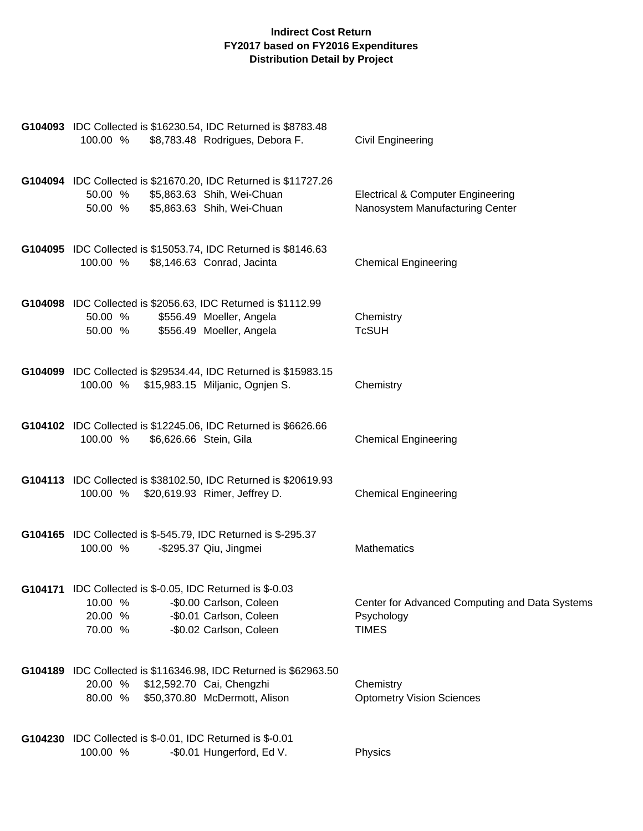| G104093 IDC Collected is \$16230.54, IDC Returned is \$8783.48<br>100.00 %<br>\$8,783.48 Rodrigues, Debora F.                                                               | Civil Engineering                                                               |
|-----------------------------------------------------------------------------------------------------------------------------------------------------------------------------|---------------------------------------------------------------------------------|
| G104094 IDC Collected is \$21670.20, IDC Returned is \$11727.26<br>\$5,863.63 Shih, Wei-Chuan<br>50.00 %<br>\$5,863.63 Shih, Wei-Chuan<br>50.00 %                           | <b>Electrical &amp; Computer Engineering</b><br>Nanosystem Manufacturing Center |
| G104095 IDC Collected is \$15053.74, IDC Returned is \$8146.63<br>100.00 %<br>\$8,146.63 Conrad, Jacinta                                                                    | <b>Chemical Engineering</b>                                                     |
| G104098 IDC Collected is \$2056.63, IDC Returned is \$1112.99<br>\$556.49 Moeller, Angela<br>50.00 %<br>\$556.49 Moeller, Angela<br>50.00 %                                 | Chemistry<br><b>TcSUH</b>                                                       |
| G104099 IDC Collected is \$29534.44, IDC Returned is \$15983.15<br>100.00 % \$15,983.15 Miljanic, Ognjen S.                                                                 | Chemistry                                                                       |
| G104102 IDC Collected is \$12245.06, IDC Returned is \$6626.66<br>100.00 %<br>\$6,626.66 Stein, Gila                                                                        | <b>Chemical Engineering</b>                                                     |
| G104113 IDC Collected is \$38102.50, IDC Returned is \$20619.93<br>100.00 % \$20,619.93 Rimer, Jeffrey D.                                                                   | <b>Chemical Engineering</b>                                                     |
| G104165 IDC Collected is \$-545.79, IDC Returned is \$-295.37<br>100.00 %<br>-\$295.37 Qiu, Jingmei                                                                         | <b>Mathematics</b>                                                              |
| G104171 IDC Collected is \$-0.05, IDC Returned is \$-0.03<br>10.00 %<br>-\$0.00 Carlson, Coleen<br>20.00 %<br>-\$0.01 Carlson, Coleen<br>-\$0.02 Carlson, Coleen<br>70.00 % | Center for Advanced Computing and Data Systems<br>Psychology<br><b>TIMES</b>    |
| G104189 IDC Collected is \$116346.98, IDC Returned is \$62963.50<br>20.00 %<br>\$12,592.70 Cai, Chengzhi<br>\$50,370.80 McDermott, Alison<br>80.00 %                        | Chemistry<br><b>Optometry Vision Sciences</b>                                   |
| G104230 IDC Collected is \$-0.01, IDC Returned is \$-0.01<br>-\$0.01 Hungerford, Ed V.<br>100.00 %                                                                          | Physics                                                                         |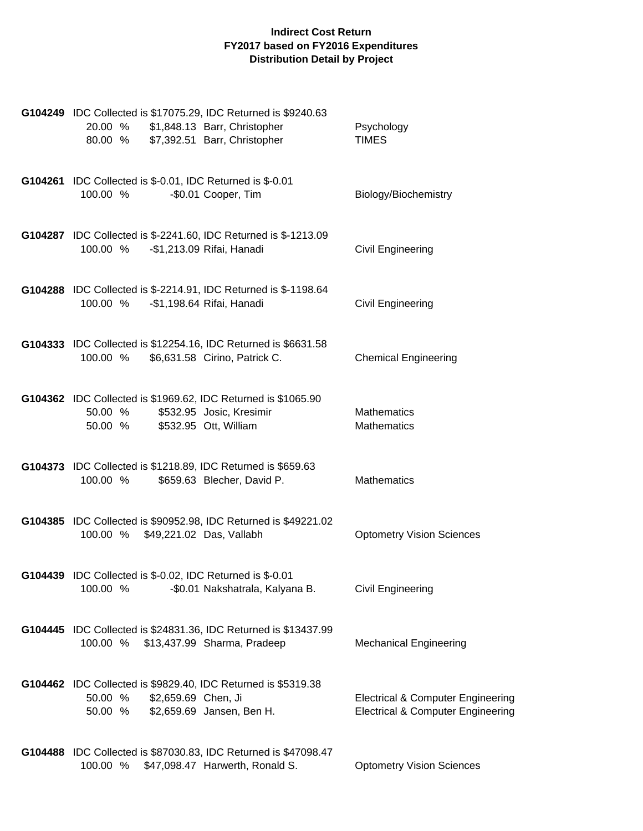| G104249 IDC Collected is \$17075.29, IDC Returned is \$9240.63<br>20.00 % \$1,848.13 Barr, Christopher<br>\$7,392.51 Barr, Christopher<br>80.00 % | Psychology<br><b>TIMES</b>                                                                   |
|---------------------------------------------------------------------------------------------------------------------------------------------------|----------------------------------------------------------------------------------------------|
| G104261 IDC Collected is \$-0.01, IDC Returned is \$-0.01<br>100.00 %<br>-\$0.01 Cooper, Tim                                                      | Biology/Biochemistry                                                                         |
| G104287 IDC Collected is \$-2241.60, IDC Returned is \$-1213.09<br>100.00 %<br>-\$1,213.09 Rifai, Hanadi                                          | Civil Engineering                                                                            |
| G104288 IDC Collected is \$-2214.91, IDC Returned is \$-1198.64<br>100.00 %<br>-\$1,198.64 Rifai, Hanadi                                          | Civil Engineering                                                                            |
| G104333 IDC Collected is \$12254.16, IDC Returned is \$6631.58<br>100.00 %<br>\$6,631.58 Cirino, Patrick C.                                       | <b>Chemical Engineering</b>                                                                  |
| G104362 IDC Collected is \$1969.62, IDC Returned is \$1065.90<br>50.00 %<br>\$532.95 Josic, Kresimir<br>50.00 %<br>\$532.95 Ott, William          | <b>Mathematics</b><br><b>Mathematics</b>                                                     |
| G104373 IDC Collected is \$1218.89, IDC Returned is \$659.63<br>\$659.63 Blecher, David P.<br>100.00 %                                            | Mathematics                                                                                  |
| G104385 IDC Collected is \$90952.98, IDC Returned is \$49221.02<br>100.00 % \$49,221.02 Das, Vallabh                                              | <b>Optometry Vision Sciences</b>                                                             |
| G104439 IDC Collected is \$-0.02, IDC Returned is \$-0.01<br>100.00 %<br>-\$0.01 Nakshatrala, Kalyana B.                                          | <b>Civil Engineering</b>                                                                     |
| G104445 IDC Collected is \$24831.36, IDC Returned is \$13437.99<br>100.00 %<br>\$13,437.99 Sharma, Pradeep                                        | <b>Mechanical Engineering</b>                                                                |
| G104462 IDC Collected is \$9829.40, IDC Returned is \$5319.38<br>\$2,659.69 Chen, Ji<br>50.00 %<br>50.00 %<br>\$2,659.69 Jansen, Ben H.           | <b>Electrical &amp; Computer Engineering</b><br><b>Electrical &amp; Computer Engineering</b> |
| G104488 IDC Collected is \$87030.83, IDC Returned is \$47098.47<br>100.00 %<br>\$47,098.47 Harwerth, Ronald S.                                    | <b>Optometry Vision Sciences</b>                                                             |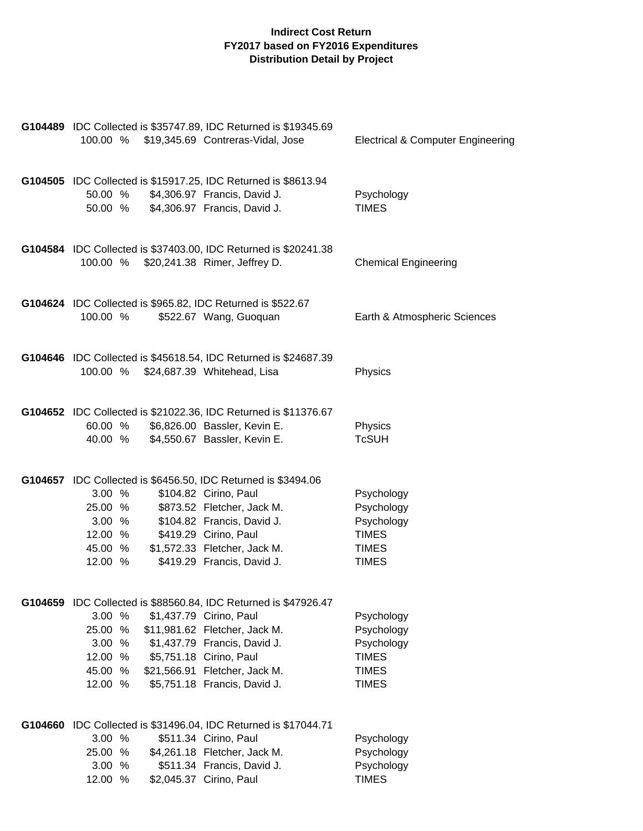| 100.00 %                                                    | G104489 IDC Collected is \$35747.89, IDC Returned is \$19345.69<br>\$19,345.69 Contreras-Vidal, Jose                                                                                                                                                    | <b>Electrical &amp; Computer Engineering</b>                                           |
|-------------------------------------------------------------|---------------------------------------------------------------------------------------------------------------------------------------------------------------------------------------------------------------------------------------------------------|----------------------------------------------------------------------------------------|
| 50.00 %                                                     | G104505 IDC Collected is \$15917.25, IDC Returned is \$8613.94<br>\$4,306.97 Francis, David J.<br>50.00 % \$4,306.97 Francis, David J.                                                                                                                  | Psychology<br><b>TIMES</b>                                                             |
|                                                             | G104584 IDC Collected is \$37403.00, IDC Returned is \$20241.38<br>100.00 % \$20,241.38 Rimer, Jeffrey D.                                                                                                                                               | <b>Chemical Engineering</b>                                                            |
| 100.00 %                                                    | G104624 IDC Collected is \$965.82, IDC Returned is \$522.67<br>\$522.67 Wang, Guoquan                                                                                                                                                                   | Earth & Atmospheric Sciences                                                           |
| 100.00 %                                                    | G104646 IDC Collected is \$45618.54, IDC Returned is \$24687.39<br>\$24,687.39 Whitehead, Lisa                                                                                                                                                          | Physics                                                                                |
| 60.00 %<br>40.00 %                                          | G104652 IDC Collected is \$21022.36, IDC Returned is \$11376.67<br>\$6,826.00 Bassler, Kevin E.<br>\$4,550.67 Bassler, Kevin E.                                                                                                                         | Physics<br><b>TcSUH</b>                                                                |
| 3.00%<br>25.00 %<br>3.00%<br>12.00 %<br>45.00 %<br>12.00 %  | G104657 IDC Collected is \$6456.50, IDC Returned is \$3494.06<br>\$104.82 Cirino, Paul<br>\$873.52 Fletcher, Jack M.<br>\$104.82 Francis, David J.<br>\$419.29 Cirino, Paul<br>\$1,572.33 Fletcher, Jack M.<br>\$419.29 Francis, David J.               | Psychology<br>Psychology<br>Psychology<br><b>TIMES</b><br><b>TIMES</b><br><b>TIMES</b> |
| 3.00 %<br>25.00 %<br>3.00%<br>12.00 %<br>45.00 %<br>12.00 % | G104659 IDC Collected is \$88560.84, IDC Returned is \$47926.47<br>\$1,437.79 Cirino, Paul<br>\$11,981.62 Fletcher, Jack M.<br>\$1,437.79 Francis, David J.<br>\$5,751.18 Cirino, Paul<br>\$21,566.91 Fletcher, Jack M.<br>\$5,751.18 Francis, David J. | Psychology<br>Psychology<br>Psychology<br><b>TIMES</b><br><b>TIMES</b><br><b>TIMES</b> |
| 3.00 %<br>25.00 %<br>3.00 %<br>12.00 %                      | G104660 IDC Collected is \$31496.04, IDC Returned is \$17044.71<br>\$511.34 Cirino, Paul<br>\$4,261.18 Fletcher, Jack M.<br>\$511.34 Francis, David J.<br>\$2,045.37 Cirino, Paul                                                                       | Psychology<br>Psychology<br>Psychology<br><b>TIMES</b>                                 |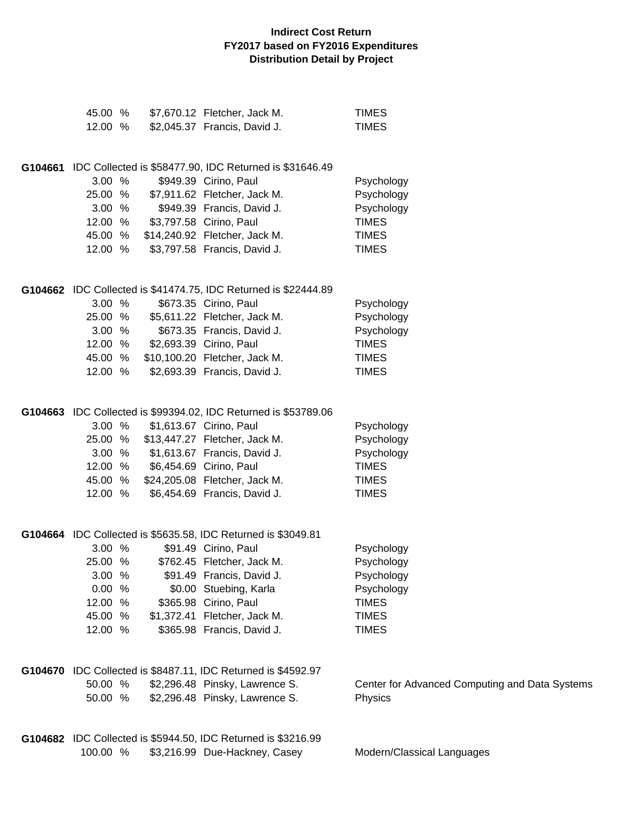| 45.00 %<br>12.00 % |  | \$7,670.12 Fletcher, Jack M.<br>\$2,045.37 Francis, David J.    | <b>TIMES</b><br><b>TIMES</b>                   |
|--------------------|--|-----------------------------------------------------------------|------------------------------------------------|
|                    |  |                                                                 |                                                |
|                    |  | G104661 IDC Collected is \$58477.90, IDC Returned is \$31646.49 |                                                |
| 3.00%              |  | \$949.39 Cirino, Paul                                           | Psychology                                     |
| 25.00 %            |  | \$7,911.62 Fletcher, Jack M.                                    | Psychology                                     |
| 3.00%              |  | \$949.39 Francis, David J.                                      | Psychology                                     |
| 12.00 %            |  | \$3,797.58 Cirino, Paul                                         | <b>TIMES</b>                                   |
| 45.00 %            |  | \$14,240.92 Fletcher, Jack M.                                   | <b>TIMES</b>                                   |
| 12.00 %            |  | \$3,797.58 Francis, David J.                                    | <b>TIMES</b>                                   |
|                    |  | G104662 IDC Collected is \$41474.75, IDC Returned is \$22444.89 |                                                |
| 3.00%              |  | \$673.35 Cirino, Paul                                           | Psychology                                     |
| 25.00 %            |  | \$5,611.22 Fletcher, Jack M.                                    | Psychology                                     |
| 3.00%              |  | \$673.35 Francis, David J.                                      | Psychology                                     |
| 12.00 %            |  | \$2,693.39 Cirino, Paul                                         | <b>TIMES</b>                                   |
| 45.00 %            |  | \$10,100.20 Fletcher, Jack M.                                   | <b>TIMES</b>                                   |
| 12.00 %            |  | \$2,693.39 Francis, David J.                                    | <b>TIMES</b>                                   |
|                    |  | G104663 IDC Collected is \$99394.02, IDC Returned is \$53789.06 |                                                |
| 3.00%              |  | \$1,613.67 Cirino, Paul                                         | Psychology                                     |
| 25.00 %            |  | \$13,447.27 Fletcher, Jack M.                                   | Psychology                                     |
| 3.00%              |  | \$1,613.67 Francis, David J.                                    | Psychology                                     |
| 12.00 %            |  | \$6,454.69 Cirino, Paul                                         | <b>TIMES</b>                                   |
| 45.00 %            |  | \$24,205.08 Fletcher, Jack M.                                   | <b>TIMES</b>                                   |
| 12.00 %            |  | \$6,454.69 Francis, David J.                                    | <b>TIMES</b>                                   |
|                    |  | G104664 IDC Collected is \$5635.58, IDC Returned is \$3049.81   |                                                |
| 3.00 %             |  | \$91.49 Cirino, Paul                                            | Psychology                                     |
| 25.00 %            |  | \$762.45 Fletcher, Jack M.                                      | Psychology                                     |
| 3.00 %             |  | \$91.49 Francis, David J.                                       | Psychology                                     |
| 0.00 %             |  | \$0.00 Stuebing, Karla                                          | Psychology                                     |
| 12.00 %            |  | \$365.98 Cirino, Paul                                           | <b>TIMES</b>                                   |
| 45.00 %            |  | \$1,372.41 Fletcher, Jack M.                                    | <b>TIMES</b>                                   |
| 12.00 %            |  | \$365.98 Francis, David J.                                      | <b>TIMES</b>                                   |
|                    |  | G104670 IDC Collected is \$8487.11, IDC Returned is \$4592.97   |                                                |
| 50.00 %            |  | \$2,296.48 Pinsky, Lawrence S.                                  | Center for Advanced Computing and Data Systems |
| 50.00 %            |  | \$2,296.48 Pinsky, Lawrence S.                                  | Physics                                        |
|                    |  | G104682 IDC Collected is \$5944.50, IDC Returned is \$3216.99   |                                                |
| 100.00 %           |  | \$3,216.99 Due-Hackney, Casey                                   | Modern/Classical Languages                     |
|                    |  |                                                                 |                                                |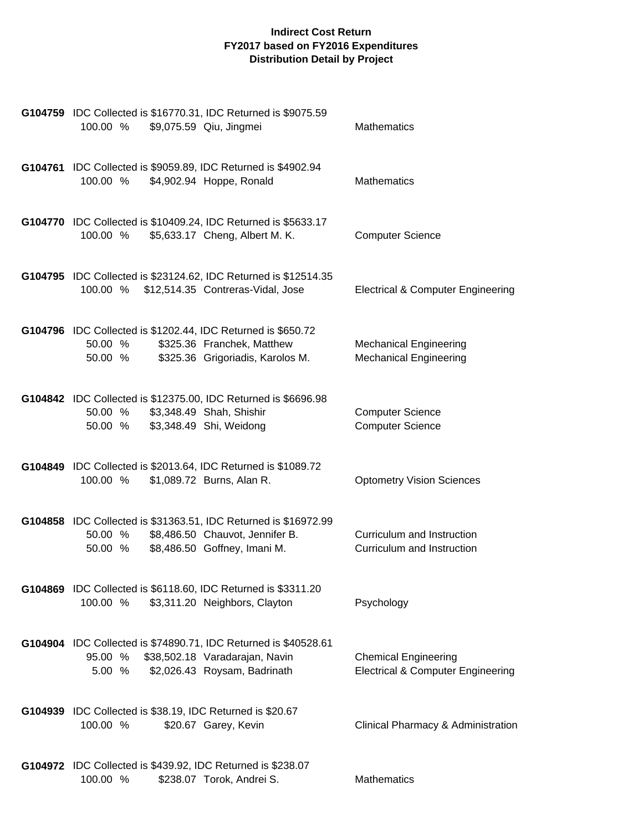| G104759 IDC Collected is \$16770.31, IDC Returned is \$9075.59<br>\$9,075.59 Qiu, Jingmei<br>100.00 %                                                    | <b>Mathematics</b>                                                          |
|----------------------------------------------------------------------------------------------------------------------------------------------------------|-----------------------------------------------------------------------------|
| G104761 IDC Collected is \$9059.89, IDC Returned is \$4902.94<br>100.00 %<br>\$4,902.94 Hoppe, Ronald                                                    | <b>Mathematics</b>                                                          |
| G104770 IDC Collected is \$10409.24, IDC Returned is \$5633.17<br>\$5,633.17 Cheng, Albert M. K.<br>100.00 %                                             | <b>Computer Science</b>                                                     |
| G104795 IDC Collected is \$23124.62, IDC Returned is \$12514.35<br>\$12,514.35 Contreras-Vidal, Jose<br>100.00 %                                         | <b>Electrical &amp; Computer Engineering</b>                                |
| G104796 IDC Collected is \$1202.44, IDC Returned is \$650.72<br>50.00 %<br>\$325.36 Franchek, Matthew<br>\$325.36 Grigoriadis, Karolos M.<br>50.00 %     | <b>Mechanical Engineering</b><br><b>Mechanical Engineering</b>              |
| G104842 IDC Collected is \$12375.00, IDC Returned is \$6696.98<br>50.00 %<br>\$3,348.49 Shah, Shishir<br>\$3,348.49 Shi, Weidong<br>50.00 %              | <b>Computer Science</b><br><b>Computer Science</b>                          |
| G104849 IDC Collected is \$2013.64, IDC Returned is \$1089.72<br>100.00 %<br>\$1,089.72 Burns, Alan R.                                                   | <b>Optometry Vision Sciences</b>                                            |
| G104858 IDC Collected is \$31363.51, IDC Returned is \$16972.99<br>\$8,486.50 Chauvot, Jennifer B.<br>50.00 %<br>\$8,486.50 Goffney, Imani M.<br>50.00 % | Curriculum and Instruction<br>Curriculum and Instruction                    |
| G104869 IDC Collected is \$6118.60, IDC Returned is \$3311.20<br>100.00 %<br>\$3,311.20 Neighbors, Clayton                                               | Psychology                                                                  |
| G104904 IDC Collected is \$74890.71, IDC Returned is \$40528.61<br>95.00 %<br>\$38,502.18 Varadarajan, Navin<br>5.00 %<br>\$2,026.43 Roysam, Badrinath   | <b>Chemical Engineering</b><br><b>Electrical &amp; Computer Engineering</b> |
| G104939 IDC Collected is \$38.19, IDC Returned is \$20.67<br>100.00 %<br>\$20.67 Garey, Kevin                                                            | Clinical Pharmacy & Administration                                          |
| <b>G104972</b> IDC Collected is \$439.92, IDC Returned is \$238.07<br>100.00 %<br>\$238.07 Torok, Andrei S.                                              | Mathematics                                                                 |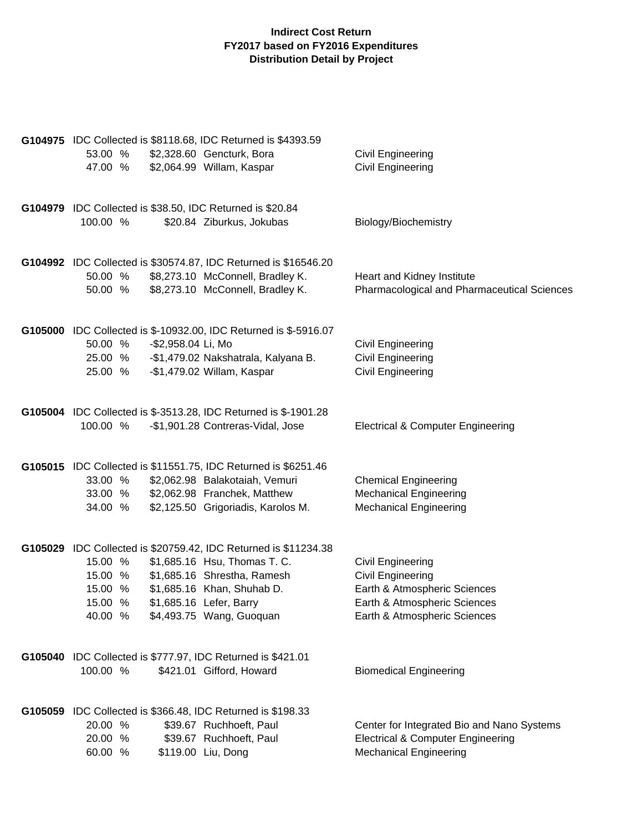|          |                    | G104975 IDC Collected is \$8118.68, IDC Returned is \$4393.59    |                                              |
|----------|--------------------|------------------------------------------------------------------|----------------------------------------------|
| 53.00 %  |                    | \$2,328.60 Gencturk, Bora                                        | Civil Engineering                            |
| 47.00 %  |                    | \$2,064.99 Willam, Kaspar                                        | Civil Engineering                            |
|          |                    |                                                                  |                                              |
|          |                    | G104979 IDC Collected is \$38.50, IDC Returned is \$20.84        |                                              |
| 100.00 % |                    | \$20.84 Ziburkus, Jokubas                                        | Biology/Biochemistry                         |
|          |                    |                                                                  |                                              |
|          |                    | G104992 IDC Collected is \$30574.87, IDC Returned is \$16546.20  |                                              |
| 50.00 %  |                    | \$8,273.10 McConnell, Bradley K.                                 | Heart and Kidney Institute                   |
| 50.00 %  |                    | \$8,273.10 McConnell, Bradley K.                                 | Pharmacological and Pharmaceutical Sciences  |
|          |                    |                                                                  |                                              |
|          |                    | G105000 IDC Collected is \$-10932.00, IDC Returned is \$-5916.07 |                                              |
| 50.00 %  | -\$2,958.04 Li, Mo |                                                                  | Civil Engineering                            |
|          |                    | 25.00 % - \$1,479.02 Nakshatrala, Kalyana B.                     | Civil Engineering                            |
| 25.00 %  |                    | -\$1,479.02 Willam, Kaspar                                       | Civil Engineering                            |
|          |                    |                                                                  |                                              |
|          |                    | G105004 IDC Collected is \$-3513.28, IDC Returned is \$-1901.28  |                                              |
| 100.00 % |                    | -\$1,901.28 Contreras-Vidal, Jose                                | <b>Electrical &amp; Computer Engineering</b> |
|          |                    |                                                                  |                                              |
|          |                    | G105015 IDC Collected is \$11551.75, IDC Returned is \$6251.46   |                                              |
| 33.00 %  |                    | \$2,062.98 Balakotaiah, Vemuri                                   | <b>Chemical Engineering</b>                  |
| 33.00 %  |                    | \$2,062.98 Franchek, Matthew                                     | <b>Mechanical Engineering</b>                |
| 34.00 %  |                    | \$2,125.50 Grigoriadis, Karolos M.                               | <b>Mechanical Engineering</b>                |
|          |                    |                                                                  |                                              |
|          |                    | G105029 IDC Collected is \$20759.42, IDC Returned is \$11234.38  |                                              |
| 15.00 %  |                    | \$1,685.16 Hsu, Thomas T. C.                                     | Civil Engineering                            |
| 15.00 %  |                    | \$1,685.16 Shrestha, Ramesh                                      | Civil Engineering                            |
| 15.00 %  |                    | \$1,685.16 Khan, Shuhab D.                                       | Earth & Atmospheric Sciences                 |
| 15.00%   |                    | \$1,685.16 Lefer, Barry                                          | Earth & Atmospheric Sciences                 |
|          |                    | 40.00 % \$4,493.75 Wang, Guoquan                                 | Earth & Atmospheric Sciences                 |
|          |                    |                                                                  |                                              |
|          |                    | G105040 IDC Collected is \$777.97, IDC Returned is \$421.01      |                                              |
| 100.00 % |                    | \$421.01 Gifford, Howard                                         | <b>Biomedical Engineering</b>                |
|          |                    | G105059 IDC Collected is \$366.48, IDC Returned is \$198.33      |                                              |
| 20.00 %  |                    | \$39.67 Ruchhoeft, Paul                                          | Center for Integrated Bio and Nano Systems   |
| 20.00 %  |                    | \$39.67 Ruchhoeft, Paul                                          | <b>Electrical &amp; Computer Engineering</b> |
| 60.00 %  |                    | \$119.00 Liu, Dong                                               | <b>Mechanical Engineering</b>                |
|          |                    |                                                                  |                                              |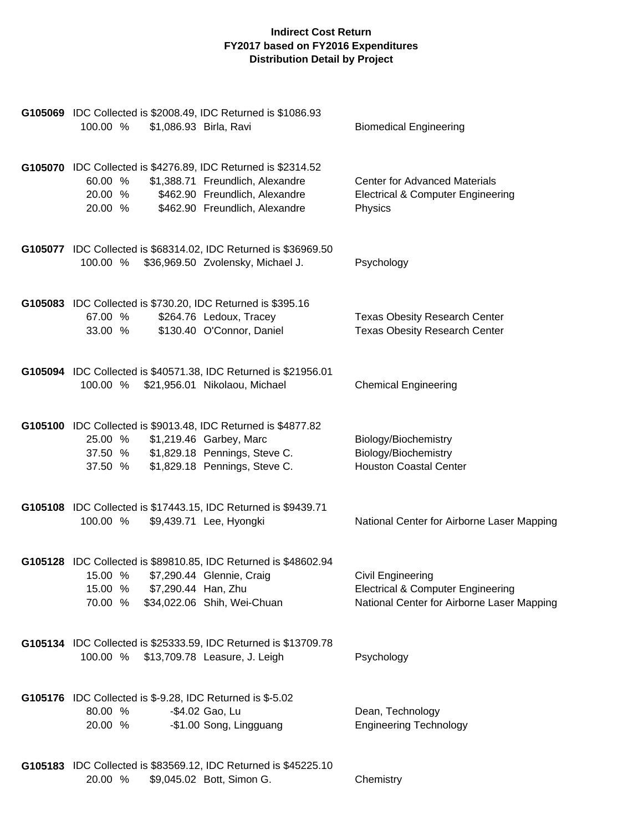| G105069 IDC Collected is \$2008.49, IDC Returned is \$1086.93<br>100.00 %                      | \$1,086.93 Birla, Ravi                                                                                                      | <b>Biomedical Engineering</b>                                                                                          |
|------------------------------------------------------------------------------------------------|-----------------------------------------------------------------------------------------------------------------------------|------------------------------------------------------------------------------------------------------------------------|
| G105070 IDC Collected is \$4276.89, IDC Returned is \$2314.52<br>60.00 %<br>20.00 %<br>20.00 % | \$1,388.71 Freundlich, Alexandre<br>\$462.90 Freundlich, Alexandre<br>\$462.90 Freundlich, Alexandre                        | <b>Center for Advanced Materials</b><br><b>Electrical &amp; Computer Engineering</b><br>Physics                        |
| 100.00 %                                                                                       | G105077 IDC Collected is \$68314.02, IDC Returned is \$36969.50<br>\$36,969.50 Zvolensky, Michael J.                        | Psychology                                                                                                             |
| G105083 IDC Collected is \$730.20, IDC Returned is \$395.16<br>67.00 %<br>33.00 %              | \$264.76 Ledoux, Tracey<br>\$130.40 O'Connor, Daniel                                                                        | <b>Texas Obesity Research Center</b><br><b>Texas Obesity Research Center</b>                                           |
| 100.00 %                                                                                       | G105094 IDC Collected is \$40571.38, IDC Returned is \$21956.01<br>\$21,956.01 Nikolaou, Michael                            | <b>Chemical Engineering</b>                                                                                            |
| G105100 IDC Collected is \$9013.48, IDC Returned is \$4877.82<br>25.00 %<br>37.50 %<br>37.50 % | \$1,219.46 Garbey, Marc<br>\$1,829.18 Pennings, Steve C.<br>\$1,829.18 Pennings, Steve C.                                   | Biology/Biochemistry<br>Biology/Biochemistry<br><b>Houston Coastal Center</b>                                          |
| 100.00 %                                                                                       | G105108 IDC Collected is \$17443.15, IDC Returned is \$9439.71<br>\$9,439.71 Lee, Hyongki                                   | National Center for Airborne Laser Mapping                                                                             |
| 15.00 %<br>15.00 % \$7,290.44 Han, Zhu<br>70.00 %                                              | G105128 IDC Collected is \$89810.85, IDC Returned is \$48602.94<br>\$7,290.44 Glennie, Craig<br>\$34,022.06 Shih, Wei-Chuan | <b>Civil Engineering</b><br><b>Electrical &amp; Computer Engineering</b><br>National Center for Airborne Laser Mapping |
| 100.00 % \$13,709.78 Leasure, J. Leigh                                                         | G105134 IDC Collected is \$25333.59, IDC Returned is \$13709.78                                                             | Psychology                                                                                                             |
| G105176 IDC Collected is \$-9.28, IDC Returned is \$-5.02<br>80.00 %<br>20.00 %                | -\$4.02 Gao, Lu<br>-\$1.00 Song, Lingguang                                                                                  | Dean, Technology<br><b>Engineering Technology</b>                                                                      |
|                                                                                                | G105183 IDC Collected is \$83569.12, IDC Returned is \$45225.10                                                             |                                                                                                                        |

20.00 % \$9,045.02 Bott, Simon G. Chemistry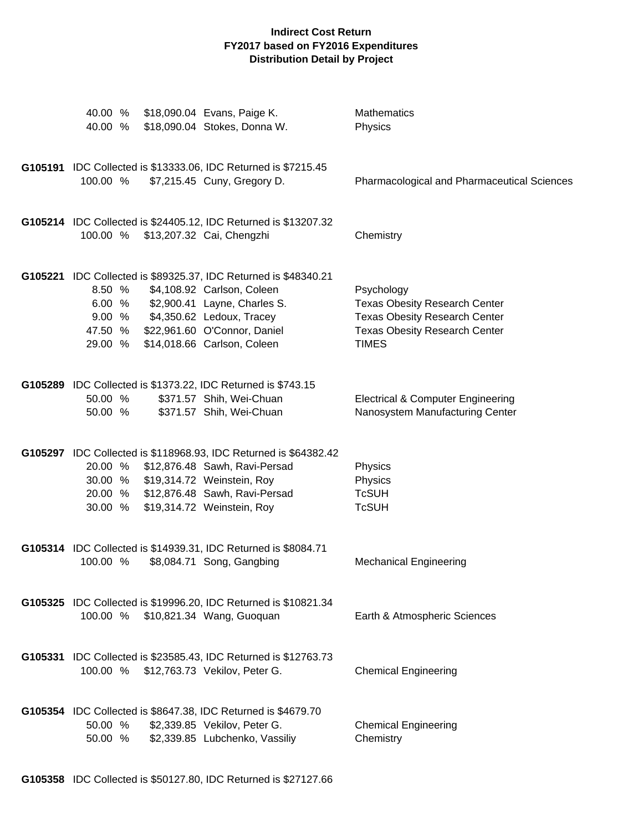| 40.00 %<br>40.00 %           |                                    | \$18,090.04 Evans, Paige K.<br>\$18,090.04 Stokes, Donna W.                                                                                                                                         | Mathematics<br>Physics                                                                                                                             |
|------------------------------|------------------------------------|-----------------------------------------------------------------------------------------------------------------------------------------------------------------------------------------------------|----------------------------------------------------------------------------------------------------------------------------------------------------|
| 100.00 %                     |                                    | G105191 IDC Collected is \$13333.06, IDC Returned is \$7215.45<br>\$7,215.45 Cuny, Gregory D.                                                                                                       | Pharmacological and Pharmaceutical Sciences                                                                                                        |
|                              | 100.00 % \$13,207.32 Cai, Chengzhi | G105214 IDC Collected is \$24405.12, IDC Returned is \$13207.32                                                                                                                                     | Chemistry                                                                                                                                          |
| 8.50 %<br>47.50 %<br>29.00 % | 9.00 % \$4,350.62 Ledoux, Tracey   | G105221 IDC Collected is \$89325.37, IDC Returned is \$48340.21<br>\$4,108.92 Carlson, Coleen<br>6.00 % \$2,900.41 Layne, Charles S.<br>\$22,961.60 O'Connor, Daniel<br>\$14,018.66 Carlson, Coleen | Psychology<br><b>Texas Obesity Research Center</b><br><b>Texas Obesity Research Center</b><br><b>Texas Obesity Research Center</b><br><b>TIMES</b> |
| 50.00 %<br>50.00 %           |                                    | G105289 IDC Collected is \$1373.22, IDC Returned is \$743.15<br>\$371.57 Shih, Wei-Chuan<br>\$371.57 Shih, Wei-Chuan                                                                                | <b>Electrical &amp; Computer Engineering</b><br>Nanosystem Manufacturing Center                                                                    |
| 20.00 %<br>30.00 %           | 30.00 % \$19,314.72 Weinstein, Roy | G105297 IDC Collected is \$118968.93, IDC Returned is \$64382.42<br>\$12,876.48 Sawh, Ravi-Persad<br>20.00 % \$12,876.48 Sawh, Ravi-Persad<br>\$19,314.72 Weinstein, Roy                            | Physics<br>Physics<br><b>TcSUH</b><br><b>TcSUH</b>                                                                                                 |
| 100.00 %                     |                                    | G105314 IDC Collected is \$14939.31, IDC Returned is \$8084.71<br>\$8,084.71 Song, Gangbing                                                                                                         | <b>Mechanical Engineering</b>                                                                                                                      |
|                              |                                    | G105325 IDC Collected is \$19996.20, IDC Returned is \$10821.34<br>100.00 % \$10,821.34 Wang, Guoquan                                                                                               | Earth & Atmospheric Sciences                                                                                                                       |
|                              |                                    | G105331 IDC Collected is \$23585.43, IDC Returned is \$12763.73<br>100.00 % \$12,763.73 Vekilov, Peter G.                                                                                           | <b>Chemical Engineering</b>                                                                                                                        |
| 50.00 %                      |                                    | G105354 IDC Collected is \$8647.38, IDC Returned is \$4679.70<br>\$2,339.85 Vekilov, Peter G.<br>50.00 % \$2,339.85 Lubchenko, Vassiliy                                                             | <b>Chemical Engineering</b><br>Chemistry                                                                                                           |

**G105358** IDC Collected is \$50127.80, IDC Returned is \$27127.66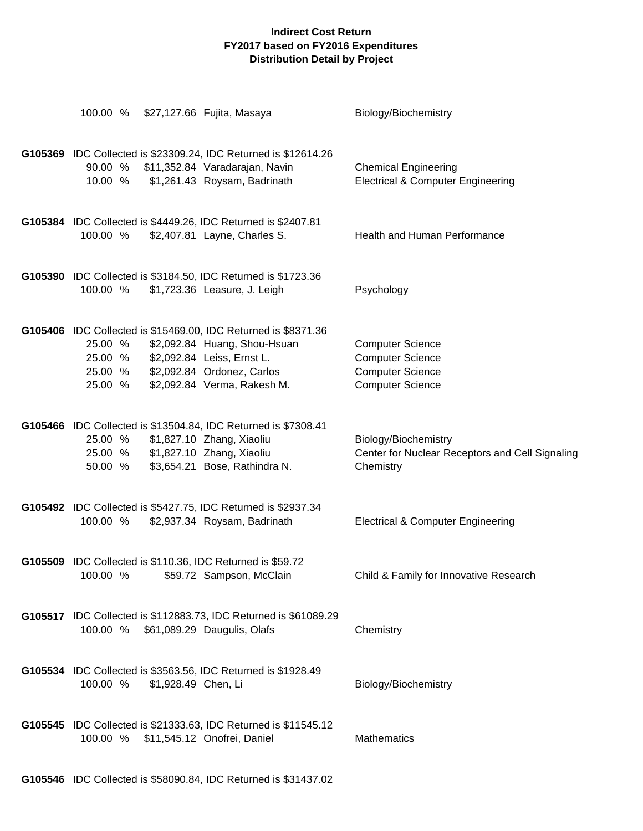| 100.00 %                                                                                                                              | \$27,127.66 Fujita, Masaya                                                                      | Biology/Biochemistry                                                                                     |
|---------------------------------------------------------------------------------------------------------------------------------------|-------------------------------------------------------------------------------------------------|----------------------------------------------------------------------------------------------------------|
| 90.00 % \$11,352.84 Varadarajan, Navin<br>10.00 %                                                                                     | G105369 IDC Collected is \$23309.24, IDC Returned is \$12614.26<br>\$1,261.43 Roysam, Badrinath | <b>Chemical Engineering</b><br><b>Electrical &amp; Computer Engineering</b>                              |
| G105384 IDC Collected is \$4449.26, IDC Returned is \$2407.81<br>100.00 %                                                             | \$2,407.81 Layne, Charles S.                                                                    | Health and Human Performance                                                                             |
| G105390 IDC Collected is \$3184.50, IDC Returned is \$1723.36<br>100.00 %                                                             | \$1,723.36 Leasure, J. Leigh                                                                    | Psychology                                                                                               |
| G105406 IDC Collected is \$15469.00, IDC Returned is \$8371.36<br>25.00 %<br>25.00 %<br>25.00 % \$2,092.84 Ordonez, Carlos<br>25.00 % | \$2,092.84 Huang, Shou-Hsuan<br>\$2,092.84 Leiss, Ernst L.<br>\$2,092.84 Verma, Rakesh M.       | <b>Computer Science</b><br><b>Computer Science</b><br><b>Computer Science</b><br><b>Computer Science</b> |
| G105466 IDC Collected is \$13504.84, IDC Returned is \$7308.41<br>25.00 %<br>25.00 % \$1,827.10 Zhang, Xiaoliu<br>50.00 %             | \$1,827.10 Zhang, Xiaoliu<br>\$3,654.21 Bose, Rathindra N.                                      | Biology/Biochemistry<br>Center for Nuclear Receptors and Cell Signaling<br>Chemistry                     |
| G105492 IDC Collected is \$5427.75, IDC Returned is \$2937.34<br>100.00 %                                                             | \$2,937.34 Roysam, Badrinath                                                                    | <b>Electrical &amp; Computer Engineering</b>                                                             |
| G105509 IDC Collected is \$110.36, IDC Returned is \$59.72<br>100.00 %                                                                | \$59.72 Sampson, McClain                                                                        | Child & Family for Innovative Research                                                                   |
| 100.00 %                                                                                                                              | G105517 IDC Collected is \$112883.73, IDC Returned is \$61089.29<br>\$61,089.29 Daugulis, Olafs | Chemistry                                                                                                |
| G105534 IDC Collected is \$3563.56, IDC Returned is \$1928.49<br>100.00 %<br>\$1,928.49 Chen, Li                                      |                                                                                                 | Biology/Biochemistry                                                                                     |
| 100.00 %                                                                                                                              | G105545 IDC Collected is \$21333.63, IDC Returned is \$11545.12<br>\$11,545.12 Onofrei, Daniel  | <b>Mathematics</b>                                                                                       |

**G105546** IDC Collected is \$58090.84, IDC Returned is \$31437.02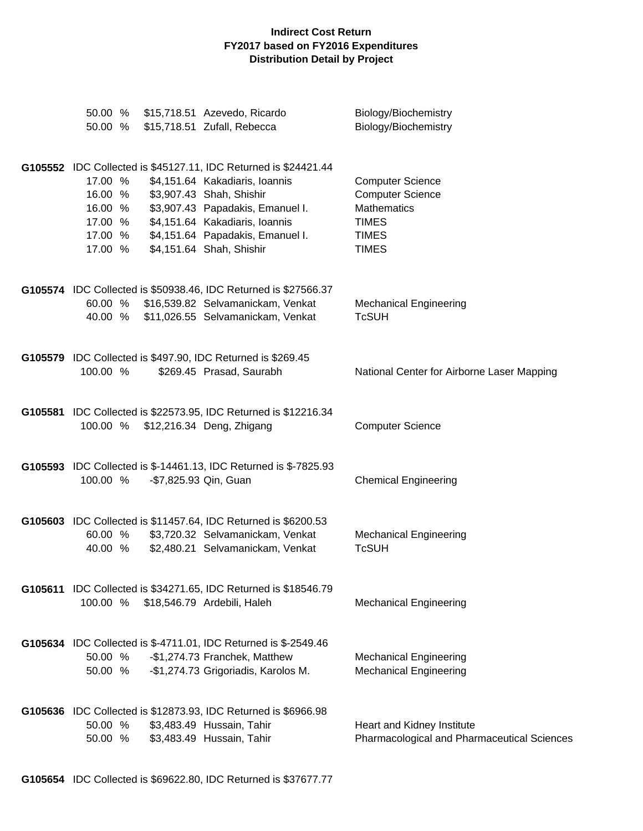| 50.00 %                                                        | 50.00 % \$15,718.51 Azevedo, Ricardo<br>\$15,718.51 Zufall, Rebecca                                                                                                                                                                                                 | Biology/Biochemistry<br>Biology/Biochemistry                                                                             |
|----------------------------------------------------------------|---------------------------------------------------------------------------------------------------------------------------------------------------------------------------------------------------------------------------------------------------------------------|--------------------------------------------------------------------------------------------------------------------------|
| 17.00 %<br>16.00 %<br>16.00 %<br>17.00 %<br>17.00 %<br>17.00 % | G105552 IDC Collected is \$45127.11, IDC Returned is \$24421.44<br>\$4,151.64 Kakadiaris, Ioannis<br>\$3,907.43 Shah, Shishir<br>\$3,907.43 Papadakis, Emanuel I.<br>\$4,151.64 Kakadiaris, Ioannis<br>\$4,151.64 Papadakis, Emanuel I.<br>\$4,151.64 Shah, Shishir | <b>Computer Science</b><br><b>Computer Science</b><br><b>Mathematics</b><br><b>TIMES</b><br><b>TIMES</b><br><b>TIMES</b> |
| 40.00 %                                                        | G105574 IDC Collected is \$50938.46, IDC Returned is \$27566.37<br>60.00 % \$16,539.82 Selvamanickam, Venkat<br>\$11,026.55 Selvamanickam, Venkat                                                                                                                   | <b>Mechanical Engineering</b><br><b>TcSUH</b>                                                                            |
| 100.00 %                                                       | G105579 IDC Collected is \$497.90, IDC Returned is \$269.45<br>\$269.45 Prasad, Saurabh                                                                                                                                                                             | National Center for Airborne Laser Mapping                                                                               |
| 100.00 %                                                       | G105581 IDC Collected is \$22573.95, IDC Returned is \$12216.34<br>\$12,216.34 Deng, Zhigang                                                                                                                                                                        | <b>Computer Science</b>                                                                                                  |
| 100.00 %                                                       | G105593 IDC Collected is \$-14461.13, IDC Returned is \$-7825.93<br>-\$7,825.93 Qin, Guan                                                                                                                                                                           | <b>Chemical Engineering</b>                                                                                              |
| 60.00 %<br>40.00 %                                             | G105603 IDC Collected is \$11457.64, IDC Returned is \$6200.53<br>\$3,720.32 Selvamanickam, Venkat<br>\$2,480.21 Selvamanickam, Venkat                                                                                                                              | <b>Mechanical Engineering</b><br><b>TcSUH</b>                                                                            |
| 100.00 %                                                       | G105611 IDC Collected is \$34271.65, IDC Returned is \$18546.79<br>\$18,546.79 Ardebili, Haleh                                                                                                                                                                      | <b>Mechanical Engineering</b>                                                                                            |
| 50.00 %<br>50.00 %                                             | G105634 IDC Collected is \$-4711.01, IDC Returned is \$-2549.46<br>-\$1,274.73 Franchek, Matthew<br>-\$1,274.73 Grigoriadis, Karolos M.                                                                                                                             | <b>Mechanical Engineering</b><br><b>Mechanical Engineering</b>                                                           |
| 50.00 %<br>50.00 %                                             | G105636 IDC Collected is \$12873.93, IDC Returned is \$6966.98<br>\$3,483.49 Hussain, Tahir<br>\$3,483.49 Hussain, Tahir                                                                                                                                            | Heart and Kidney Institute<br>Pharmacological and Pharmaceutical Sciences                                                |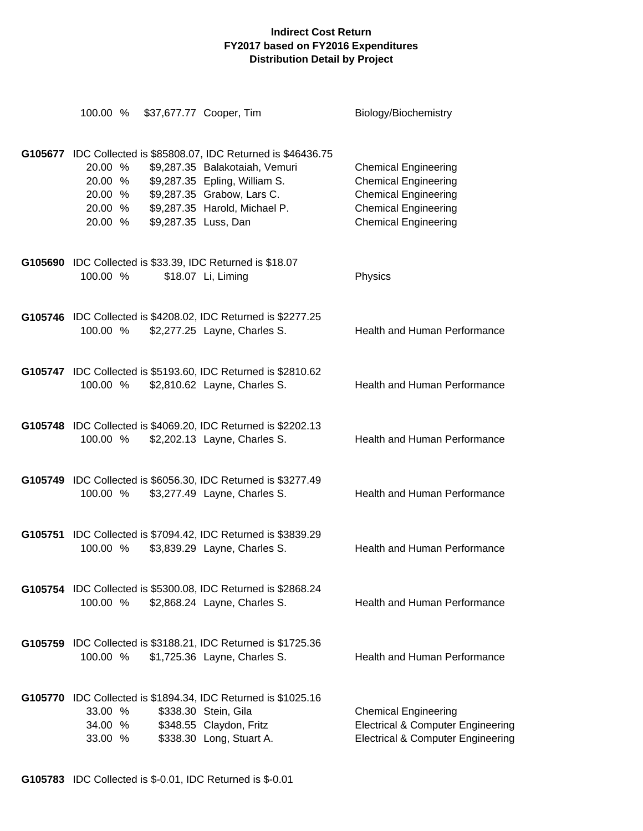| 100.00 %                                 |                      | \$37,677.77 Cooper, Tim                                                                                                                                                                                   | Biology/Biochemistry                                                                                                                                    |
|------------------------------------------|----------------------|-----------------------------------------------------------------------------------------------------------------------------------------------------------------------------------------------------------|---------------------------------------------------------------------------------------------------------------------------------------------------------|
| 20.00 %<br>20.00 %<br>20.00 %<br>20.00 % | \$9,287.35 Luss, Dan | G105677 IDC Collected is \$85808.07, IDC Returned is \$46436.75<br>\$9,287.35 Balakotaiah, Vemuri<br>\$9,287.35 Epling, William S.<br>\$9,287.35 Grabow, Lars C.<br>20.00 % \$9,287.35 Harold, Michael P. | <b>Chemical Engineering</b><br><b>Chemical Engineering</b><br><b>Chemical Engineering</b><br><b>Chemical Engineering</b><br><b>Chemical Engineering</b> |
| 100.00 %                                 |                      | G105690 IDC Collected is \$33.39, IDC Returned is \$18.07<br>\$18.07 Li, Liming                                                                                                                           | Physics                                                                                                                                                 |
| 100.00 %                                 |                      | G105746 IDC Collected is \$4208.02, IDC Returned is \$2277.25<br>\$2,277.25 Layne, Charles S.                                                                                                             | <b>Health and Human Performance</b>                                                                                                                     |
| 100.00 %                                 |                      | G105747 IDC Collected is \$5193.60, IDC Returned is \$2810.62<br>\$2,810.62 Layne, Charles S.                                                                                                             | Health and Human Performance                                                                                                                            |
| 100.00 %                                 |                      | G105748 IDC Collected is \$4069.20, IDC Returned is \$2202.13<br>\$2,202.13 Layne, Charles S.                                                                                                             | <b>Health and Human Performance</b>                                                                                                                     |
| 100.00 %                                 |                      | G105749 IDC Collected is \$6056.30, IDC Returned is \$3277.49<br>\$3,277.49 Layne, Charles S.                                                                                                             | Health and Human Performance                                                                                                                            |
| 100.00 %                                 |                      | G105751 IDC Collected is \$7094.42, IDC Returned is \$3839.29<br>\$3,839.29 Layne, Charles S.                                                                                                             | <b>Health and Human Performance</b>                                                                                                                     |
| 100.00 %                                 |                      | G105754 IDC Collected is \$5300.08, IDC Returned is \$2868.24<br>\$2,868.24 Layne, Charles S.                                                                                                             | Health and Human Performance                                                                                                                            |
| 100.00 %                                 |                      | G105759 IDC Collected is \$3188.21, IDC Returned is \$1725.36<br>\$1,725.36 Layne, Charles S.                                                                                                             | <b>Health and Human Performance</b>                                                                                                                     |
| 33.00 %<br>34.00 %<br>33.00 %            |                      | G105770 IDC Collected is \$1894.34, IDC Returned is \$1025.16<br>\$338.30 Stein, Gila<br>\$348.55 Claydon, Fritz<br>\$338.30 Long, Stuart A.                                                              | <b>Chemical Engineering</b><br><b>Electrical &amp; Computer Engineering</b><br><b>Electrical &amp; Computer Engineering</b>                             |

**G105783** IDC Collected is \$-0.01, IDC Returned is \$-0.01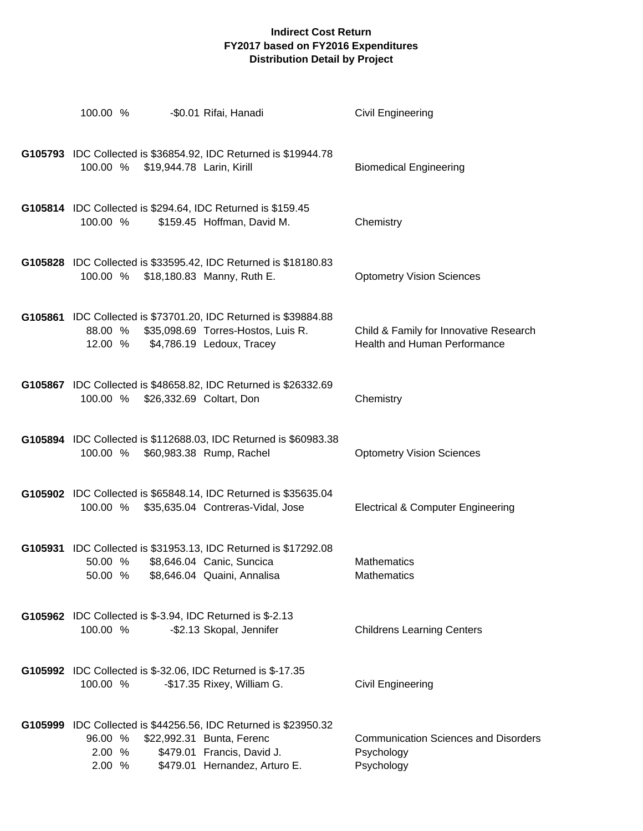| 100.00 %                    |                                   | -\$0.01 Rifai, Hanadi                                                                                                                                       | Civil Engineering                                                       |
|-----------------------------|-----------------------------------|-------------------------------------------------------------------------------------------------------------------------------------------------------------|-------------------------------------------------------------------------|
| 100.00 %                    | \$19,944.78 Larin, Kirill         | G105793 IDC Collected is \$36854.92, IDC Returned is \$19944.78                                                                                             | <b>Biomedical Engineering</b>                                           |
| 100.00 %                    |                                   | G105814 IDC Collected is \$294.64, IDC Returned is \$159.45<br>\$159.45 Hoffman, David M.                                                                   | Chemistry                                                               |
| 100.00 %                    |                                   | G105828 IDC Collected is \$33595.42, IDC Returned is \$18180.83<br>\$18,180.83 Manny, Ruth E.                                                               | <b>Optometry Vision Sciences</b>                                        |
| 88.00 %                     |                                   | G105861 IDC Collected is \$73701.20, IDC Returned is \$39884.88<br>\$35,098.69 Torres-Hostos, Luis R.<br>12.00 % \$4,786.19 Ledoux, Tracey                  | Child & Family for Innovative Research<br>Health and Human Performance  |
| 100.00 %                    | \$26,332.69 Coltart, Don          | G105867 IDC Collected is \$48658.82, IDC Returned is \$26332.69                                                                                             | Chemistry                                                               |
|                             | 100.00 % \$60,983.38 Rump, Rachel | G105894 IDC Collected is \$112688.03, IDC Returned is \$60983.38                                                                                            | <b>Optometry Vision Sciences</b>                                        |
| 100.00 %                    |                                   | G105902 IDC Collected is \$65848.14, IDC Returned is \$35635.04<br>\$35,635.04 Contreras-Vidal, Jose                                                        | <b>Electrical &amp; Computer Engineering</b>                            |
| 50.00 %<br>50.00 %          |                                   | G105931 IDC Collected is \$31953.13, IDC Returned is \$17292.08<br>\$8,646.04 Canic, Suncica<br>\$8,646.04 Quaini, Annalisa                                 | <b>Mathematics</b><br>Mathematics                                       |
| 100.00 %                    |                                   | G105962 IDC Collected is \$-3.94, IDC Returned is \$-2.13<br>-\$2.13 Skopal, Jennifer                                                                       | <b>Childrens Learning Centers</b>                                       |
| 100.00 %                    |                                   | G105992 IDC Collected is \$-32.06, IDC Returned is \$-17.35<br>-\$17.35 Rixey, William G.                                                                   | Civil Engineering                                                       |
| 96.00 %<br>2.00 %<br>2.00 % |                                   | G105999 IDC Collected is \$44256.56, IDC Returned is \$23950.32<br>\$22,992.31 Bunta, Ferenc<br>\$479.01 Francis, David J.<br>\$479.01 Hernandez, Arturo E. | <b>Communication Sciences and Disorders</b><br>Psychology<br>Psychology |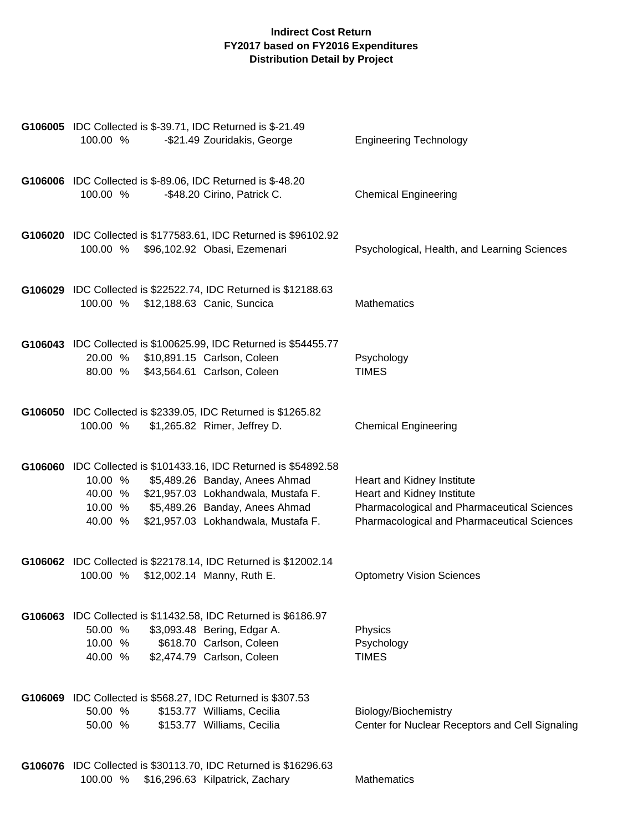| G106005 IDC Collected is \$-39.71, IDC Returned is \$-21.49<br>-\$21.49 Zouridakis, George<br>100.00 %                                                                                                                                                   | <b>Engineering Technology</b>                                                                                                                          |
|----------------------------------------------------------------------------------------------------------------------------------------------------------------------------------------------------------------------------------------------------------|--------------------------------------------------------------------------------------------------------------------------------------------------------|
| G106006 IDC Collected is \$-89.06, IDC Returned is \$-48.20<br>-\$48.20 Cirino, Patrick C.<br>100.00 %                                                                                                                                                   | <b>Chemical Engineering</b>                                                                                                                            |
| G106020 IDC Collected is \$177583.61, IDC Returned is \$96102.92<br>100.00 %<br>\$96,102.92 Obasi, Ezemenari                                                                                                                                             | Psychological, Health, and Learning Sciences                                                                                                           |
| G106029 IDC Collected is \$22522.74, IDC Returned is \$12188.63<br>100.00 % \$12,188.63 Canic, Suncica                                                                                                                                                   | <b>Mathematics</b>                                                                                                                                     |
| G106043 IDC Collected is \$100625.99, IDC Returned is \$54455.77<br>20.00 % \$10,891.15 Carlson, Coleen<br>80.00 % \$43,564.61 Carlson, Coleen                                                                                                           | Psychology<br><b>TIMES</b>                                                                                                                             |
| G106050 IDC Collected is \$2339.05, IDC Returned is \$1265.82<br>100.00 %<br>\$1,265.82 Rimer, Jeffrey D.                                                                                                                                                | <b>Chemical Engineering</b>                                                                                                                            |
| G106060 IDC Collected is \$101433.16, IDC Returned is \$54892.58<br>\$5,489.26 Banday, Anees Ahmad<br>10.00 %<br>40.00 % \$21,957.03 Lokhandwala, Mustafa F.<br>10.00 % \$5,489.26 Banday, Anees Ahmad<br>\$21,957.03 Lokhandwala, Mustafa F.<br>40.00 % | Heart and Kidney Institute<br>Heart and Kidney Institute<br>Pharmacological and Pharmaceutical Sciences<br>Pharmacological and Pharmaceutical Sciences |
| G106062 IDC Collected is \$22178.14, IDC Returned is \$12002.14<br>100.00 %<br>\$12,002.14 Manny, Ruth E.                                                                                                                                                | <b>Optometry Vision Sciences</b>                                                                                                                       |
| G106063 IDC Collected is \$11432.58, IDC Returned is \$6186.97<br>\$3,093.48 Bering, Edgar A.<br>50.00 %<br>\$618.70 Carlson, Coleen<br>10.00 %<br>\$2,474.79 Carlson, Coleen<br>40.00 %                                                                 | Physics<br>Psychology<br><b>TIMES</b>                                                                                                                  |
| G106069 IDC Collected is \$568.27, IDC Returned is \$307.53<br>50.00 %<br>\$153.77 Williams, Cecilia<br>\$153.77 Williams, Cecilia<br>50.00 %                                                                                                            | Biology/Biochemistry<br>Center for Nuclear Receptors and Cell Signaling                                                                                |
| G106076 IDC Collected is \$30113.70, IDC Returned is \$16296.63<br>\$16,296.63 Kilpatrick, Zachary<br>100.00 %                                                                                                                                           | <b>Mathematics</b>                                                                                                                                     |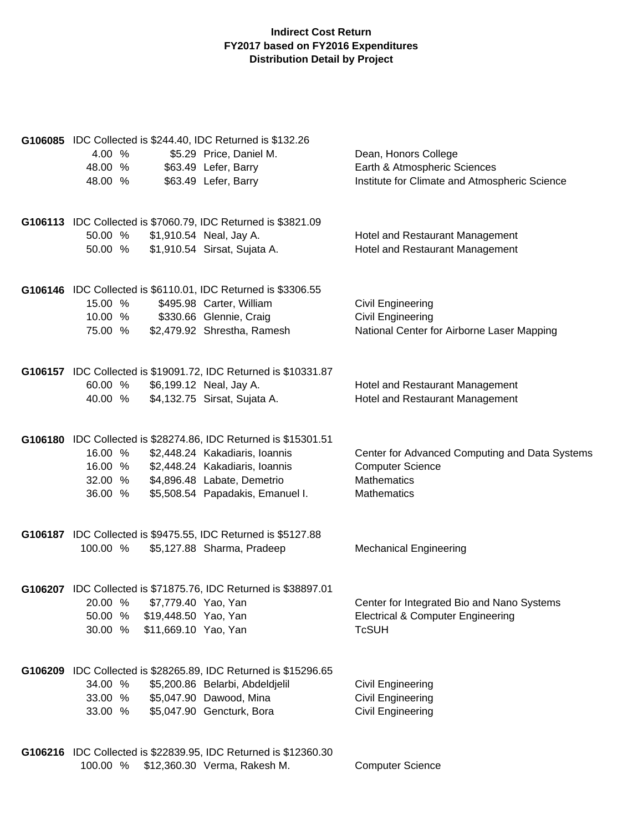| G106085 IDC Collected is \$244.40, IDC Returned is \$132.26<br>4.00 %<br>\$5.29 Price, Daniel M.<br>48.00 %<br>\$63.49 Lefer, Barry<br>48.00 %<br>\$63.49 Lefer, Barry                                                                             | Dean, Honors College<br>Earth & Atmospheric Sciences<br>Institute for Climate and Atmospheric Science          |
|----------------------------------------------------------------------------------------------------------------------------------------------------------------------------------------------------------------------------------------------------|----------------------------------------------------------------------------------------------------------------|
| G106113 IDC Collected is \$7060.79, IDC Returned is \$3821.09<br>\$1,910.54 Neal, Jay A.<br>50.00 %<br>\$1,910.54 Sirsat, Sujata A.<br>50.00 %                                                                                                     | Hotel and Restaurant Management<br>Hotel and Restaurant Management                                             |
| G106146 IDC Collected is \$6110.01, IDC Returned is \$3306.55<br>15.00 %<br>\$495.98 Carter, William<br>10.00 %<br>\$330.66 Glennie, Craig<br>\$2,479.92 Shrestha, Ramesh<br>75.00 %                                                               | Civil Engineering<br>Civil Engineering<br>National Center for Airborne Laser Mapping                           |
| G106157 IDC Collected is \$19091.72, IDC Returned is \$10331.87<br>\$6,199.12 Neal, Jay A.<br>60.00 %<br>\$4,132.75 Sirsat, Sujata A.<br>40.00 %                                                                                                   | Hotel and Restaurant Management<br>Hotel and Restaurant Management                                             |
| G106180 IDC Collected is \$28274.86, IDC Returned is \$15301.51<br>\$2,448.24 Kakadiaris, Ioannis<br>16.00 %<br>\$2,448.24 Kakadiaris, Ioannis<br>16.00 %<br>\$4,896.48 Labate, Demetrio<br>32.00 %<br>\$5,508.54 Papadakis, Emanuel I.<br>36.00 % | Center for Advanced Computing and Data Systems<br><b>Computer Science</b><br><b>Mathematics</b><br>Mathematics |
| G106187 IDC Collected is \$9475.55, IDC Returned is \$5127.88<br>\$5,127.88 Sharma, Pradeep<br>100.00 %                                                                                                                                            | <b>Mechanical Engineering</b>                                                                                  |
| G106207 IDC Collected is \$71875.76, IDC Returned is \$38897.01<br>20.00 % \$7,779.40 Yao, Yan<br>50.00 %<br>\$19,448.50 Yao, Yan<br>30.00 %<br>\$11,669.10 Yao, Yan                                                                               | Center for Integrated Bio and Nano Systems<br><b>Electrical &amp; Computer Engineering</b><br><b>TcSUH</b>     |
| G106209 IDC Collected is \$28265.89, IDC Returned is \$15296.65<br>34.00 %<br>\$5,200.86 Belarbi, Abdeldjelil<br>\$5,047.90 Dawood, Mina<br>33.00 %<br>\$5,047.90 Gencturk, Bora<br>33.00 %                                                        | Civil Engineering<br>Civil Engineering<br><b>Civil Engineering</b>                                             |
| G106216 IDC Collected is \$22839.95, IDC Returned is \$12360.30<br>\$12,360.30 Verma, Rakesh M.<br>100.00 %                                                                                                                                        | <b>Computer Science</b>                                                                                        |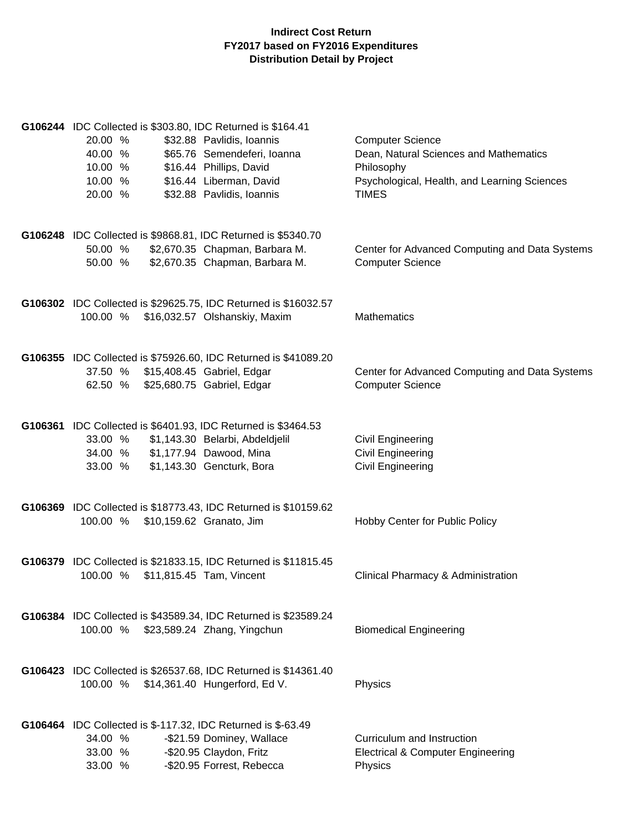| G106244 IDC Collected is \$303.80, IDC Returned is \$164.41<br>20.00 %<br>40.00 %<br>10.00 %<br>10.00 %<br>20.00 % | \$32.88 Pavlidis, Ioannis<br>\$65.76 Semendeferi, Ioanna<br>\$16.44 Phillips, David<br>\$16.44 Liberman, David<br>\$32.88 Pavlidis, Ioannis | <b>Computer Science</b><br>Dean, Natural Sciences and Mathematics<br>Philosophy<br>Psychological, Health, and Learning Sciences<br><b>TIMES</b> |
|--------------------------------------------------------------------------------------------------------------------|---------------------------------------------------------------------------------------------------------------------------------------------|-------------------------------------------------------------------------------------------------------------------------------------------------|
| G106248 IDC Collected is \$9868.81, IDC Returned is \$5340.70<br>50.00 %<br>50.00 %                                | \$2,670.35 Chapman, Barbara M.<br>\$2,670.35 Chapman, Barbara M.                                                                            | Center for Advanced Computing and Data Systems<br><b>Computer Science</b>                                                                       |
| 100.00 %                                                                                                           | G106302 IDC Collected is \$29625.75, IDC Returned is \$16032.57<br>\$16,032.57 Olshanskiy, Maxim                                            | <b>Mathematics</b>                                                                                                                              |
| 37.50 % \$15,408.45 Gabriel, Edgar<br>62.50 % \$25,680.75 Gabriel, Edgar                                           | G106355 IDC Collected is \$75926.60, IDC Returned is \$41089.20                                                                             | Center for Advanced Computing and Data Systems<br><b>Computer Science</b>                                                                       |
| G106361 IDC Collected is \$6401.93, IDC Returned is \$3464.53<br>33.00 %<br>34.00 %<br>33.00 %                     | \$1,143.30 Belarbi, Abdeldjelil<br>\$1,177.94 Dawood, Mina<br>\$1,143.30 Gencturk, Bora                                                     | <b>Civil Engineering</b><br>Civil Engineering<br>Civil Engineering                                                                              |
| 100.00 %                                                                                                           | G106369 IDC Collected is \$18773.43, IDC Returned is \$10159.62<br>\$10,159.62 Granato, Jim                                                 | Hobby Center for Public Policy                                                                                                                  |
| 100.00 %<br>\$11,815.45 Tam, Vincent                                                                               | G106379 IDC Collected is \$21833.15, IDC Returned is \$11815.45                                                                             | Clinical Pharmacy & Administration                                                                                                              |
| 100.00 %                                                                                                           | G106384 IDC Collected is \$43589.34, IDC Returned is \$23589.24<br>\$23,589.24 Zhang, Yingchun                                              | <b>Biomedical Engineering</b>                                                                                                                   |
| 100.00 %                                                                                                           | G106423 IDC Collected is \$26537.68, IDC Returned is \$14361.40<br>\$14,361.40 Hungerford, Ed V.                                            | Physics                                                                                                                                         |
| G106464 IDC Collected is \$-117.32, IDC Returned is \$-63.49<br>34.00 %<br>33.00 %<br>33.00 %                      | -\$21.59 Dominey, Wallace<br>-\$20.95 Claydon, Fritz<br>-\$20.95 Forrest, Rebecca                                                           | Curriculum and Instruction<br><b>Electrical &amp; Computer Engineering</b><br>Physics                                                           |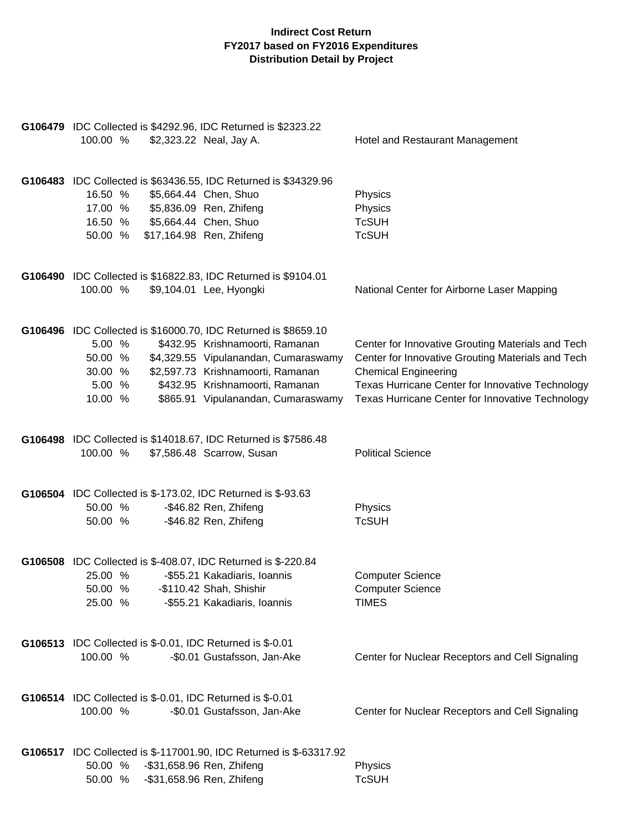| G106479 IDC Collected is \$4292.96, IDC Returned is \$2323.22<br>100.00 %<br>\$2,323.22 Neal, Jay A.                                                                                                                                                                   |                                    | Hotel and Restaurant Management                                                                                                                                                                                                               |
|------------------------------------------------------------------------------------------------------------------------------------------------------------------------------------------------------------------------------------------------------------------------|------------------------------------|-----------------------------------------------------------------------------------------------------------------------------------------------------------------------------------------------------------------------------------------------|
| G106483 IDC Collected is \$63436.55, IDC Returned is \$34329.96<br>\$5,664.44 Chen, Shuo<br>16.50 %<br>17.00 %<br>\$5,836.09 Ren, Zhifeng<br>\$5,664.44 Chen, Shuo<br>16.50 %<br>\$17,164.98 Ren, Zhifeng<br>50.00 %                                                   |                                    | Physics<br>Physics<br><b>TcSUH</b><br><b>TcSUH</b>                                                                                                                                                                                            |
| G106490 IDC Collected is \$16822.83, IDC Returned is \$9104.01<br>\$9,104.01 Lee, Hyongki<br>100.00 %                                                                                                                                                                  |                                    | National Center for Airborne Laser Mapping                                                                                                                                                                                                    |
| G106496 IDC Collected is \$16000.70, IDC Returned is \$8659.10<br>5.00 %<br>\$432.95 Krishnamoorti, Ramanan<br>50.00 %<br>\$4,329.55 Vipulanandan, Cumaraswamy<br>\$2,597.73 Krishnamoorti, Ramanan<br>30.00 %<br>\$432.95 Krishnamoorti, Ramanan<br>5.00 %<br>10.00 % | \$865.91 Vipulanandan, Cumaraswamy | Center for Innovative Grouting Materials and Tech<br>Center for Innovative Grouting Materials and Tech<br><b>Chemical Engineering</b><br>Texas Hurricane Center for Innovative Technology<br>Texas Hurricane Center for Innovative Technology |
| G106498 IDC Collected is \$14018.67, IDC Returned is \$7586.48<br>100.00 %<br>\$7,586.48 Scarrow, Susan                                                                                                                                                                |                                    | <b>Political Science</b>                                                                                                                                                                                                                      |
| G106504 IDC Collected is \$-173.02, IDC Returned is \$-93.63<br>-\$46.82 Ren, Zhifeng<br>50.00 %<br>-\$46.82 Ren, Zhifeng<br>50.00 %                                                                                                                                   |                                    | Physics<br><b>TcSUH</b>                                                                                                                                                                                                                       |
| G106508 IDC Collected is \$-408.07, IDC Returned is \$-220.84<br>25.00 %<br>-\$55.21 Kakadiaris, Ioannis<br>50.00 %<br>-\$110.42 Shah, Shishir<br>25.00 %<br>-\$55.21 Kakadiaris, Ioannis                                                                              |                                    | <b>Computer Science</b><br><b>Computer Science</b><br><b>TIMES</b>                                                                                                                                                                            |
| G106513 IDC Collected is \$-0.01, IDC Returned is \$-0.01<br>100.00 %<br>-\$0.01 Gustafsson, Jan-Ake                                                                                                                                                                   |                                    | Center for Nuclear Receptors and Cell Signaling                                                                                                                                                                                               |
| G106514 IDC Collected is \$-0.01, IDC Returned is \$-0.01<br>100.00 %<br>-\$0.01 Gustafsson, Jan-Ake                                                                                                                                                                   |                                    | Center for Nuclear Receptors and Cell Signaling                                                                                                                                                                                               |
| G106517 IDC Collected is \$-117001.90, IDC Returned is \$-63317.92<br>-\$31,658.96 Ren, Zhifeng<br>50.00 %<br>-\$31,658.96 Ren, Zhifeng<br>50.00 %                                                                                                                     |                                    | Physics<br><b>TcSUH</b>                                                                                                                                                                                                                       |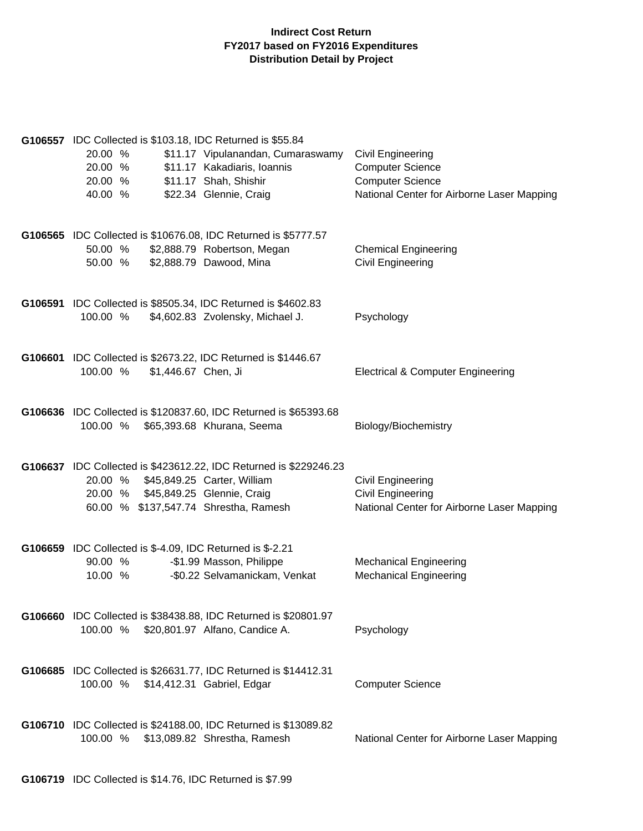| G106557 IDC Collected is \$103.18, IDC Returned is \$55.84<br>20.00 %<br>\$11.17 Vipulanandan, Cumaraswamy<br>20.00 %<br>\$11.17 Kakadiaris, Ioannis<br>\$11.17 Shah, Shishir<br>20.00 %<br>\$22.34 Glennie, Craig<br>40.00 % | <b>Civil Engineering</b><br><b>Computer Science</b><br><b>Computer Science</b><br>National Center for Airborne Laser Mapping |
|-------------------------------------------------------------------------------------------------------------------------------------------------------------------------------------------------------------------------------|------------------------------------------------------------------------------------------------------------------------------|
| G106565 IDC Collected is \$10676.08, IDC Returned is \$5777.57<br>50.00 %<br>\$2,888.79 Robertson, Megan<br>\$2,888.79 Dawood, Mina<br>50.00 %                                                                                | <b>Chemical Engineering</b><br><b>Civil Engineering</b>                                                                      |
| G106591 IDC Collected is \$8505.34, IDC Returned is \$4602.83<br>100.00 %<br>\$4,602.83 Zvolensky, Michael J.                                                                                                                 | Psychology                                                                                                                   |
| G106601 IDC Collected is \$2673.22, IDC Returned is \$1446.67<br>\$1,446.67 Chen, Ji<br>100.00 %                                                                                                                              | <b>Electrical &amp; Computer Engineering</b>                                                                                 |
| G106636 IDC Collected is \$120837.60, IDC Returned is \$65393.68<br>100.00 %<br>\$65,393.68 Khurana, Seema                                                                                                                    | Biology/Biochemistry                                                                                                         |
| G106637 IDC Collected is \$423612.22, IDC Returned is \$229246.23<br>20.00 % \$45,849.25 Carter, William<br>20.00 % \$45,849.25 Glennie, Craig<br>60.00 % \$137,547.74 Shrestha, Ramesh                                       | Civil Engineering<br><b>Civil Engineering</b><br>National Center for Airborne Laser Mapping                                  |
| G106659 IDC Collected is \$-4.09, IDC Returned is \$-2.21<br>-\$1.99 Masson, Philippe<br>90.00 %<br>-\$0.22 Selvamanickam, Venkat<br>10.00 %                                                                                  | <b>Mechanical Engineering</b><br><b>Mechanical Engineering</b>                                                               |
| G106660 IDC Collected is \$38438.88, IDC Returned is \$20801.97<br>100.00 % \$20,801.97 Alfano, Candice A.                                                                                                                    | Psychology                                                                                                                   |
| G106685 IDC Collected is \$26631.77, IDC Returned is \$14412.31<br>100.00 % \$14,412.31 Gabriel, Edgar                                                                                                                        | <b>Computer Science</b>                                                                                                      |
| G106710 IDC Collected is \$24188.00, IDC Returned is \$13089.82<br>100.00 % \$13,089.82 Shrestha, Ramesh                                                                                                                      | National Center for Airborne Laser Mapping                                                                                   |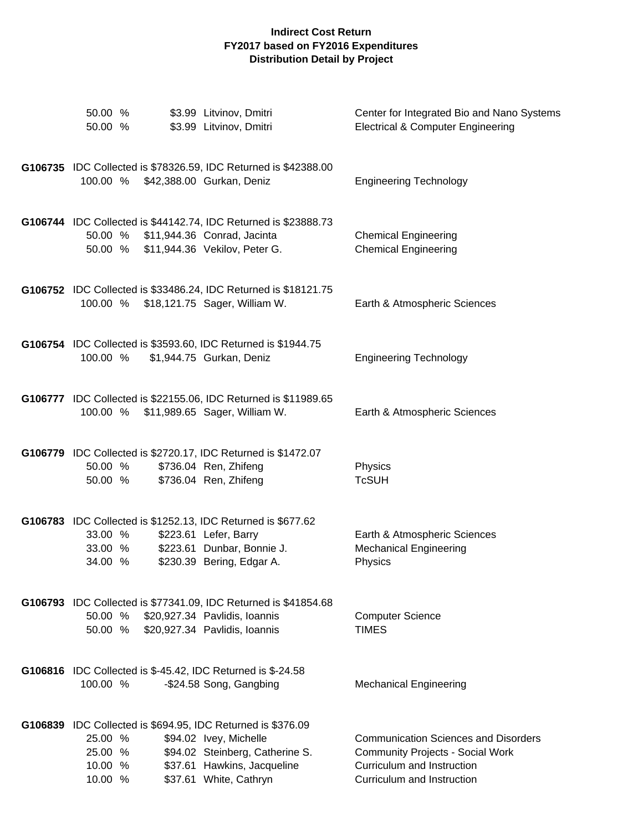| 50.00 %<br>50.00 %                       | \$3.99 Litvinov, Dmitri<br>\$3.99 Litvinov, Dmitri                                                                                                                                | Center for Integrated Bio and Nano Systems<br><b>Electrical &amp; Computer Engineering</b>                                                         |
|------------------------------------------|-----------------------------------------------------------------------------------------------------------------------------------------------------------------------------------|----------------------------------------------------------------------------------------------------------------------------------------------------|
|                                          | G106735 IDC Collected is \$78326.59, IDC Returned is \$42388.00<br>100.00 % \$42,388.00 Gurkan, Deniz                                                                             | <b>Engineering Technology</b>                                                                                                                      |
|                                          | G106744 IDC Collected is \$44142.74, IDC Returned is \$23888.73<br>50.00 % \$11,944.36 Conrad, Jacinta<br>50.00 % \$11,944.36 Vekilov, Peter G.                                   | <b>Chemical Engineering</b><br><b>Chemical Engineering</b>                                                                                         |
|                                          | G106752 IDC Collected is \$33486.24, IDC Returned is \$18121.75<br>100.00 % \$18,121.75 Sager, William W.                                                                         | Earth & Atmospheric Sciences                                                                                                                       |
| 100.00 %                                 | G106754 IDC Collected is \$3593.60, IDC Returned is \$1944.75<br>\$1,944.75 Gurkan, Deniz                                                                                         | <b>Engineering Technology</b>                                                                                                                      |
|                                          | G106777 IDC Collected is \$22155.06, IDC Returned is \$11989.65<br>100.00 % \$11,989.65 Sager, William W.                                                                         | Earth & Atmospheric Sciences                                                                                                                       |
| 50.00 %<br>50.00 %                       | G106779 IDC Collected is \$2720.17, IDC Returned is \$1472.07<br>\$736.04 Ren, Zhifeng<br>\$736.04 Ren, Zhifeng                                                                   | Physics<br><b>TcSUH</b>                                                                                                                            |
| 33.00 %<br>33.00 %<br>34.00 %            | G106783 IDC Collected is \$1252.13, IDC Returned is \$677.62<br>\$223.61 Lefer, Barry<br>\$223.61 Dunbar, Bonnie J.<br>\$230.39 Bering, Edgar A.                                  | Earth & Atmospheric Sciences<br><b>Mechanical Engineering</b><br>Physics                                                                           |
|                                          | G106793 IDC Collected is \$77341.09, IDC Returned is \$41854.68<br>50.00 % \$20,927.34 Pavlidis, Ioannis<br>50.00 % \$20,927.34 Pavlidis, Ioannis                                 | <b>Computer Science</b><br><b>TIMES</b>                                                                                                            |
| 100.00 %                                 | <b>G106816</b> IDC Collected is \$-45.42, IDC Returned is \$-24.58<br>-\$24.58 Song, Gangbing                                                                                     | <b>Mechanical Engineering</b>                                                                                                                      |
| 25.00 %<br>25.00 %<br>10.00 %<br>10.00 % | G106839 IDC Collected is \$694.95, IDC Returned is \$376.09<br>\$94.02 Ivey, Michelle<br>\$94.02 Steinberg, Catherine S.<br>\$37.61 Hawkins, Jacqueline<br>\$37.61 White, Cathryn | <b>Communication Sciences and Disorders</b><br><b>Community Projects - Social Work</b><br>Curriculum and Instruction<br>Curriculum and Instruction |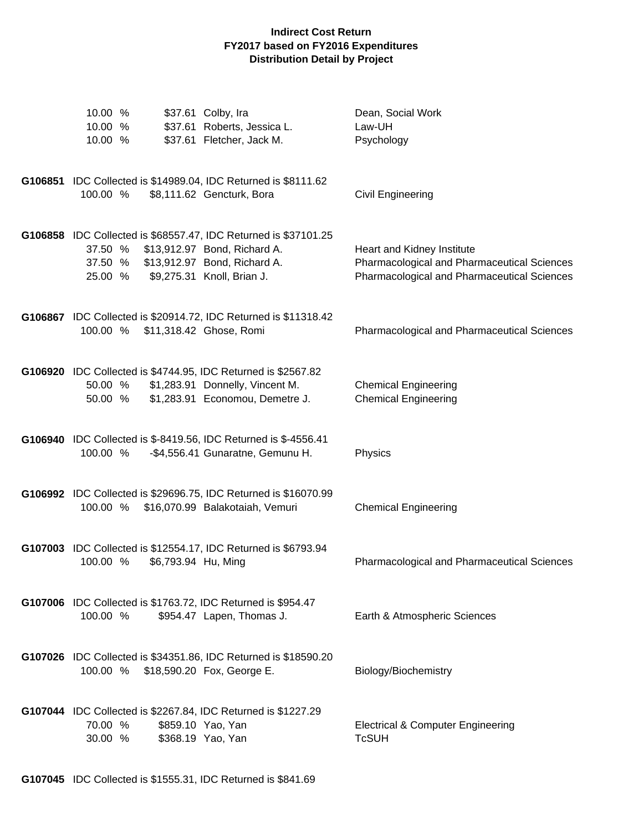| 10.00 %<br>10.00 %<br>10.00 % |                     | \$37.61 Colby, Ira<br>\$37.61 Roberts, Jessica L.<br>\$37.61 Fletcher, Jack M.                                                                                | Dean, Social Work<br>Law-UH<br>Psychology                                                                                |
|-------------------------------|---------------------|---------------------------------------------------------------------------------------------------------------------------------------------------------------|--------------------------------------------------------------------------------------------------------------------------|
| 100.00 %                      |                     | G106851 IDC Collected is \$14989.04, IDC Returned is \$8111.62<br>\$8,111.62 Gencturk, Bora                                                                   | Civil Engineering                                                                                                        |
| 37.50 %<br>37.50 %<br>25.00 % |                     | G106858 IDC Collected is \$68557.47, IDC Returned is \$37101.25<br>\$13,912.97 Bond, Richard A.<br>\$13,912.97 Bond, Richard A.<br>\$9,275.31 Knoll, Brian J. | Heart and Kidney Institute<br>Pharmacological and Pharmaceutical Sciences<br>Pharmacological and Pharmaceutical Sciences |
| 100.00 %                      |                     | G106867 IDC Collected is \$20914.72, IDC Returned is \$11318.42<br>\$11,318.42 Ghose, Romi                                                                    | <b>Pharmacological and Pharmaceutical Sciences</b>                                                                       |
| 50.00 %<br>50.00 %            |                     | G106920 IDC Collected is \$4744.95, IDC Returned is \$2567.82<br>\$1,283.91 Donnelly, Vincent M.<br>\$1,283.91 Economou, Demetre J.                           | <b>Chemical Engineering</b><br><b>Chemical Engineering</b>                                                               |
| 100.00 %                      |                     | G106940 IDC Collected is \$-8419.56, IDC Returned is \$-4556.41<br>-\$4,556.41 Gunaratne, Gemunu H.                                                           | Physics                                                                                                                  |
| 100.00 %                      |                     | G106992 IDC Collected is \$29696.75, IDC Returned is \$16070.99<br>\$16,070.99 Balakotaiah, Vemuri                                                            | <b>Chemical Engineering</b>                                                                                              |
| 100.00 %                      | \$6,793.94 Hu, Ming | G107003 IDC Collected is \$12554.17, IDC Returned is \$6793.94                                                                                                | <b>Pharmacological and Pharmaceutical Sciences</b>                                                                       |
| 100.00 %                      |                     | G107006 IDC Collected is \$1763.72, IDC Returned is \$954.47<br>\$954.47 Lapen, Thomas J.                                                                     | Earth & Atmospheric Sciences                                                                                             |
| 100.00 %                      |                     | G107026 IDC Collected is \$34351.86, IDC Returned is \$18590.20<br>\$18,590.20 Fox, George E.                                                                 | Biology/Biochemistry                                                                                                     |
| 70.00 %<br>30.00 %            |                     | G107044 IDC Collected is \$2267.84, IDC Returned is \$1227.29<br>\$859.10 Yao, Yan<br>\$368.19 Yao, Yan                                                       | <b>Electrical &amp; Computer Engineering</b><br><b>TcSUH</b>                                                             |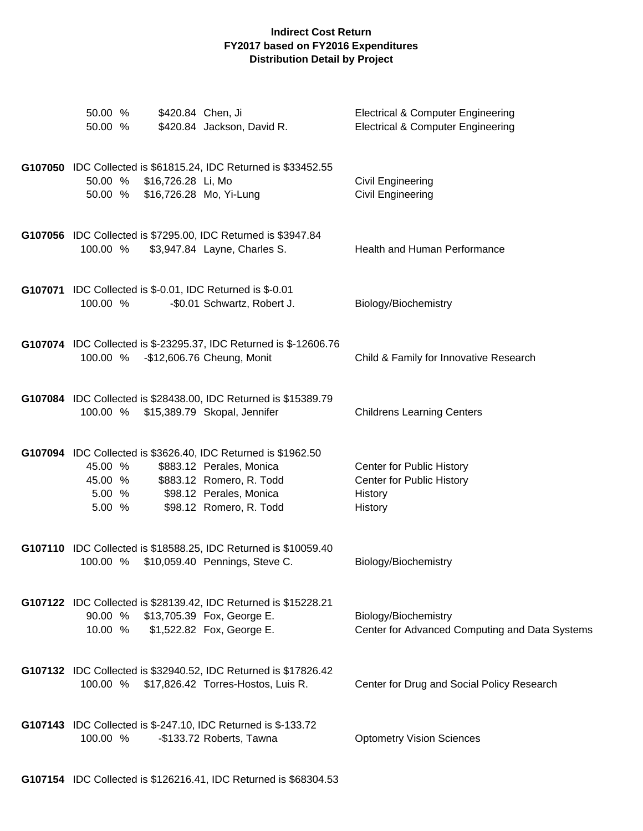| 50.00 %<br>50.00 %                                                        | \$420.84 Chen, Ji<br>\$420.84 Jackson, David R.                                                                                                                             | <b>Electrical &amp; Computer Engineering</b><br><b>Electrical &amp; Computer Engineering</b> |
|---------------------------------------------------------------------------|-----------------------------------------------------------------------------------------------------------------------------------------------------------------------------|----------------------------------------------------------------------------------------------|
| 50.00 % \$16,726.28 Li, Mo<br>50.00 % \$16,726.28 Mo, Yi-Lung             | G107050 IDC Collected is \$61815.24, IDC Returned is \$33452.55                                                                                                             | Civil Engineering<br>Civil Engineering                                                       |
| 100.00 %                                                                  | G107056 IDC Collected is \$7295.00, IDC Returned is \$3947.84<br>\$3,947.84 Layne, Charles S.                                                                               | <b>Health and Human Performance</b>                                                          |
| G107071 IDC Collected is \$-0.01, IDC Returned is \$-0.01<br>100.00 %     | -\$0.01 Schwartz, Robert J.                                                                                                                                                 | Biology/Biochemistry                                                                         |
| 100.00 % - \$12,606.76 Cheung, Monit                                      | G107074 IDC Collected is \$-23295.37, IDC Returned is \$-12606.76                                                                                                           | Child & Family for Innovative Research                                                       |
| 100.00 %                                                                  | G107084 IDC Collected is \$28438.00, IDC Returned is \$15389.79<br>\$15,389.79 Skopal, Jennifer                                                                             | <b>Childrens Learning Centers</b>                                                            |
| 45.00 %<br>45.00 %<br>5.00 %<br>5.00 %                                    | G107094 IDC Collected is \$3626.40, IDC Returned is \$1962.50<br>\$883.12 Perales, Monica<br>\$883.12 Romero, R. Todd<br>\$98.12 Perales, Monica<br>\$98.12 Romero, R. Todd | Center for Public History<br>Center for Public History<br>History<br>History                 |
| 100.00 %                                                                  | G107110 IDC Collected is \$18588.25, IDC Returned is \$10059.40<br>\$10,059.40 Pennings, Steve C.                                                                           | Biology/Biochemistry                                                                         |
| 90.00 % \$13,705.39 Fox, George E.<br>10.00 %                             | G107122 IDC Collected is \$28139.42, IDC Returned is \$15228.21<br>\$1,522.82 Fox, George E.                                                                                | Biology/Biochemistry<br>Center for Advanced Computing and Data Systems                       |
|                                                                           | G107132 IDC Collected is \$32940.52, IDC Returned is \$17826.42<br>100.00 % \$17,826.42 Torres-Hostos, Luis R.                                                              | Center for Drug and Social Policy Research                                                   |
| G107143 IDC Collected is \$-247.10, IDC Returned is \$-133.72<br>100.00 % | -\$133.72 Roberts, Tawna                                                                                                                                                    | <b>Optometry Vision Sciences</b>                                                             |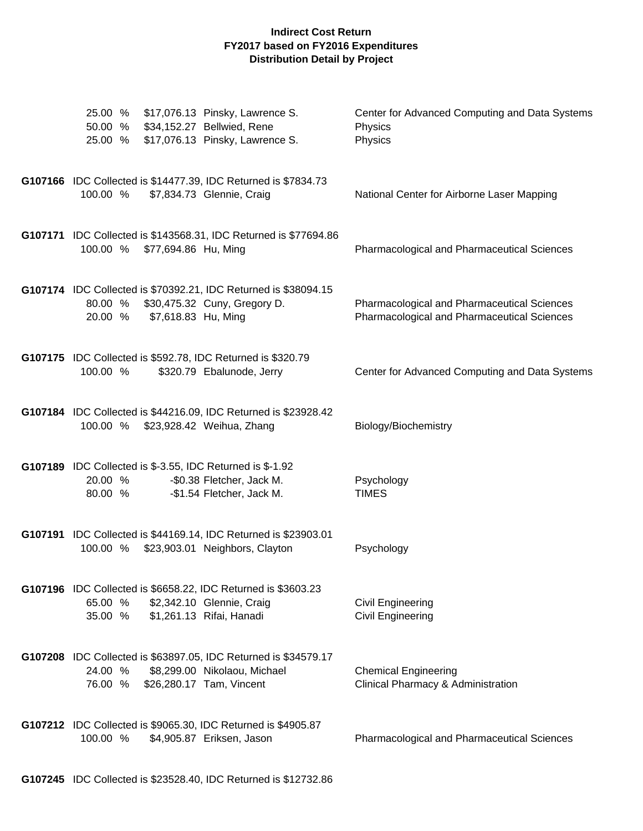| \$17,076.13 Pinsky, Lawrence S.<br>25.00 %<br>\$34,152.27 Bellwied, Rene<br>50.00 %<br>\$17,076.13 Pinsky, Lawrence S.<br>25.00 %                 | Center for Advanced Computing and Data Systems<br>Physics<br>Physics                              |
|---------------------------------------------------------------------------------------------------------------------------------------------------|---------------------------------------------------------------------------------------------------|
| G107166 IDC Collected is \$14477.39, IDC Returned is \$7834.73<br>100.00 %<br>\$7,834.73 Glennie, Craig                                           | National Center for Airborne Laser Mapping                                                        |
| G107171 IDC Collected is \$143568.31, IDC Returned is \$77694.86<br>100.00 % \$77,694.86 Hu, Ming                                                 | <b>Pharmacological and Pharmaceutical Sciences</b>                                                |
| G107174 IDC Collected is \$70392.21, IDC Returned is \$38094.15<br>\$30,475.32 Cuny, Gregory D.<br>80.00 %<br>\$7,618.83 Hu, Ming<br>20.00 %      | <b>Pharmacological and Pharmaceutical Sciences</b><br>Pharmacological and Pharmaceutical Sciences |
| G107175 IDC Collected is \$592.78, IDC Returned is \$320.79<br>100.00 %<br>\$320.79 Ebalunode, Jerry                                              | Center for Advanced Computing and Data Systems                                                    |
| G107184 IDC Collected is \$44216.09, IDC Returned is \$23928.42<br>100.00 % \$23,928.42 Weihua, Zhang                                             | Biology/Biochemistry                                                                              |
| <b>G107189</b> IDC Collected is \$-3.55, IDC Returned is \$-1.92<br>20.00 %<br>-\$0.38 Fletcher, Jack M.<br>80.00 %<br>-\$1.54 Fletcher, Jack M.  | Psychology<br><b>TIMES</b>                                                                        |
| G107191 IDC Collected is \$44169.14, IDC Returned is \$23903.01<br>\$23,903.01 Neighbors, Clayton<br>100.00 %                                     | Psychology                                                                                        |
| G107196 IDC Collected is \$6658.22, IDC Returned is \$3603.23<br>65.00 %<br>\$2,342.10 Glennie, Craig<br>35.00 %<br>\$1,261.13 Rifai, Hanadi      | Civil Engineering<br>Civil Engineering                                                            |
| G107208 IDC Collected is \$63897.05, IDC Returned is \$34579.17<br>24.00 %<br>\$8,299.00 Nikolaou, Michael<br>76.00 %<br>\$26,280.17 Tam, Vincent | <b>Chemical Engineering</b><br>Clinical Pharmacy & Administration                                 |
| G107212 IDC Collected is \$9065.30, IDC Returned is \$4905.87<br>100.00 %<br>\$4,905.87 Eriksen, Jason                                            | <b>Pharmacological and Pharmaceutical Sciences</b>                                                |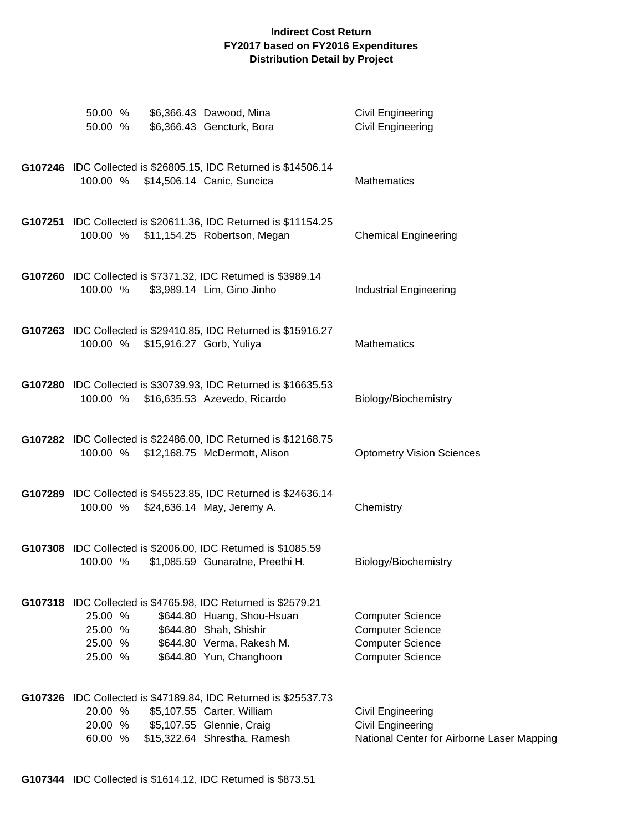| 50.00 %<br>\$6,366.43 Dawood, Mina<br>\$6,366.43 Gencturk, Bora<br>50.00 %                                                                                                                                                | <b>Civil Engineering</b><br>Civil Engineering                                                            |
|---------------------------------------------------------------------------------------------------------------------------------------------------------------------------------------------------------------------------|----------------------------------------------------------------------------------------------------------|
| G107246 IDC Collected is \$26805.15, IDC Returned is \$14506.14<br>100.00 % \$14,506.14 Canic, Suncica                                                                                                                    | Mathematics                                                                                              |
| G107251 IDC Collected is \$20611.36, IDC Returned is \$11154.25<br>100.00 % \$11,154.25 Robertson, Megan                                                                                                                  | <b>Chemical Engineering</b>                                                                              |
| G107260 IDC Collected is \$7371.32, IDC Returned is \$3989.14<br>\$3,989.14 Lim, Gino Jinho<br>100.00 %                                                                                                                   | <b>Industrial Engineering</b>                                                                            |
| G107263 IDC Collected is \$29410.85, IDC Returned is \$15916.27<br>100.00 % \$15,916.27 Gorb, Yuliya                                                                                                                      | <b>Mathematics</b>                                                                                       |
| G107280 IDC Collected is \$30739.93, IDC Returned is \$16635.53<br>100.00 %<br>\$16,635.53 Azevedo, Ricardo                                                                                                               | Biology/Biochemistry                                                                                     |
| G107282 IDC Collected is \$22486.00, IDC Returned is \$12168.75<br>100.00 %<br>\$12,168.75 McDermott, Alison                                                                                                              | <b>Optometry Vision Sciences</b>                                                                         |
| G107289 IDC Collected is \$45523.85, IDC Returned is \$24636.14<br>100.00 % \$24,636.14 May, Jeremy A.                                                                                                                    | Chemistry                                                                                                |
| G107308 IDC Collected is \$2006.00, IDC Returned is \$1085.59<br>100.00 %<br>\$1,085.59 Gunaratne, Preethi H.                                                                                                             | Biology/Biochemistry                                                                                     |
| G107318 IDC Collected is \$4765.98, IDC Returned is \$2579.21<br>25.00 %<br>\$644.80 Huang, Shou-Hsuan<br>\$644.80 Shah, Shishir<br>25.00 %<br>25.00 %<br>\$644.80 Verma, Rakesh M.<br>\$644.80 Yun, Changhoon<br>25.00 % | <b>Computer Science</b><br><b>Computer Science</b><br><b>Computer Science</b><br><b>Computer Science</b> |
| G107326 IDC Collected is \$47189.84, IDC Returned is \$25537.73<br>20.00 %<br>\$5,107.55 Carter, William<br>\$5,107.55 Glennie, Craig<br>20.00 %<br>\$15,322.64 Shrestha, Ramesh<br>60.00 %                               | Civil Engineering<br>Civil Engineering<br>National Center for Airborne Laser Mapping                     |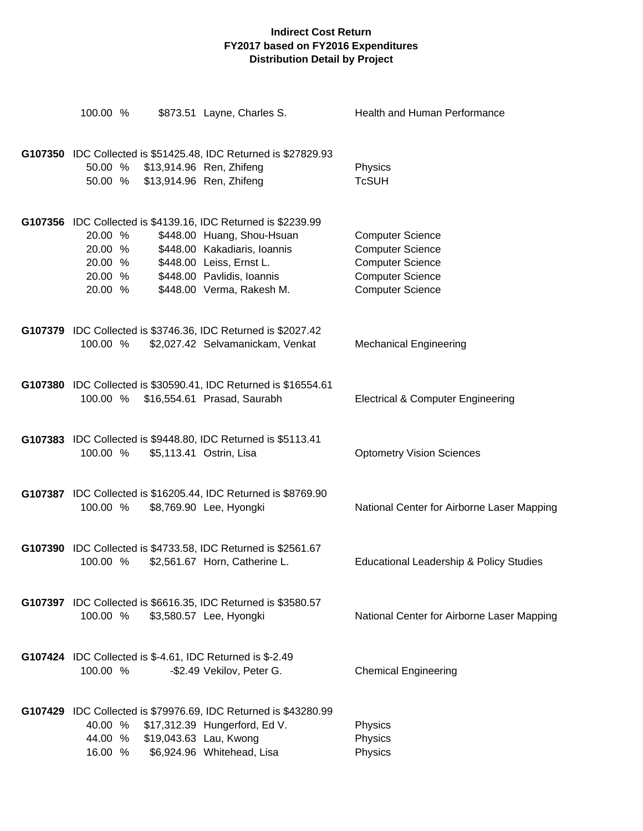| 100.00 %                                            |                                                                      | \$873.51 Layne, Charles S.                                                                                                                                                                                         | Health and Human Performance                                                                                                        |
|-----------------------------------------------------|----------------------------------------------------------------------|--------------------------------------------------------------------------------------------------------------------------------------------------------------------------------------------------------------------|-------------------------------------------------------------------------------------------------------------------------------------|
|                                                     | 50.00 % \$13,914.96 Ren, Zhifeng<br>50.00 % \$13,914.96 Ren, Zhifeng | G107350 IDC Collected is \$51425.48, IDC Returned is \$27829.93                                                                                                                                                    | Physics<br><b>TcSUH</b>                                                                                                             |
| 20.00 %<br>20.00 %<br>20.00 %<br>20.00 %<br>20.00 % |                                                                      | G107356 IDC Collected is \$4139.16, IDC Returned is \$2239.99<br>\$448.00 Huang, Shou-Hsuan<br>\$448.00 Kakadiaris, Ioannis<br>\$448.00 Leiss, Ernst L.<br>\$448.00 Pavlidis, Ioannis<br>\$448.00 Verma, Rakesh M. | <b>Computer Science</b><br><b>Computer Science</b><br><b>Computer Science</b><br><b>Computer Science</b><br><b>Computer Science</b> |
| 100.00 %                                            |                                                                      | G107379 IDC Collected is \$3746.36, IDC Returned is \$2027.42<br>\$2,027.42 Selvamanickam, Venkat                                                                                                                  | <b>Mechanical Engineering</b>                                                                                                       |
| 100.00 %                                            |                                                                      | G107380 IDC Collected is \$30590.41, IDC Returned is \$16554.61<br>\$16,554.61 Prasad, Saurabh                                                                                                                     | <b>Electrical &amp; Computer Engineering</b>                                                                                        |
| 100.00 %                                            |                                                                      | G107383 IDC Collected is \$9448.80, IDC Returned is \$5113.41<br>\$5,113.41 Ostrin, Lisa                                                                                                                           | <b>Optometry Vision Sciences</b>                                                                                                    |
| 100.00 %                                            |                                                                      | G107387 IDC Collected is \$16205.44, IDC Returned is \$8769.90<br>\$8,769.90 Lee, Hyongki                                                                                                                          | National Center for Airborne Laser Mapping                                                                                          |
| 100.00 %                                            |                                                                      | G107390 IDC Collected is \$4733.58, IDC Returned is \$2561.67<br>\$2,561.67 Horn, Catherine L.                                                                                                                     | Educational Leadership & Policy Studies                                                                                             |
| 100.00 %                                            |                                                                      | G107397 IDC Collected is \$6616.35, IDC Returned is \$3580.57<br>\$3,580.57 Lee, Hyongki                                                                                                                           | National Center for Airborne Laser Mapping                                                                                          |
| 100.00 %                                            |                                                                      | G107424 IDC Collected is \$-4.61, IDC Returned is \$-2.49<br>-\$2.49 Vekilov, Peter G.                                                                                                                             | <b>Chemical Engineering</b>                                                                                                         |
|                                                     | 44.00 % \$19,043.63 Lau, Kwong                                       | G107429 IDC Collected is \$79976.69, IDC Returned is \$43280.99<br>40.00 % \$17,312.39 Hungerford, Ed V.<br>16.00 % \$6,924.96 Whitehead, Lisa                                                                     | Physics<br>Physics<br>Physics                                                                                                       |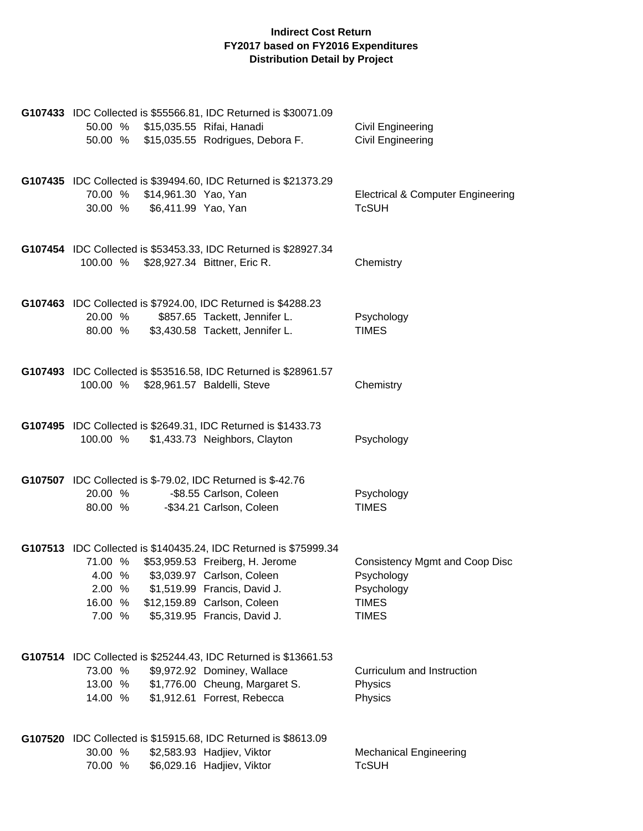| G107433 IDC Collected is \$55566.81, IDC Returned is \$30071.09<br>50.00 % \$15,035.55 Rifai, Hanadi<br>50.00 % \$15,035.55 Rodrigues, Debora F.                                                                                                                                  | Civil Engineering<br><b>Civil Engineering</b>                                              |
|-----------------------------------------------------------------------------------------------------------------------------------------------------------------------------------------------------------------------------------------------------------------------------------|--------------------------------------------------------------------------------------------|
| G107435 IDC Collected is \$39494.60, IDC Returned is \$21373.29<br>70.00 %<br>\$14,961.30 Yao, Yan<br>30.00 %<br>\$6,411.99 Yao, Yan                                                                                                                                              | <b>Electrical &amp; Computer Engineering</b><br><b>TcSUH</b>                               |
| G107454 IDC Collected is \$53453.33, IDC Returned is \$28927.34<br>100.00 % \$28,927.34 Bittner, Eric R.                                                                                                                                                                          | Chemistry                                                                                  |
| G107463 IDC Collected is \$7924.00, IDC Returned is \$4288.23<br>20.00 %<br>\$857.65 Tackett, Jennifer L.<br>80.00 %<br>\$3,430.58 Tackett, Jennifer L.                                                                                                                           | Psychology<br><b>TIMES</b>                                                                 |
| G107493 IDC Collected is \$53516.58, IDC Returned is \$28961.57<br>100.00 % \$28,961.57 Baldelli, Steve                                                                                                                                                                           | Chemistry                                                                                  |
| G107495 IDC Collected is \$2649.31, IDC Returned is \$1433.73<br>100.00 %<br>\$1,433.73 Neighbors, Clayton                                                                                                                                                                        | Psychology                                                                                 |
| <b>G107507</b> IDC Collected is \$-79.02, IDC Returned is \$-42.76<br>20.00 %<br>-\$8.55 Carlson, Coleen<br>80.00 %<br>-\$34.21 Carlson, Coleen                                                                                                                                   | Psychology<br><b>TIMES</b>                                                                 |
| G107513 IDC Collected is \$140435.24, IDC Returned is \$75999.34<br>71.00 % \$53,959.53 Freiberg, H. Jerome<br>\$3,039.97 Carlson, Coleen<br>4.00 %<br>2.00 %<br>\$1,519.99 Francis, David J.<br>16.00 %<br>\$12,159.89 Carlson, Coleen<br>\$5,319.95 Francis, David J.<br>7.00 % | Consistency Mgmt and Coop Disc<br>Psychology<br>Psychology<br><b>TIMES</b><br><b>TIMES</b> |
| G107514 IDC Collected is \$25244.43, IDC Returned is \$13661.53<br>73.00 %<br>\$9,972.92 Dominey, Wallace<br>13.00 %<br>\$1,776.00 Cheung, Margaret S.<br>\$1,912.61 Forrest, Rebecca<br>14.00 %                                                                                  | Curriculum and Instruction<br>Physics<br>Physics                                           |
| G107520 IDC Collected is \$15915.68, IDC Returned is \$8613.09<br>30.00 %<br>\$2,583.93 Hadjiev, Viktor<br>\$6,029.16 Hadjiev, Viktor<br>70.00 %                                                                                                                                  | <b>Mechanical Engineering</b><br><b>TcSUH</b>                                              |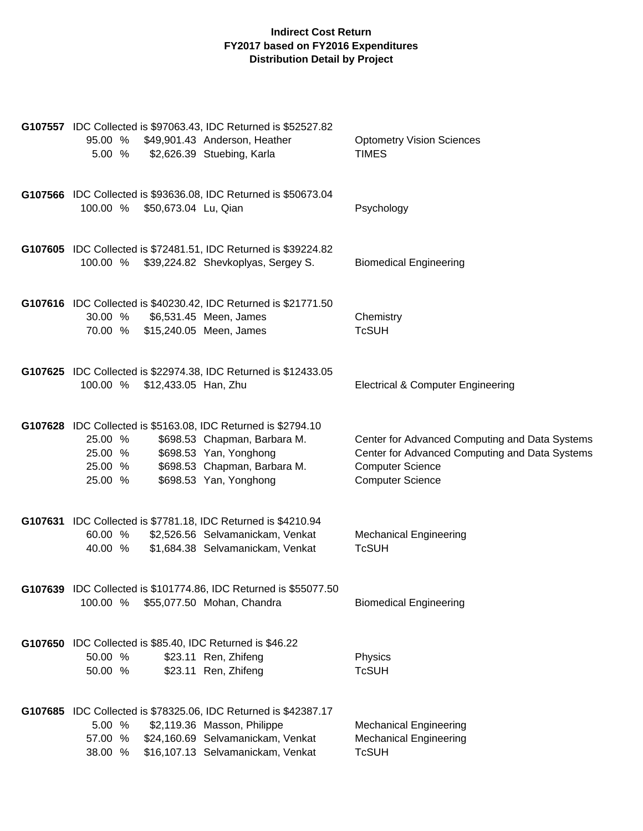| 95.00 %<br>5.00 %                          | G107557 IDC Collected is \$97063.43, IDC Returned is \$52527.82<br>\$49,901.43 Anderson, Heather<br>\$2,626.39 Stuebing, Karla                                                    | <b>Optometry Vision Sciences</b><br><b>TIMES</b>                                                                                                       |
|--------------------------------------------|-----------------------------------------------------------------------------------------------------------------------------------------------------------------------------------|--------------------------------------------------------------------------------------------------------------------------------------------------------|
| 100.00 % \$50,673.04 Lu, Qian              | G107566 IDC Collected is \$93636.08, IDC Returned is \$50673.04                                                                                                                   | Psychology                                                                                                                                             |
|                                            | G107605 IDC Collected is \$72481.51, IDC Returned is \$39224.82<br>100.00 % \$39,224.82 Shevkoplyas, Sergey S.                                                                    | <b>Biomedical Engineering</b>                                                                                                                          |
| 30.00 %<br>70.00 % \$15,240.05 Meen, James | G107616 IDC Collected is \$40230.42, IDC Returned is \$21771.50<br>\$6,531.45 Meen, James                                                                                         | Chemistry<br><b>TcSUH</b>                                                                                                                              |
| 100.00 % \$12,433.05 Han, Zhu              | G107625 IDC Collected is \$22974.38, IDC Returned is \$12433.05                                                                                                                   | <b>Electrical &amp; Computer Engineering</b>                                                                                                           |
| 25.00 %<br>25.00 %<br>25.00 %<br>25.00 %   | G107628 IDC Collected is \$5163.08, IDC Returned is \$2794.10<br>\$698.53 Chapman, Barbara M.<br>\$698.53 Yan, Yonghong<br>\$698.53 Chapman, Barbara M.<br>\$698.53 Yan, Yonghong | Center for Advanced Computing and Data Systems<br>Center for Advanced Computing and Data Systems<br><b>Computer Science</b><br><b>Computer Science</b> |
| 60.00 %<br>40.00 %                         | G107631 IDC Collected is \$7781.18, IDC Returned is \$4210.94<br>\$2,526.56 Selvamanickam, Venkat<br>\$1,684.38 Selvamanickam, Venkat                                             | <b>Mechanical Engineering</b><br><b>TcSUH</b>                                                                                                          |
| 100.00 %                                   | G107639 IDC Collected is \$101774.86, IDC Returned is \$55077.50<br>\$55,077.50 Mohan, Chandra                                                                                    | <b>Biomedical Engineering</b>                                                                                                                          |
| 50.00 %<br>50.00 %                         | G107650 IDC Collected is \$85.40, IDC Returned is \$46.22<br>\$23.11 Ren, Zhifeng<br>\$23.11 Ren, Zhifeng                                                                         | Physics<br><b>TcSUH</b>                                                                                                                                |
| 5.00 %<br>57.00 %<br>38.00 %               | G107685 IDC Collected is \$78325.06, IDC Returned is \$42387.17<br>\$2,119.36 Masson, Philippe<br>\$24,160.69 Selvamanickam, Venkat<br>\$16,107.13 Selvamanickam, Venkat          | <b>Mechanical Engineering</b><br><b>Mechanical Engineering</b><br><b>TcSUH</b>                                                                         |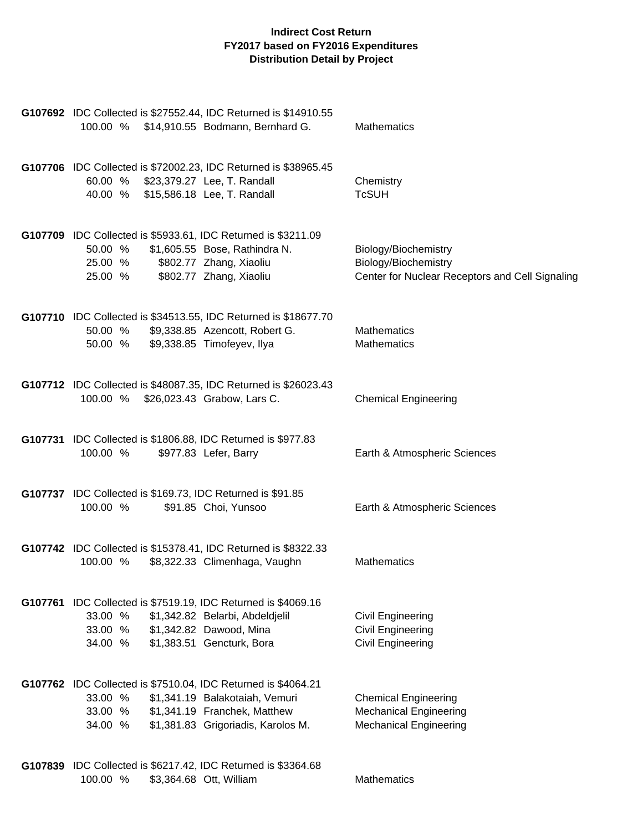| G107692 IDC Collected is \$27552.44, IDC Returned is \$14910.55<br>100.00 % \$14,910.55 Bodmann, Bernhard G.                                                                                           | Mathematics                                                                                     |
|--------------------------------------------------------------------------------------------------------------------------------------------------------------------------------------------------------|-------------------------------------------------------------------------------------------------|
| G107706 IDC Collected is \$72002.23, IDC Returned is \$38965.45<br>60.00 % \$23,379.27 Lee, T. Randall<br>40.00 % \$15,586.18 Lee, T. Randall                                                          | Chemistry<br><b>TcSUH</b>                                                                       |
| G107709 IDC Collected is \$5933.61, IDC Returned is \$3211.09<br>50.00 % \$1,605.55 Bose, Rathindra N.<br>\$802.77 Zhang, Xiaoliu<br>25.00 %<br>\$802.77 Zhang, Xiaoliu<br>25.00 %                     | Biology/Biochemistry<br>Biology/Biochemistry<br>Center for Nuclear Receptors and Cell Signaling |
| G107710 IDC Collected is \$34513.55, IDC Returned is \$18677.70<br>\$9,338.85 Azencott, Robert G.<br>50.00 %<br>\$9,338.85 Timofeyev, Ilya<br>50.00 %                                                  | <b>Mathematics</b><br><b>Mathematics</b>                                                        |
| G107712 IDC Collected is \$48087.35, IDC Returned is \$26023.43<br>100.00 % \$26,023.43 Grabow, Lars C.                                                                                                | <b>Chemical Engineering</b>                                                                     |
| G107731 IDC Collected is \$1806.88, IDC Returned is \$977.83<br>\$977.83 Lefer, Barry<br>100.00 %                                                                                                      | Earth & Atmospheric Sciences                                                                    |
| G107737 IDC Collected is \$169.73, IDC Returned is \$91.85<br>100.00 %<br>\$91.85 Choi, Yunsoo                                                                                                         | Earth & Atmospheric Sciences                                                                    |
| G107742 IDC Collected is \$15378.41, IDC Returned is \$8322.33<br>100.00 %<br>\$8,322.33 Climenhaga, Vaughn                                                                                            | <b>Mathematics</b>                                                                              |
| G107761 IDC Collected is \$7519.19, IDC Returned is \$4069.16<br>33.00 %<br>\$1,342.82 Belarbi, Abdeldjelil<br>\$1,342.82 Dawood, Mina<br>33.00 %<br>\$1,383.51 Gencturk, Bora<br>34.00 %              | Civil Engineering<br>Civil Engineering<br>Civil Engineering                                     |
| G107762 IDC Collected is \$7510.04, IDC Returned is \$4064.21<br>33.00 %<br>\$1,341.19 Balakotaiah, Vemuri<br>33.00 %<br>\$1,341.19 Franchek, Matthew<br>34.00 %<br>\$1,381.83 Grigoriadis, Karolos M. | <b>Chemical Engineering</b><br><b>Mechanical Engineering</b><br><b>Mechanical Engineering</b>   |
| G107839 IDC Collected is \$6217.42, IDC Returned is \$3364.68<br>100.00 %<br>\$3,364.68 Ott, William                                                                                                   | <b>Mathematics</b>                                                                              |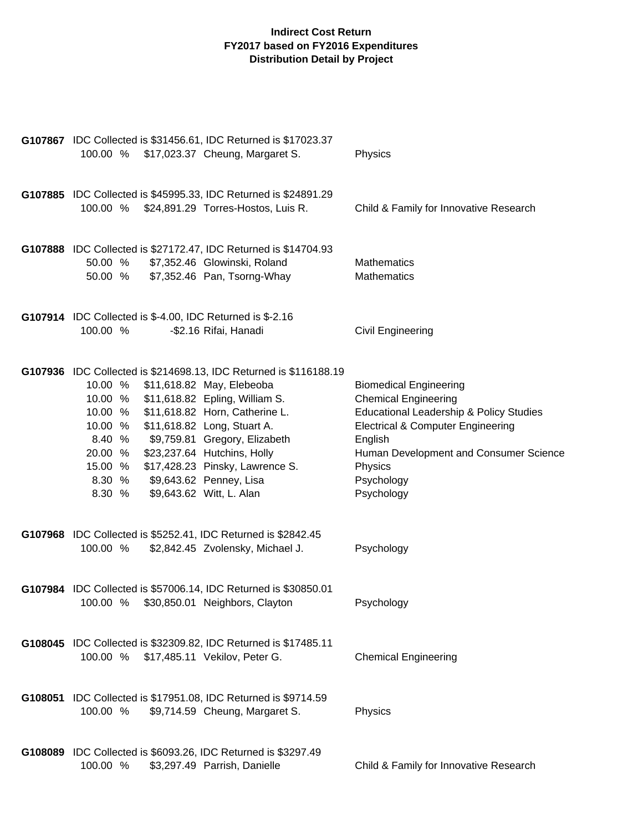| G107867 IDC Collected is \$31456.61, IDC Returned is \$17023.37<br>100.00 % \$17,023.37 Cheung, Margaret S.                                                                                                                                                                                                                                                                                                                                              | Physics                                                                                                                                                                                                                                                        |
|----------------------------------------------------------------------------------------------------------------------------------------------------------------------------------------------------------------------------------------------------------------------------------------------------------------------------------------------------------------------------------------------------------------------------------------------------------|----------------------------------------------------------------------------------------------------------------------------------------------------------------------------------------------------------------------------------------------------------------|
| G107885 IDC Collected is \$45995.33, IDC Returned is \$24891.29<br>100.00 %<br>\$24,891.29 Torres-Hostos, Luis R.                                                                                                                                                                                                                                                                                                                                        | Child & Family for Innovative Research                                                                                                                                                                                                                         |
| G107888 IDC Collected is \$27172.47, IDC Returned is \$14704.93<br>\$7,352.46 Glowinski, Roland<br>50.00 %<br>50.00 %<br>\$7,352.46 Pan, Tsorng-Whay                                                                                                                                                                                                                                                                                                     | Mathematics<br>Mathematics                                                                                                                                                                                                                                     |
| <b>G107914</b> IDC Collected is \$-4.00, IDC Returned is \$-2.16<br>100.00 %<br>-\$2.16 Rifai, Hanadi                                                                                                                                                                                                                                                                                                                                                    | Civil Engineering                                                                                                                                                                                                                                              |
| G107936 IDC Collected is \$214698.13, IDC Returned is \$116188.19<br>\$11,618.82 May, Elebeoba<br>10.00 %<br>10.00 % \$11,618.82 Epling, William S.<br>\$11,618.82 Horn, Catherine L.<br>10.00 %<br>\$11,618.82 Long, Stuart A.<br>10.00 %<br>\$9,759.81 Gregory, Elizabeth<br>8.40 %<br>\$23,237.64 Hutchins, Holly<br>20.00 %<br>\$17,428.23 Pinsky, Lawrence S.<br>15.00 %<br>\$9,643.62 Penney, Lisa<br>8.30 %<br>\$9,643.62 Witt, L. Alan<br>8.30 % | <b>Biomedical Engineering</b><br><b>Chemical Engineering</b><br><b>Educational Leadership &amp; Policy Studies</b><br><b>Electrical &amp; Computer Engineering</b><br>English<br>Human Development and Consumer Science<br>Physics<br>Psychology<br>Psychology |
| G107968 IDC Collected is \$5252.41, IDC Returned is \$2842.45<br>100.00 %<br>\$2,842.45 Zvolensky, Michael J.                                                                                                                                                                                                                                                                                                                                            | Psychology                                                                                                                                                                                                                                                     |
| G107984 IDC Collected is \$57006.14, IDC Returned is \$30850.01<br>100.00 % \$30,850.01 Neighbors, Clayton                                                                                                                                                                                                                                                                                                                                               | Psychology                                                                                                                                                                                                                                                     |
| G108045 IDC Collected is \$32309.82, IDC Returned is \$17485.11<br>\$17,485.11 Vekilov, Peter G.<br>100.00 %                                                                                                                                                                                                                                                                                                                                             | <b>Chemical Engineering</b>                                                                                                                                                                                                                                    |
| G108051 IDC Collected is \$17951.08, IDC Returned is \$9714.59<br>100.00 %<br>\$9,714.59 Cheung, Margaret S.                                                                                                                                                                                                                                                                                                                                             | Physics                                                                                                                                                                                                                                                        |
| G108089 IDC Collected is \$6093.26, IDC Returned is \$3297.49<br>100.00 %<br>\$3,297.49 Parrish, Danielle                                                                                                                                                                                                                                                                                                                                                | Child & Family for Innovative Research                                                                                                                                                                                                                         |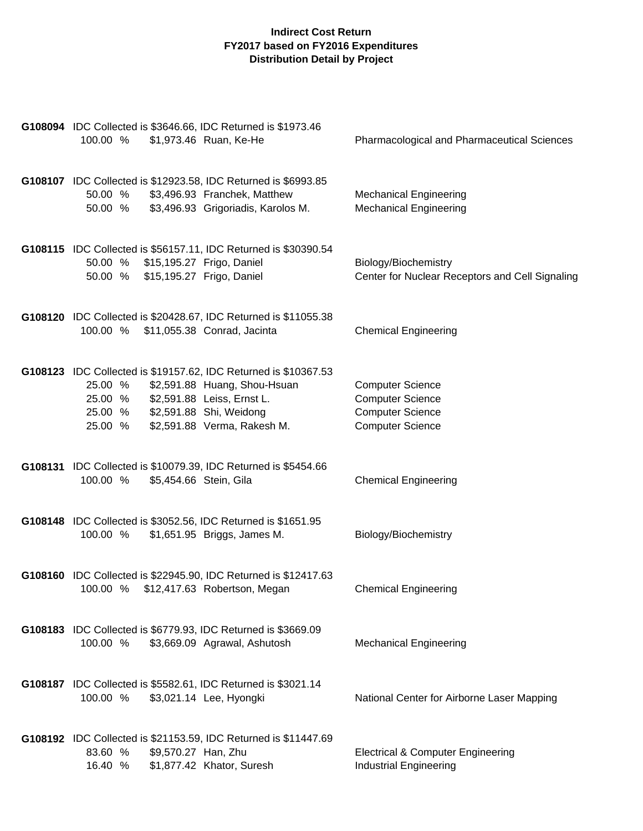| G108094 IDC Collected is \$3646.66, IDC Returned is \$1973.46<br>100.00 %<br>\$1,973.46 Ruan, Ke-He                                                                                                                                 | Pharmacological and Pharmaceutical Sciences                                                              |
|-------------------------------------------------------------------------------------------------------------------------------------------------------------------------------------------------------------------------------------|----------------------------------------------------------------------------------------------------------|
| G108107 IDC Collected is \$12923.58, IDC Returned is \$6993.85<br>50.00 %<br>\$3,496.93 Franchek, Matthew<br>\$3,496.93 Grigoriadis, Karolos M.<br>50.00 %                                                                          | <b>Mechanical Engineering</b><br><b>Mechanical Engineering</b>                                           |
| G108115 IDC Collected is \$56157.11, IDC Returned is \$30390.54<br>50.00 % \$15,195.27 Frigo, Daniel<br>50.00 % \$15,195.27 Frigo, Daniel                                                                                           | Biology/Biochemistry<br>Center for Nuclear Receptors and Cell Signaling                                  |
| G108120 IDC Collected is \$20428.67, IDC Returned is \$11055.38<br>100.00 % \$11,055.38 Conrad, Jacinta                                                                                                                             | <b>Chemical Engineering</b>                                                                              |
| G108123 IDC Collected is \$19157.62, IDC Returned is \$10367.53<br>25.00 %<br>\$2,591.88 Huang, Shou-Hsuan<br>25.00 %<br>\$2,591.88 Leiss, Ernst L.<br>\$2,591.88 Shi, Weidong<br>25.00 %<br>\$2,591.88 Verma, Rakesh M.<br>25.00 % | <b>Computer Science</b><br><b>Computer Science</b><br><b>Computer Science</b><br><b>Computer Science</b> |
| G108131 IDC Collected is \$10079.39, IDC Returned is \$5454.66<br>100.00 %<br>\$5,454.66 Stein, Gila                                                                                                                                | <b>Chemical Engineering</b>                                                                              |
| G108148 IDC Collected is \$3052.56, IDC Returned is \$1651.95<br>100.00 %<br>\$1,651.95 Briggs, James M.                                                                                                                            | Biology/Biochemistry                                                                                     |
| G108160 IDC Collected is \$22945.90, IDC Returned is \$12417.63<br>100.00 % \$12,417.63 Robertson, Megan                                                                                                                            | <b>Chemical Engineering</b>                                                                              |
| G108183 IDC Collected is \$6779.93, IDC Returned is \$3669.09<br>100.00 %<br>\$3,669.09 Agrawal, Ashutosh                                                                                                                           | <b>Mechanical Engineering</b>                                                                            |
| G108187 IDC Collected is \$5582.61, IDC Returned is \$3021.14<br>100.00 %<br>\$3,021.14 Lee, Hyongki                                                                                                                                | National Center for Airborne Laser Mapping                                                               |
| G108192 IDC Collected is \$21153.59, IDC Returned is \$11447.69<br>83.60 %<br>\$9,570.27 Han, Zhu<br>16.40 %<br>\$1,877.42 Khator, Suresh                                                                                           | <b>Electrical &amp; Computer Engineering</b><br>Industrial Engineering                                   |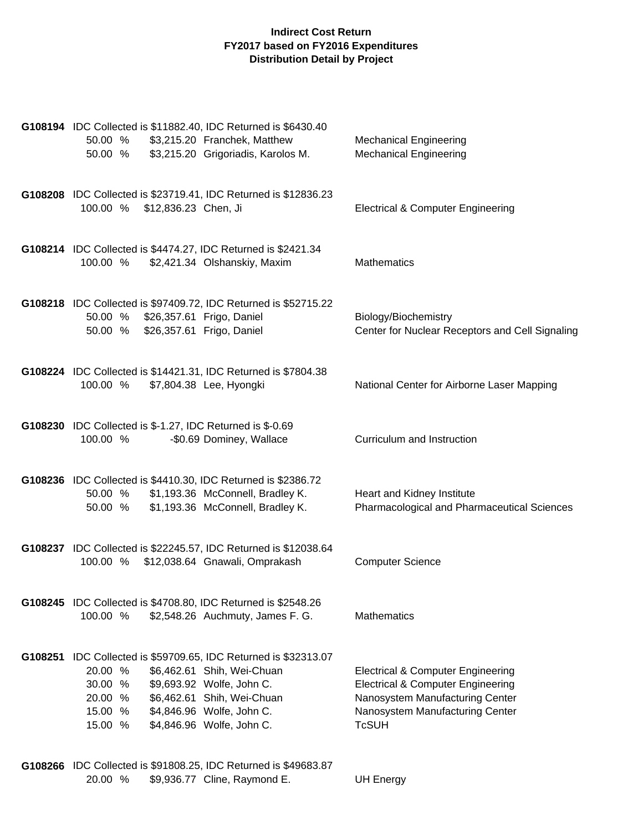|         | G108194 IDC Collected is \$11882.40, IDC Returned is \$6430.40<br>\$3,215.20 Franchek, Matthew<br>50.00 %<br>\$3,215.20 Grigoriadis, Karolos M.<br>50.00 %                                                                                                        | <b>Mechanical Engineering</b><br><b>Mechanical Engineering</b>                                                                                                                     |
|---------|-------------------------------------------------------------------------------------------------------------------------------------------------------------------------------------------------------------------------------------------------------------------|------------------------------------------------------------------------------------------------------------------------------------------------------------------------------------|
|         | G108208 IDC Collected is \$23719.41, IDC Returned is \$12836.23<br>100.00 %<br>\$12,836.23 Chen, Ji                                                                                                                                                               | <b>Electrical &amp; Computer Engineering</b>                                                                                                                                       |
|         | G108214 IDC Collected is \$4474.27, IDC Returned is \$2421.34<br>\$2,421.34 Olshanskiy, Maxim<br>100.00 %                                                                                                                                                         | <b>Mathematics</b>                                                                                                                                                                 |
|         | G108218 IDC Collected is \$97409.72, IDC Returned is \$52715.22<br>50.00 % \$26,357.61 Frigo, Daniel<br>\$26,357.61 Frigo, Daniel<br>50.00 %                                                                                                                      | Biology/Biochemistry<br>Center for Nuclear Receptors and Cell Signaling                                                                                                            |
|         | G108224 IDC Collected is \$14421.31, IDC Returned is \$7804.38<br>\$7,804.38 Lee, Hyongki<br>100.00 %                                                                                                                                                             | National Center for Airborne Laser Mapping                                                                                                                                         |
|         | G108230 IDC Collected is \$-1.27, IDC Returned is \$-0.69<br>100.00 %<br>-\$0.69 Dominey, Wallace                                                                                                                                                                 | Curriculum and Instruction                                                                                                                                                         |
|         | G108236 IDC Collected is \$4410.30, IDC Returned is \$2386.72<br>\$1,193.36 McConnell, Bradley K.<br>50.00 %<br>\$1,193.36 McConnell, Bradley K.<br>50.00 %                                                                                                       | Heart and Kidney Institute<br>Pharmacological and Pharmaceutical Sciences                                                                                                          |
|         | G108237 IDC Collected is \$22245.57, IDC Returned is \$12038.64<br>\$12,038.64 Gnawali, Omprakash<br>100.00 %                                                                                                                                                     | <b>Computer Science</b>                                                                                                                                                            |
|         | G108245 IDC Collected is \$4708.80, IDC Returned is \$2548.26<br>100.00 %<br>\$2,548.26 Auchmuty, James F. G.                                                                                                                                                     | <b>Mathematics</b>                                                                                                                                                                 |
| G108251 | IDC Collected is \$59709.65, IDC Returned is \$32313.07<br>20.00 %<br>\$6,462.61 Shih, Wei-Chuan<br>30.00 %<br>\$9,693.92 Wolfe, John C.<br>\$6,462.61 Shih, Wei-Chuan<br>20.00 %<br>\$4,846.96 Wolfe, John C.<br>15.00 %<br>\$4,846.96 Wolfe, John C.<br>15.00 % | <b>Electrical &amp; Computer Engineering</b><br><b>Electrical &amp; Computer Engineering</b><br>Nanosystem Manufacturing Center<br>Nanosystem Manufacturing Center<br><b>TcSUH</b> |

**G108266** IDC Collected is \$91808.25, IDC Returned is \$49683.87 20.00 % \$9,936.77 Cline, Raymond E. UH Energy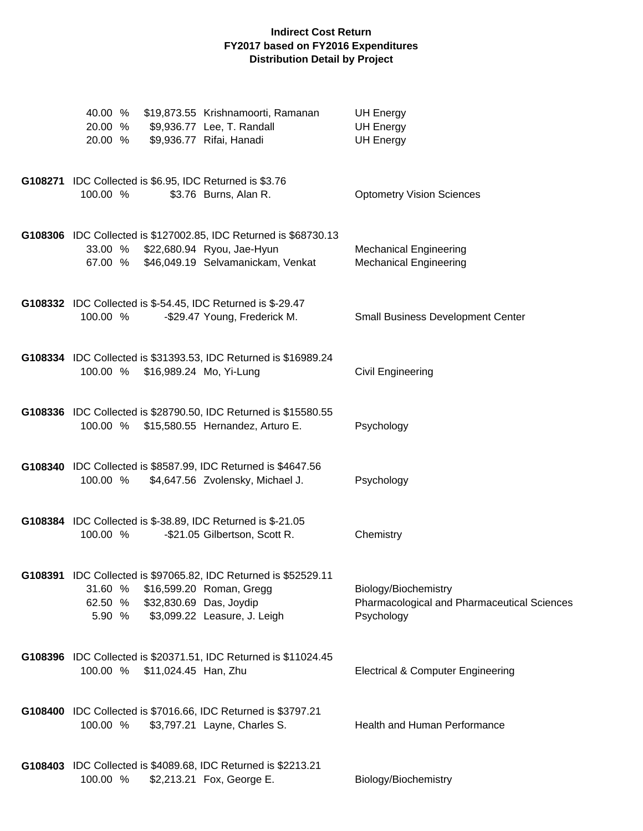| 40.00 %<br>20.00 % \$9,936.77 Lee, T. Randall<br>20.00 %                | \$19,873.55 Krishnamoorti, Ramanan<br>\$9,936.77 Rifai, Hanadi                                                                      | <b>UH Energy</b><br><b>UH Energy</b><br><b>UH Energy</b>                          |
|-------------------------------------------------------------------------|-------------------------------------------------------------------------------------------------------------------------------------|-----------------------------------------------------------------------------------|
| G108271 IDC Collected is \$6.95, IDC Returned is \$3.76<br>100.00 %     | \$3.76 Burns, Alan R.                                                                                                               | <b>Optometry Vision Sciences</b>                                                  |
| 33.00 %<br>67.00 %                                                      | G108306 IDC Collected is \$127002.85, IDC Returned is \$68730.13<br>\$22,680.94 Ryou, Jae-Hyun<br>\$46,049.19 Selvamanickam, Venkat | <b>Mechanical Engineering</b><br><b>Mechanical Engineering</b>                    |
| G108332 IDC Collected is \$-54.45, IDC Returned is \$-29.47<br>100.00 % | -\$29.47 Young, Frederick M.                                                                                                        | <b>Small Business Development Center</b>                                          |
| 100.00 %                                                                | G108334 IDC Collected is \$31393.53, IDC Returned is \$16989.24<br>\$16,989.24 Mo, Yi-Lung                                          | Civil Engineering                                                                 |
| 100.00 %                                                                | G108336 IDC Collected is \$28790.50, IDC Returned is \$15580.55<br>\$15,580.55 Hernandez, Arturo E.                                 | Psychology                                                                        |
| 100.00 %                                                                | G108340 IDC Collected is \$8587.99, IDC Returned is \$4647.56<br>\$4,647.56 Zvolensky, Michael J.                                   | Psychology                                                                        |
| G108384 IDC Collected is \$-38.89, IDC Returned is \$-21.05<br>100.00 % | -\$21.05 Gilbertson, Scott R.                                                                                                       | Chemistry                                                                         |
| 31.60 % \$16,599.20 Roman, Gregg<br>62.50 % \$32,830.69 Das, Joydip     | G108391 IDC Collected is \$97065.82, IDC Returned is \$52529.11<br>5.90 % \$3,099.22 Leasure, J. Leigh                              | Biology/Biochemistry<br>Pharmacological and Pharmaceutical Sciences<br>Psychology |
| 100.00 %                                                                | G108396 IDC Collected is \$20371.51, IDC Returned is \$11024.45<br>\$11,024.45 Han, Zhu                                             | <b>Electrical &amp; Computer Engineering</b>                                      |
| 100.00 %                                                                | G108400 IDC Collected is \$7016.66, IDC Returned is \$3797.21<br>\$3,797.21 Layne, Charles S.                                       | Health and Human Performance                                                      |
| 100.00 %                                                                | G108403 IDC Collected is \$4089.68, IDC Returned is \$2213.21<br>\$2,213.21 Fox, George E.                                          | Biology/Biochemistry                                                              |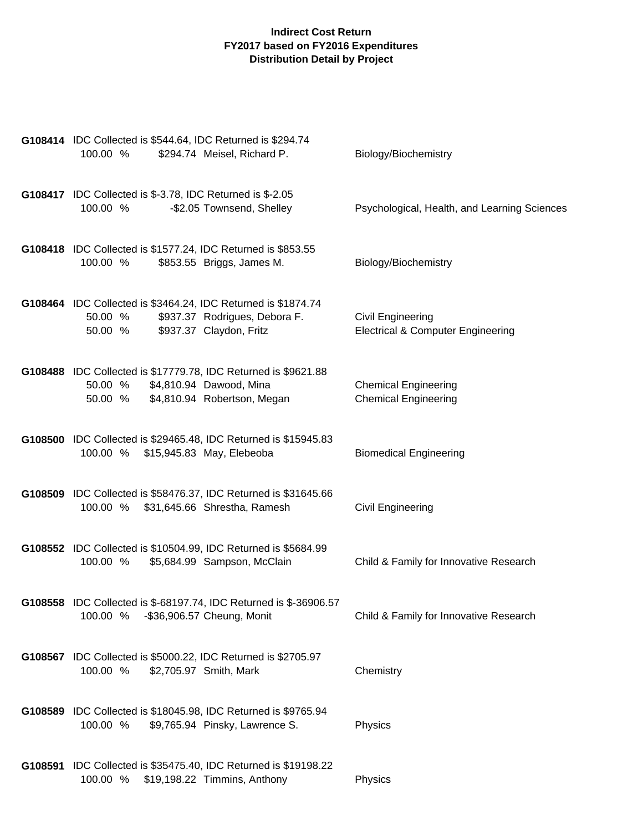| G108414 IDC Collected is \$544.64, IDC Returned is \$294.74<br>100.00 %<br>\$294.74 Meisel, Richard P.                                          | Biology/Biochemistry                                              |
|-------------------------------------------------------------------------------------------------------------------------------------------------|-------------------------------------------------------------------|
| <b>G108417</b> IDC Collected is \$-3.78, IDC Returned is \$-2.05<br>100.00 %<br>-\$2.05 Townsend, Shelley                                       | Psychological, Health, and Learning Sciences                      |
| G108418 IDC Collected is \$1577.24, IDC Returned is \$853.55<br>100.00 %<br>\$853.55 Briggs, James M.                                           | Biology/Biochemistry                                              |
| G108464 IDC Collected is \$3464.24, IDC Returned is \$1874.74<br>\$937.37 Rodrigues, Debora F.<br>50.00 %<br>\$937.37 Claydon, Fritz<br>50.00 % | Civil Engineering<br><b>Electrical &amp; Computer Engineering</b> |
| G108488 IDC Collected is \$17779.78, IDC Returned is \$9621.88<br>\$4,810.94 Dawood, Mina<br>50.00 %<br>\$4,810.94 Robertson, Megan<br>50.00 %  | <b>Chemical Engineering</b><br><b>Chemical Engineering</b>        |
| G108500 IDC Collected is \$29465.48, IDC Returned is \$15945.83<br>100.00 % \$15,945.83 May, Elebeoba                                           | <b>Biomedical Engineering</b>                                     |
| G108509 IDC Collected is \$58476.37, IDC Returned is \$31645.66<br>100.00 %<br>\$31,645.66 Shrestha, Ramesh                                     | Civil Engineering                                                 |
| G108552 IDC Collected is \$10504.99, IDC Returned is \$5684.99<br>\$5,684.99 Sampson, McClain<br>100.00 %                                       | Child & Family for Innovative Research                            |
| G108558 IDC Collected is \$-68197.74, IDC Returned is \$-36906.57<br>-\$36,906.57 Cheung, Monit<br>100.00 %                                     | Child & Family for Innovative Research                            |
| G108567 IDC Collected is \$5000.22, IDC Returned is \$2705.97<br>100.00 %<br>\$2,705.97 Smith, Mark                                             | Chemistry                                                         |
| G108589 IDC Collected is \$18045.98, IDC Returned is \$9765.94<br>100.00 %<br>\$9,765.94 Pinsky, Lawrence S.                                    | Physics                                                           |
| G108591 IDC Collected is \$35475.40, IDC Returned is \$19198.22<br>100.00 %<br>\$19,198.22 Timmins, Anthony                                     | Physics                                                           |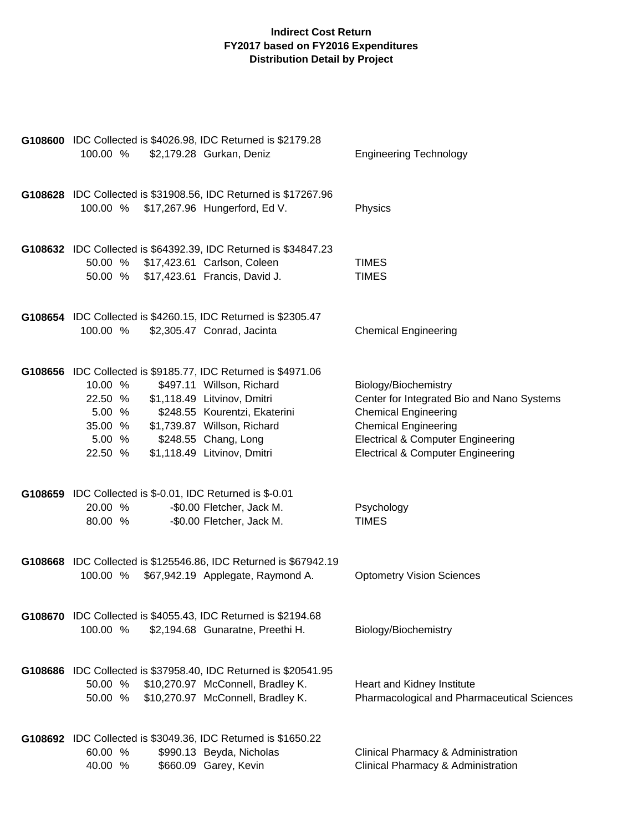| G108600 IDC Collected is \$4026.98, IDC Returned is \$2179.28<br>100.00 % | \$2,179.28 Gurkan, Deniz                                         | <b>Engineering Technology</b>                              |
|---------------------------------------------------------------------------|------------------------------------------------------------------|------------------------------------------------------------|
|                                                                           |                                                                  |                                                            |
|                                                                           | G108628 IDC Collected is \$31908.56, IDC Returned is \$17267.96  |                                                            |
| 100.00 % \$17,267.96 Hungerford, Ed V.                                    |                                                                  | Physics                                                    |
|                                                                           |                                                                  |                                                            |
| 50.00 % \$17,423.61 Carlson, Coleen                                       | G108632 IDC Collected is \$64392.39, IDC Returned is \$34847.23  | <b>TIMES</b>                                               |
| 50.00 % \$17,423.61 Francis, David J.                                     |                                                                  | <b>TIMES</b>                                               |
| G108654 IDC Collected is \$4260.15, IDC Returned is \$2305.47             |                                                                  |                                                            |
| 100.00 %                                                                  | \$2,305.47 Conrad, Jacinta                                       | <b>Chemical Engineering</b>                                |
|                                                                           |                                                                  |                                                            |
| G108656 IDC Collected is \$9185.77, IDC Returned is \$4971.06<br>10.00 %  | \$497.11 Willson, Richard                                        | Biology/Biochemistry                                       |
| 22.50 %                                                                   | \$1,118.49 Litvinov, Dmitri                                      | Center for Integrated Bio and Nano Systems                 |
| 5.00 %<br>35.00 %                                                         | \$248.55 Kourentzi, Ekaterini<br>\$1,739.87 Willson, Richard     | <b>Chemical Engineering</b><br><b>Chemical Engineering</b> |
| 5.00 %                                                                    | \$248.55 Chang, Long                                             | <b>Electrical &amp; Computer Engineering</b>               |
| 22.50 %                                                                   | \$1,118.49 Litvinov, Dmitri                                      | <b>Electrical &amp; Computer Engineering</b>               |
| G108659 IDC Collected is \$-0.01, IDC Returned is \$-0.01                 |                                                                  |                                                            |
| 20.00 %                                                                   | -\$0.00 Fletcher, Jack M.                                        | Psychology<br><b>TIMES</b>                                 |
| 80.00 %                                                                   | -\$0.00 Fletcher, Jack M.                                        |                                                            |
|                                                                           | G108668 IDC Collected is \$125546.86, IDC Returned is \$67942.19 |                                                            |
| 100.00 %                                                                  | \$67,942.19 Applegate, Raymond A.                                | <b>Optometry Vision Sciences</b>                           |
| G108670 IDC Collected is \$4055.43, IDC Returned is \$2194.68             |                                                                  |                                                            |
| 100.00 %                                                                  | \$2,194.68 Gunaratne, Preethi H.                                 | Biology/Biochemistry                                       |
|                                                                           | G108686 IDC Collected is \$37958.40, IDC Returned is \$20541.95  |                                                            |
| 50.00 %                                                                   | \$10,270.97 McConnell, Bradley K.                                | Heart and Kidney Institute                                 |
| 50.00 %                                                                   | \$10,270.97 McConnell, Bradley K.                                | Pharmacological and Pharmaceutical Sciences                |
| G108692 IDC Collected is \$3049.36, IDC Returned is \$1650.22             |                                                                  |                                                            |
| 60.00 %                                                                   | \$990.13 Beyda, Nicholas                                         | Clinical Pharmacy & Administration                         |
| 40.00 %                                                                   | \$660.09 Garey, Kevin                                            | Clinical Pharmacy & Administration                         |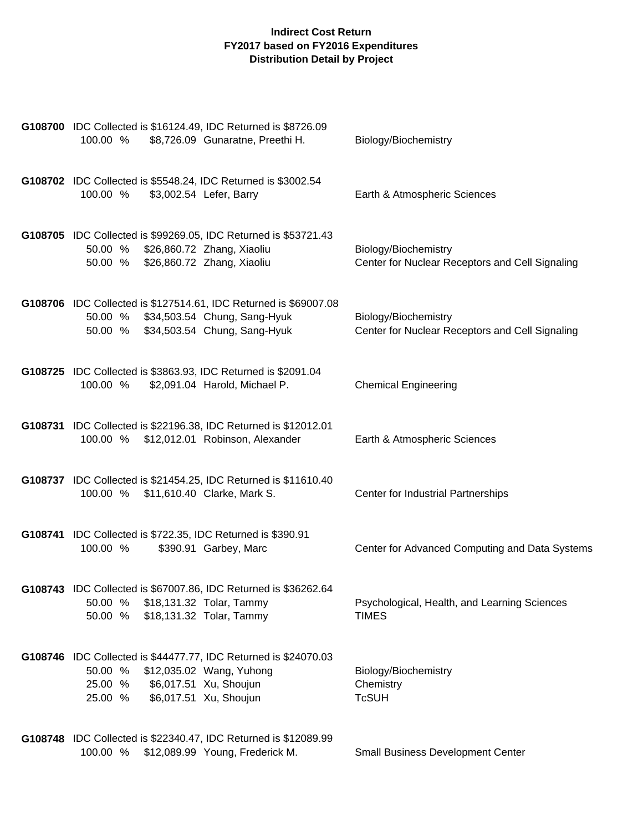| G108700 IDC Collected is \$16124.49, IDC Returned is \$8726.09<br>\$8,726.09 Gunaratne, Preethi H.<br>100.00 %                                                                   | Biology/Biochemistry                                                    |
|----------------------------------------------------------------------------------------------------------------------------------------------------------------------------------|-------------------------------------------------------------------------|
| G108702 IDC Collected is \$5548.24, IDC Returned is \$3002.54<br>100.00 %<br>\$3,002.54 Lefer, Barry                                                                             | Earth & Atmospheric Sciences                                            |
| G108705 IDC Collected is \$99269.05, IDC Returned is \$53721.43<br>50.00 % \$26,860.72 Zhang, Xiaoliu<br>50.00 %<br>\$26,860.72 Zhang, Xiaoliu                                   | Biology/Biochemistry<br>Center for Nuclear Receptors and Cell Signaling |
| G108706 IDC Collected is \$127514.61, IDC Returned is \$69007.08<br>50.00 % \$34,503.54 Chung, Sang-Hyuk<br>50.00 % \$34,503.54 Chung, Sang-Hyuk                                 | Biology/Biochemistry<br>Center for Nuclear Receptors and Cell Signaling |
| G108725 IDC Collected is \$3863.93, IDC Returned is \$2091.04<br>100.00 %<br>\$2,091.04 Harold, Michael P.                                                                       | <b>Chemical Engineering</b>                                             |
| G108731 IDC Collected is \$22196.38, IDC Returned is \$12012.01<br>100.00 % \$12,012.01 Robinson, Alexander                                                                      | Earth & Atmospheric Sciences                                            |
| G108737 IDC Collected is \$21454.25, IDC Returned is \$11610.40<br>100.00 % \$11,610.40 Clarke, Mark S.                                                                          | Center for Industrial Partnerships                                      |
| G108741 IDC Collected is \$722.35, IDC Returned is \$390.91<br>100.00 %<br>\$390.91 Garbey, Marc                                                                                 | Center for Advanced Computing and Data Systems                          |
| G108743 IDC Collected is \$67007.86, IDC Returned is \$36262.64<br>50.00 %<br>\$18,131.32 Tolar, Tammy<br>50.00 % \$18,131.32 Tolar, Tammy                                       | Psychological, Health, and Learning Sciences<br><b>TIMES</b>            |
| G108746 IDC Collected is \$44477.77, IDC Returned is \$24070.03<br>50.00 %<br>\$12,035.02 Wang, Yuhong<br>\$6,017.51 Xu, Shoujun<br>25.00 %<br>\$6,017.51 Xu, Shoujun<br>25.00 % | Biology/Biochemistry<br>Chemistry<br><b>TcSUH</b>                       |
| G108748 IDC Collected is \$22340.47, IDC Returned is \$12089.99                                                                                                                  |                                                                         |

100.00 % \$12,089.99 Young, Frederick M. Small Business Development Center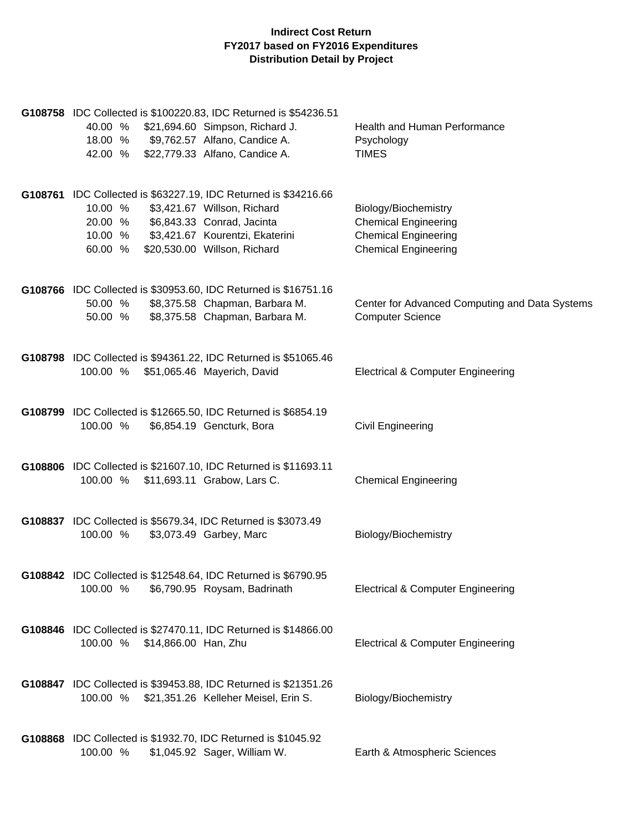| G108758 IDC Collected is \$100220.83, IDC Returned is \$54236.51<br>40.00 %<br>\$21,694.60 Simpson, Richard J.<br>\$9,762.57 Alfano, Candice A.<br>18.00 %<br>42.00 % \$22,779.33 Alfano, Candice A.                                     | Health and Human Performance<br>Psychology<br><b>TIMES</b>                                                        |
|------------------------------------------------------------------------------------------------------------------------------------------------------------------------------------------------------------------------------------------|-------------------------------------------------------------------------------------------------------------------|
| G108761 IDC Collected is \$63227.19, IDC Returned is \$34216.66<br>10.00 %<br>\$3,421.67 Willson, Richard<br>\$6,843.33 Conrad, Jacinta<br>20.00 %<br>10.00 % \$3,421.67 Kourentzi, Ekaterini<br>\$20,530.00 Willson, Richard<br>60.00 % | Biology/Biochemistry<br><b>Chemical Engineering</b><br><b>Chemical Engineering</b><br><b>Chemical Engineering</b> |
| G108766 IDC Collected is \$30953.60, IDC Returned is \$16751.16<br>50.00 %<br>\$8,375.58 Chapman, Barbara M.<br>\$8,375.58 Chapman, Barbara M.<br>50.00 %                                                                                | Center for Advanced Computing and Data Systems<br><b>Computer Science</b>                                         |
| G108798 IDC Collected is \$94361.22, IDC Returned is \$51065.46<br>100.00 % \$51,065.46 Mayerich, David                                                                                                                                  | <b>Electrical &amp; Computer Engineering</b>                                                                      |
| G108799 IDC Collected is \$12665.50, IDC Returned is \$6854.19<br>100.00 %<br>\$6,854.19 Gencturk, Bora                                                                                                                                  | Civil Engineering                                                                                                 |
| G108806 IDC Collected is \$21607.10, IDC Returned is \$11693.11<br>100.00 %<br>\$11,693.11 Grabow, Lars C.                                                                                                                               | <b>Chemical Engineering</b>                                                                                       |
| G108837 IDC Collected is \$5679.34, IDC Returned is \$3073.49<br>\$3,073.49 Garbey, Marc<br>100.00 %                                                                                                                                     | Biology/Biochemistry                                                                                              |
| G108842 IDC Collected is \$12548.64, IDC Returned is \$6790.95<br>\$6,790.95 Roysam, Badrinath<br>100.00 %                                                                                                                               | Electrical & Computer Engineering                                                                                 |
| G108846 IDC Collected is \$27470.11, IDC Returned is \$14866.00<br>100.00 %<br>\$14,866.00 Han, Zhu                                                                                                                                      | <b>Electrical &amp; Computer Engineering</b>                                                                      |
| G108847 IDC Collected is \$39453.88, IDC Returned is \$21351.26<br>100.00 % \$21,351.26 Kelleher Meisel, Erin S.                                                                                                                         | Biology/Biochemistry                                                                                              |
| G108868 IDC Collected is \$1932.70, IDC Returned is \$1045.92<br>\$1,045.92 Sager, William W.<br>100.00 %                                                                                                                                | Earth & Atmospheric Sciences                                                                                      |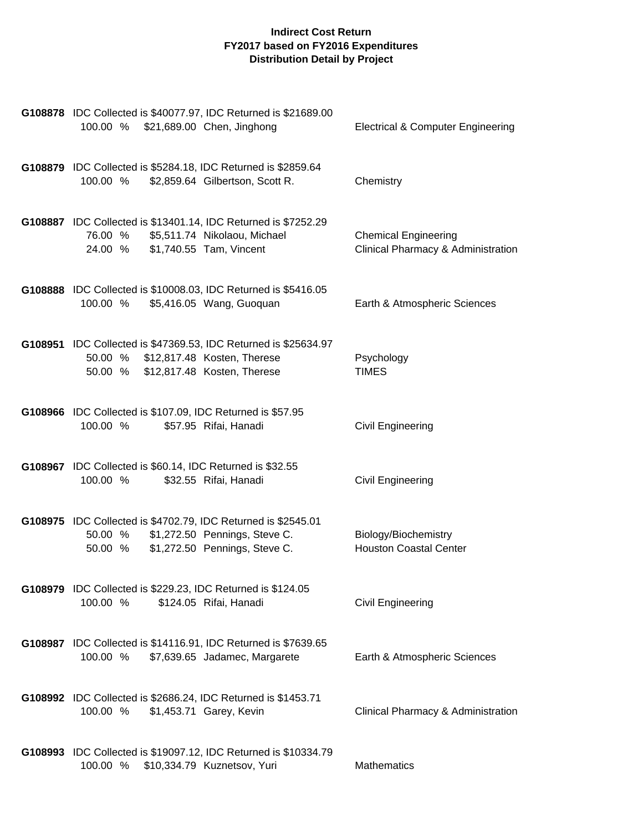| G108878 IDC Collected is \$40077.97, IDC Returned is \$21689.00<br>100.00 % \$21,689.00 Chen, Jinghong                                          | <b>Electrical &amp; Computer Engineering</b>                      |
|-------------------------------------------------------------------------------------------------------------------------------------------------|-------------------------------------------------------------------|
| G108879 IDC Collected is \$5284.18, IDC Returned is \$2859.64<br>\$2,859.64 Gilbertson, Scott R.<br>100.00 %                                    | Chemistry                                                         |
| G108887 IDC Collected is \$13401.14, IDC Returned is \$7252.29<br>76.00 % \$5,511.74 Nikolaou, Michael<br>24.00 % \$1,740.55 Tam, Vincent       | <b>Chemical Engineering</b><br>Clinical Pharmacy & Administration |
| G108888 IDC Collected is \$10008.03, IDC Returned is \$5416.05<br>100.00 %<br>\$5,416.05 Wang, Guoquan                                          | Earth & Atmospheric Sciences                                      |
| G108951 IDC Collected is \$47369.53, IDC Returned is \$25634.97<br>50.00 % \$12,817.48 Kosten, Therese<br>50.00 % \$12,817.48 Kosten, Therese   | Psychology<br><b>TIMES</b>                                        |
| G108966 IDC Collected is \$107.09, IDC Returned is \$57.95<br>100.00 %<br>\$57.95 Rifai, Hanadi                                                 | Civil Engineering                                                 |
| G108967 IDC Collected is \$60.14, IDC Returned is \$32.55<br>\$32.55 Rifai, Hanadi<br>100.00 %                                                  | Civil Engineering                                                 |
| G108975 IDC Collected is \$4702.79, IDC Returned is \$2545.01<br>50.00 % \$1,272.50 Pennings, Steve C.<br>50.00 % \$1,272.50 Pennings, Steve C. | Biology/Biochemistry<br><b>Houston Coastal Center</b>             |
| G108979 IDC Collected is \$229.23, IDC Returned is \$124.05<br>\$124.05 Rifai, Hanadi<br>100.00 %                                               | Civil Engineering                                                 |
| G108987 IDC Collected is \$14116.91, IDC Returned is \$7639.65<br>100.00 %<br>\$7,639.65 Jadamec, Margarete                                     | Earth & Atmospheric Sciences                                      |
| G108992 IDC Collected is \$2686.24, IDC Returned is \$1453.71<br>100.00 %<br>\$1,453.71 Garey, Kevin                                            | Clinical Pharmacy & Administration                                |
| G108993 IDC Collected is \$19097.12, IDC Returned is \$10334.79<br>100.00 %<br>\$10,334.79 Kuznetsov, Yuri                                      | Mathematics                                                       |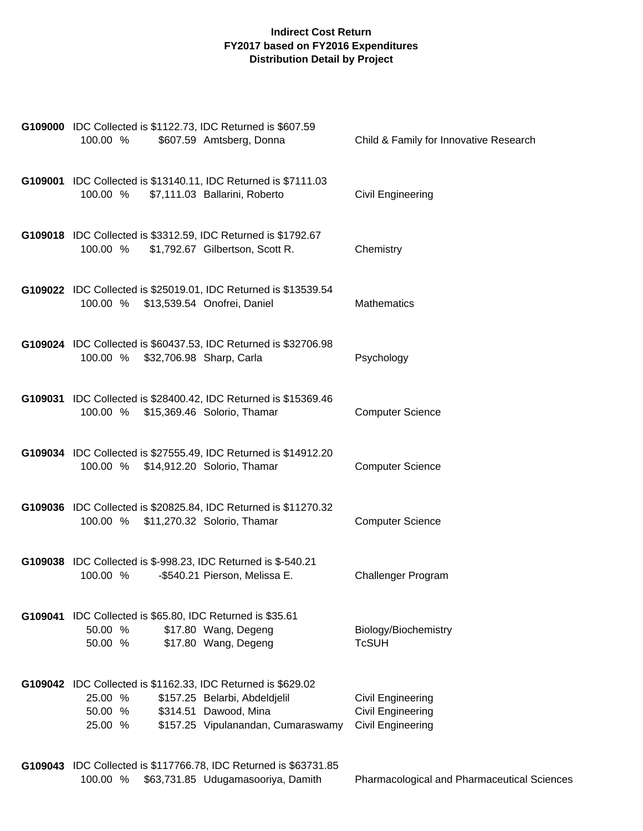|         | G109000 IDC Collected is \$1122.73, IDC Returned is \$607.59<br>100.00 %<br>\$607.59 Amtsberg, Donna                                                                                          | Child & Family for Innovative Research                                    |
|---------|-----------------------------------------------------------------------------------------------------------------------------------------------------------------------------------------------|---------------------------------------------------------------------------|
|         | G109001 IDC Collected is \$13140.11, IDC Returned is \$7111.03<br>\$7,111.03 Ballarini, Roberto<br>100.00 %                                                                                   | Civil Engineering                                                         |
|         | G109018 IDC Collected is \$3312.59, IDC Returned is \$1792.67<br>100.00 %<br>\$1,792.67 Gilbertson, Scott R.                                                                                  | Chemistry                                                                 |
|         | G109022 IDC Collected is \$25019.01, IDC Returned is \$13539.54<br>100.00 % \$13,539.54 Onofrei, Daniel                                                                                       | <b>Mathematics</b>                                                        |
|         | G109024 IDC Collected is \$60437.53, IDC Returned is \$32706.98<br>100.00 % \$32,706.98 Sharp, Carla                                                                                          | Psychology                                                                |
|         | G109031 IDC Collected is \$28400.42, IDC Returned is \$15369.46<br>100.00 % \$15,369.46 Solorio, Thamar                                                                                       | <b>Computer Science</b>                                                   |
|         | G109034 IDC Collected is \$27555.49, IDC Returned is \$14912.20<br>100.00 % \$14,912.20 Solorio, Thamar                                                                                       | <b>Computer Science</b>                                                   |
|         | G109036 IDC Collected is \$20825.84, IDC Returned is \$11270.32<br>100.00 % \$11,270.32 Solorio, Thamar                                                                                       | <b>Computer Science</b>                                                   |
|         | G109038 IDC Collected is \$-998.23, IDC Returned is \$-540.21<br>100.00 %<br>-\$540.21 Pierson, Melissa E.                                                                                    | Challenger Program                                                        |
| G109041 | IDC Collected is \$65.80, IDC Returned is \$35.61<br>50.00 %<br>\$17.80 Wang, Degeng<br>\$17.80 Wang, Degeng<br>50.00 %                                                                       | Biology/Biochemistry<br><b>TcSUH</b>                                      |
|         | G109042 IDC Collected is \$1162.33, IDC Returned is \$629.02<br>25.00 %<br>\$157.25 Belarbi, Abdeldjelil<br>\$314.51 Dawood, Mina<br>50.00 %<br>25.00 %<br>\$157.25 Vipulanandan, Cumaraswamy | Civil Engineering<br><b>Civil Engineering</b><br><b>Civil Engineering</b> |

**G109043** IDC Collected is \$117766.78, IDC Returned is \$63731.85 100.00 % \$63,731.85 Udugamasooriya, Damith Pharmacological and Pharmaceutical Sciences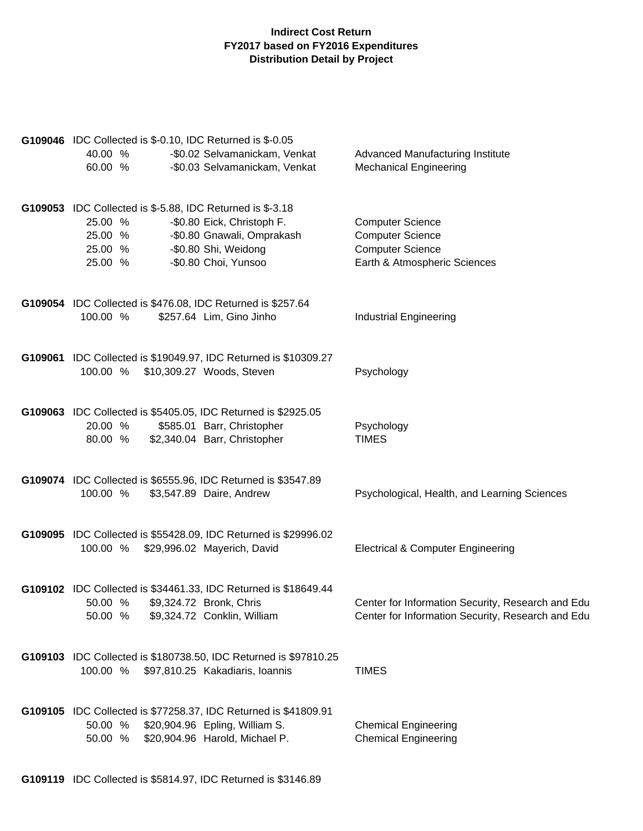| G109046 IDC Collected is \$-0.10, IDC Returned is \$-0.05<br>40.00 %<br>-\$0.02 Selvamanickam, Venkat<br>-\$0.03 Selvamanickam, Venkat<br>60.00 %                                                                 | Advanced Manufacturing Institute<br><b>Mechanical Engineering</b>                                             |
|-------------------------------------------------------------------------------------------------------------------------------------------------------------------------------------------------------------------|---------------------------------------------------------------------------------------------------------------|
| G109053 IDC Collected is \$-5.88, IDC Returned is \$-3.18<br>25.00 %<br>-\$0.80 Eick, Christoph F.<br>-\$0.80 Gnawali, Omprakash<br>25.00 %<br>-\$0.80 Shi, Weidong<br>25.00 %<br>-\$0.80 Choi, Yunsoo<br>25.00 % | <b>Computer Science</b><br><b>Computer Science</b><br><b>Computer Science</b><br>Earth & Atmospheric Sciences |
| G109054 IDC Collected is \$476.08, IDC Returned is \$257.64<br>100.00 %<br>\$257.64 Lim, Gino Jinho                                                                                                               | <b>Industrial Engineering</b>                                                                                 |
| G109061 IDC Collected is \$19049.97, IDC Returned is \$10309.27<br>100.00 %<br>\$10,309.27 Woods, Steven                                                                                                          | Psychology                                                                                                    |
| G109063 IDC Collected is \$5405.05, IDC Returned is \$2925.05<br>20.00 %<br>\$585.01 Barr, Christopher<br>\$2,340.04 Barr, Christopher<br>80.00 %                                                                 | Psychology<br><b>TIMES</b>                                                                                    |
| G109074 IDC Collected is \$6555.96, IDC Returned is \$3547.89<br>100.00 %<br>\$3,547.89 Daire, Andrew                                                                                                             | Psychological, Health, and Learning Sciences                                                                  |
| G109095 IDC Collected is \$55428.09, IDC Returned is \$29996.02<br>100.00 % \$29,996.02 Mayerich, David                                                                                                           | <b>Electrical &amp; Computer Engineering</b>                                                                  |
| G109102 IDC Collected is \$34461.33, IDC Returned is \$18649.44<br>\$9,324.72 Bronk, Chris<br>50.00 %<br>50.00 %<br>\$9,324.72 Conklin, William                                                                   | Center for Information Security, Research and Edu<br>Center for Information Security, Research and Edu        |
| G109103 IDC Collected is \$180738.50, IDC Returned is \$97810.25<br>100.00 %<br>\$97,810.25 Kakadiaris, Ioannis                                                                                                   | <b>TIMES</b>                                                                                                  |
| G109105 IDC Collected is \$77258.37, IDC Returned is \$41809.91<br>\$20,904.96 Epling, William S.<br>50.00 %<br>\$20,904.96 Harold, Michael P.<br>50.00 %                                                         | <b>Chemical Engineering</b><br><b>Chemical Engineering</b>                                                    |

**G109119** IDC Collected is \$5814.97, IDC Returned is \$3146.89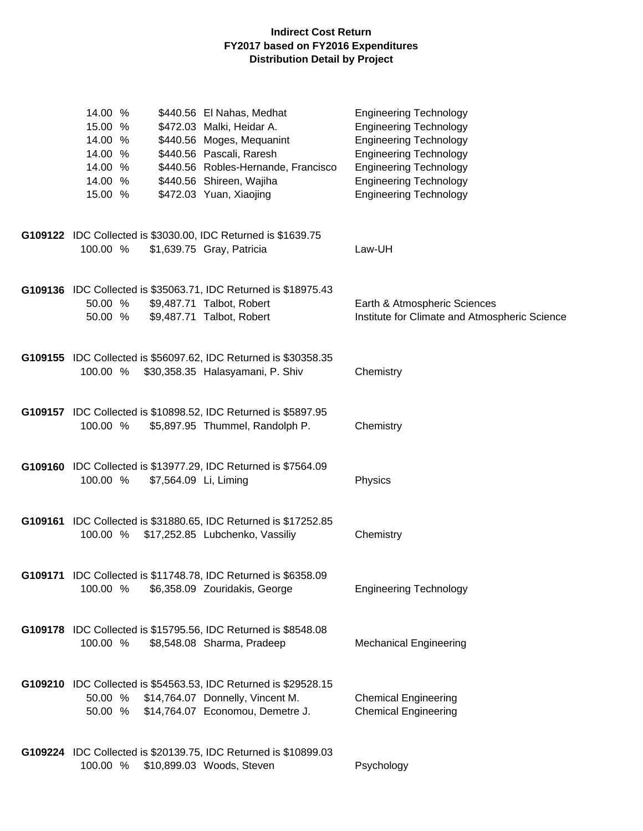| 14.00 %  | \$440.56 El Nahas, Medhat                                             | <b>Engineering Technology</b>                 |
|----------|-----------------------------------------------------------------------|-----------------------------------------------|
| 15.00 %  | \$472.03 Malki, Heidar A.                                             | <b>Engineering Technology</b>                 |
| 14.00 %  | \$440.56 Moges, Mequanint                                             | <b>Engineering Technology</b>                 |
| 14.00 %  | \$440.56 Pascali, Raresh                                              | <b>Engineering Technology</b>                 |
| 14.00 %  | \$440.56 Robles-Hernande, Francisco                                   | <b>Engineering Technology</b>                 |
| 14.00 %  | \$440.56 Shireen, Wajiha                                              | <b>Engineering Technology</b>                 |
| 15.00 %  | \$472.03 Yuan, Xiaojing                                               | <b>Engineering Technology</b>                 |
|          |                                                                       |                                               |
|          |                                                                       |                                               |
|          | G109122 IDC Collected is \$3030.00, IDC Returned is \$1639.75         |                                               |
| 100.00 % | \$1,639.75 Gray, Patricia                                             | Law-UH                                        |
|          |                                                                       |                                               |
|          |                                                                       |                                               |
|          | G109136 IDC Collected is \$35063.71, IDC Returned is \$18975.43       |                                               |
| 50.00 %  | \$9,487.71 Talbot, Robert                                             | Earth & Atmospheric Sciences                  |
|          |                                                                       |                                               |
| 50.00 %  | \$9,487.71 Talbot, Robert                                             | Institute for Climate and Atmospheric Science |
|          |                                                                       |                                               |
|          |                                                                       |                                               |
|          | G109155 IDC Collected is \$56097.62, IDC Returned is \$30358.35       |                                               |
| 100.00 % | \$30,358.35 Halasyamani, P. Shiv                                      | Chemistry                                     |
|          |                                                                       |                                               |
|          |                                                                       |                                               |
|          | G109157 IDC Collected is \$10898.52, IDC Returned is \$5897.95        |                                               |
| 100.00 % | \$5,897.95 Thummel, Randolph P.                                       | Chemistry                                     |
|          |                                                                       |                                               |
|          |                                                                       |                                               |
|          | G109160 IDC Collected is \$13977.29, IDC Returned is \$7564.09        |                                               |
| 100.00 % | \$7,564.09 Li, Liming                                                 | Physics                                       |
|          |                                                                       |                                               |
|          |                                                                       |                                               |
|          | G109161 IDC Collected is \$31880.65, IDC Returned is \$17252.85       |                                               |
| 100.00 % | \$17,252.85 Lubchenko, Vassiliy                                       | Chemistry                                     |
|          |                                                                       |                                               |
|          |                                                                       |                                               |
|          | <b>G109171</b> IDC Collected is \$11748.78, IDC Returned is \$6358.09 |                                               |
|          | 100.00 % \$6,358.09 Zouridakis, George                                | <b>Engineering Technology</b>                 |
|          |                                                                       |                                               |
|          |                                                                       |                                               |
|          | G109178 IDC Collected is \$15795.56, IDC Returned is \$8548.08        |                                               |
| 100.00 % | \$8,548.08 Sharma, Pradeep                                            | <b>Mechanical Engineering</b>                 |
|          |                                                                       |                                               |
|          |                                                                       |                                               |
|          | G109210 IDC Collected is \$54563.53, IDC Returned is \$29528.15       |                                               |
|          | 50.00 % \$14,764.07 Donnelly, Vincent M.                              | <b>Chemical Engineering</b>                   |
|          | 50.00 % \$14,764.07 Economou, Demetre J.                              | <b>Chemical Engineering</b>                   |
|          |                                                                       |                                               |
|          |                                                                       |                                               |
|          | G109224 IDC Collected is \$20139.75, IDC Returned is \$10899.03       |                                               |
| 100.00 % | \$10,899.03 Woods, Steven                                             | Psychology                                    |
|          |                                                                       |                                               |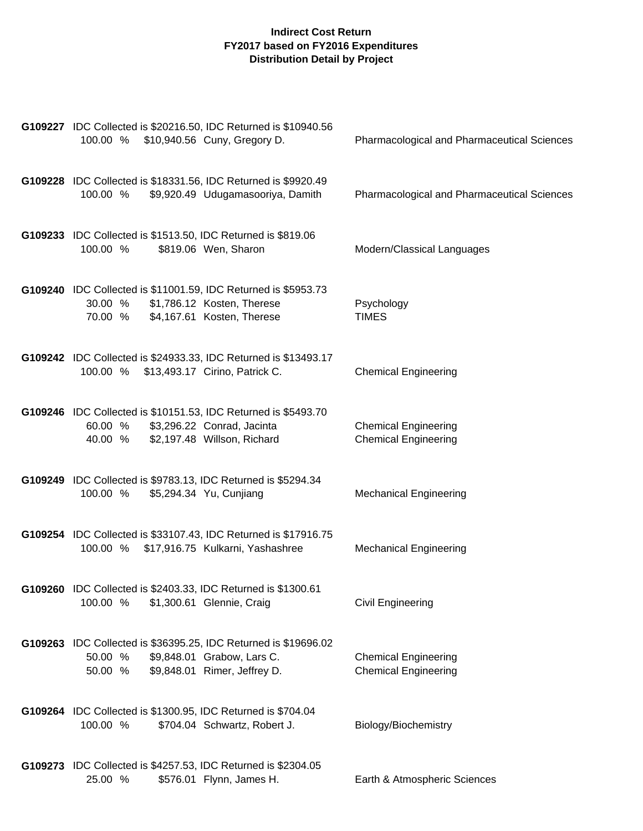| G109227 IDC Collected is \$20216.50, IDC Returned is \$10940.56<br>\$10,940.56 Cuny, Gregory D.<br>100.00 %                                         | <b>Pharmacological and Pharmaceutical Sciences</b>         |
|-----------------------------------------------------------------------------------------------------------------------------------------------------|------------------------------------------------------------|
| G109228 IDC Collected is \$18331.56, IDC Returned is \$9920.49<br>\$9,920.49 Udugamasooriya, Damith<br>100.00 %                                     | <b>Pharmacological and Pharmaceutical Sciences</b>         |
| G109233 IDC Collected is \$1513.50, IDC Returned is \$819.06<br>100.00 %<br>\$819.06 Wen, Sharon                                                    | Modern/Classical Languages                                 |
| G109240 IDC Collected is \$11001.59, IDC Returned is \$5953.73<br>\$1,786.12 Kosten, Therese<br>30.00 %<br>\$4,167.61 Kosten, Therese<br>70.00 %    | Psychology<br><b>TIMES</b>                                 |
| G109242 IDC Collected is \$24933.33, IDC Returned is \$13493.17<br>100.00 % \$13,493.17 Cirino, Patrick C.                                          | <b>Chemical Engineering</b>                                |
| G109246 IDC Collected is \$10151.53, IDC Returned is \$5493.70<br>\$3,296.22 Conrad, Jacinta<br>60.00 %<br>\$2,197.48 Willson, Richard<br>40.00 %   | <b>Chemical Engineering</b><br><b>Chemical Engineering</b> |
| G109249 IDC Collected is \$9783.13, IDC Returned is \$5294.34<br>\$5,294.34 Yu, Cunjiang<br>100.00 %                                                | <b>Mechanical Engineering</b>                              |
| G109254 IDC Collected is \$33107.43, IDC Returned is \$17916.75<br>100.00 % \$17,916.75 Kulkarni, Yashashree                                        | <b>Mechanical Engineering</b>                              |
| G109260 IDC Collected is \$2403.33, IDC Returned is \$1300.61<br>100.00 %<br>\$1,300.61 Glennie, Craig                                              | Civil Engineering                                          |
| G109263 IDC Collected is \$36395.25, IDC Returned is \$19696.02<br>50.00 %<br>\$9,848.01 Grabow, Lars C.<br>\$9,848.01 Rimer, Jeffrey D.<br>50.00 % | <b>Chemical Engineering</b><br><b>Chemical Engineering</b> |
| G109264 IDC Collected is \$1300.95, IDC Returned is \$704.04<br>100.00 %<br>\$704.04 Schwartz, Robert J.                                            | Biology/Biochemistry                                       |
| G109273 IDC Collected is \$4257.53, IDC Returned is \$2304.05<br>\$576.01 Flynn, James H.<br>25.00 %                                                | Earth & Atmospheric Sciences                               |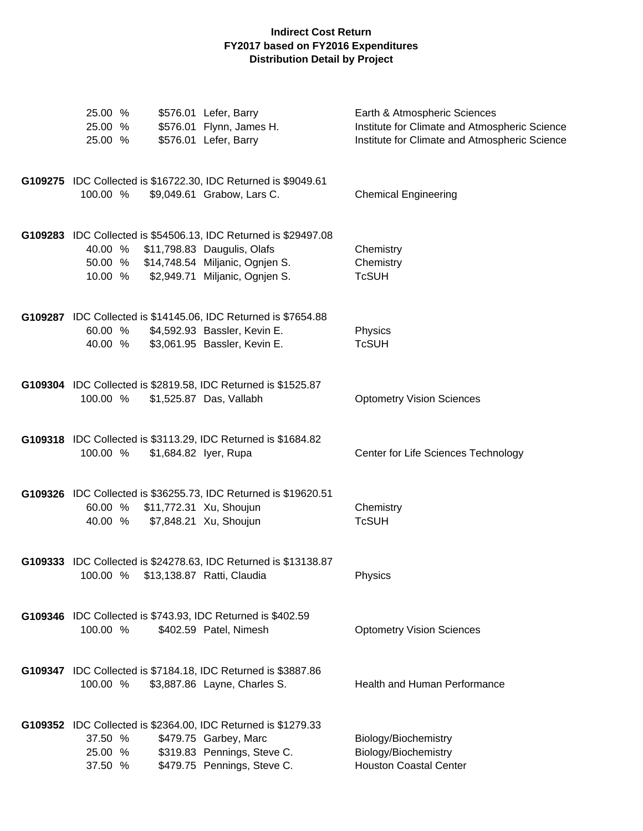| 25.00 %<br>25.00 %<br>25.00 % | \$576.01 Lefer, Barry<br>\$576.01 Flynn, James H.<br>\$576.01 Lefer, Barry                                                                                                          | Earth & Atmospheric Sciences<br>Institute for Climate and Atmospheric Science<br>Institute for Climate and Atmospheric Science |
|-------------------------------|-------------------------------------------------------------------------------------------------------------------------------------------------------------------------------------|--------------------------------------------------------------------------------------------------------------------------------|
| 100.00 %                      | G109275 IDC Collected is \$16722.30, IDC Returned is \$9049.61<br>\$9,049.61 Grabow, Lars C.                                                                                        | <b>Chemical Engineering</b>                                                                                                    |
| 10.00 %                       | G109283 IDC Collected is \$54506.13, IDC Returned is \$29497.08<br>40.00 % \$11,798.83 Daugulis, Olafs<br>50.00 % \$14,748.54 Miljanic, Ognjen S.<br>\$2,949.71 Miljanic, Ognjen S. | Chemistry<br>Chemistry<br><b>TcSUH</b>                                                                                         |
| 60.00 %<br>40.00 %            | G109287 IDC Collected is \$14145.06, IDC Returned is \$7654.88<br>\$4,592.93 Bassler, Kevin E.<br>\$3,061.95 Bassler, Kevin E.                                                      | Physics<br><b>TcSUH</b>                                                                                                        |
| 100.00 %                      | G109304 IDC Collected is \$2819.58, IDC Returned is \$1525.87<br>\$1,525.87 Das, Vallabh                                                                                            | <b>Optometry Vision Sciences</b>                                                                                               |
| 100.00 %                      | G109318 IDC Collected is \$3113.29, IDC Returned is \$1684.82<br>\$1,684.82 lyer, Rupa                                                                                              | Center for Life Sciences Technology                                                                                            |
| 40.00 %                       | G109326 IDC Collected is \$36255.73, IDC Returned is \$19620.51<br>60.00 % \$11,772.31 Xu, Shoujun<br>\$7,848.21 Xu, Shoujun                                                        | Chemistry<br><b>TcSUH</b>                                                                                                      |
| 100.00 %                      | G109333 IDC Collected is \$24278.63, IDC Returned is \$13138.87<br>\$13,138.87 Ratti, Claudia                                                                                       | Physics                                                                                                                        |
| 100.00 %                      | G109346 IDC Collected is \$743.93, IDC Returned is \$402.59<br>\$402.59 Patel, Nimesh                                                                                               | <b>Optometry Vision Sciences</b>                                                                                               |
| 100.00 %                      | G109347 IDC Collected is \$7184.18, IDC Returned is \$3887.86<br>\$3,887.86 Layne, Charles S.                                                                                       | Health and Human Performance                                                                                                   |
| 37.50 %<br>25.00 %<br>37.50 % | G109352 IDC Collected is \$2364.00, IDC Returned is \$1279.33<br>\$479.75 Garbey, Marc<br>\$319.83 Pennings, Steve C.<br>\$479.75 Pennings, Steve C.                                | Biology/Biochemistry<br>Biology/Biochemistry<br><b>Houston Coastal Center</b>                                                  |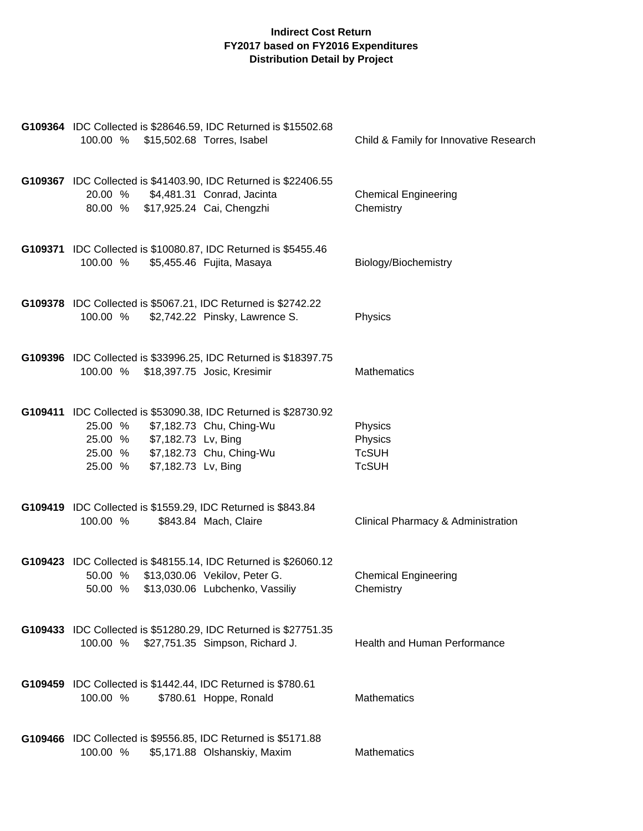| G109364 IDC Collected is \$28646.59, IDC Returned is \$15502.68<br>100.00 %<br>\$15,502.68 Torres, Isabel                                                                                                   | Child & Family for Innovative Research             |
|-------------------------------------------------------------------------------------------------------------------------------------------------------------------------------------------------------------|----------------------------------------------------|
| G109367 IDC Collected is \$41403.90, IDC Returned is \$22406.55<br>\$4,481.31 Conrad, Jacinta<br>20.00 %<br>80.00 % \$17,925.24 Cai, Chengzhi                                                               | <b>Chemical Engineering</b><br>Chemistry           |
| G109371 IDC Collected is \$10080.87, IDC Returned is \$5455.46<br>100.00 % \$5,455.46 Fujita, Masaya                                                                                                        | Biology/Biochemistry                               |
| G109378 IDC Collected is \$5067.21, IDC Returned is \$2742.22<br>100.00 %<br>\$2,742.22 Pinsky, Lawrence S.                                                                                                 | Physics                                            |
| G109396 IDC Collected is \$33996.25, IDC Returned is \$18397.75<br>100.00 % \$18,397.75 Josic, Kresimir                                                                                                     | <b>Mathematics</b>                                 |
| G109411 IDC Collected is \$53090.38, IDC Returned is \$28730.92<br>\$7,182.73 Chu, Ching-Wu<br>25.00 %<br>25.00 % \$7,182.73 Lv, Bing<br>25.00 % \$7,182.73 Chu, Ching-Wu<br>25.00 %<br>\$7,182.73 Lv, Bing | Physics<br>Physics<br><b>TcSUH</b><br><b>TcSUH</b> |
| G109419 IDC Collected is \$1559.29, IDC Returned is \$843.84<br>100.00 %<br>\$843.84 Mach, Claire                                                                                                           | Clinical Pharmacy & Administration                 |
| G109423 IDC Collected is \$48155.14, IDC Returned is \$26060.12<br>50.00 %<br>\$13,030.06 Vekilov, Peter G.<br>50.00 %<br>\$13,030.06 Lubchenko, Vassiliy                                                   | <b>Chemical Engineering</b><br>Chemistry           |
| G109433 IDC Collected is \$51280.29, IDC Returned is \$27751.35<br>\$27,751.35 Simpson, Richard J.<br>100.00 %                                                                                              | Health and Human Performance                       |
| <b>G109459</b> IDC Collected is \$1442.44, IDC Returned is \$780.61<br>100.00 %<br>\$780.61 Hoppe, Ronald                                                                                                   | <b>Mathematics</b>                                 |
| G109466 IDC Collected is \$9556.85, IDC Returned is \$5171.88<br>100.00 %<br>\$5,171.88 Olshanskiy, Maxim                                                                                                   | Mathematics                                        |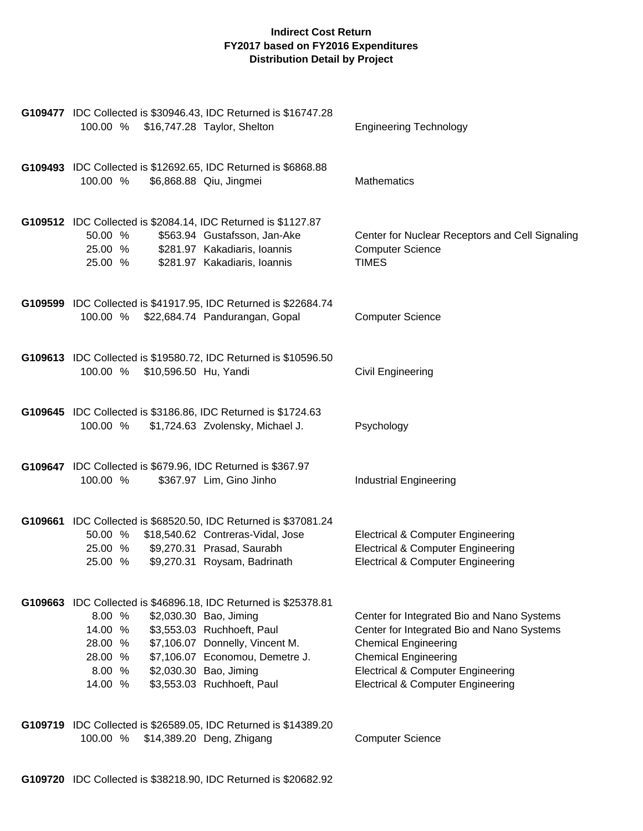| G109477 IDC Collected is \$30946.43, IDC Returned is \$16747.28<br>100.00 %<br>\$16,747.28 Taylor, Shelton                                                                                                                                                                                                           | <b>Engineering Technology</b>                                                                                                                                                                                                                          |
|----------------------------------------------------------------------------------------------------------------------------------------------------------------------------------------------------------------------------------------------------------------------------------------------------------------------|--------------------------------------------------------------------------------------------------------------------------------------------------------------------------------------------------------------------------------------------------------|
| G109493 IDC Collected is \$12692.65, IDC Returned is \$6868.88<br>100.00 %<br>\$6,868.88 Qiu, Jingmei                                                                                                                                                                                                                | <b>Mathematics</b>                                                                                                                                                                                                                                     |
| G109512 IDC Collected is \$2084.14, IDC Returned is \$1127.87<br>\$563.94 Gustafsson, Jan-Ake<br>50.00 %<br>25.00 %<br>\$281.97 Kakadiaris, Ioannis<br>25.00 %<br>\$281.97 Kakadiaris, Ioannis                                                                                                                       | Center for Nuclear Receptors and Cell Signaling<br><b>Computer Science</b><br><b>TIMES</b>                                                                                                                                                             |
| G109599 IDC Collected is \$41917.95, IDC Returned is \$22684.74<br>100.00 %<br>\$22,684.74 Pandurangan, Gopal                                                                                                                                                                                                        | <b>Computer Science</b>                                                                                                                                                                                                                                |
| G109613 IDC Collected is \$19580.72, IDC Returned is \$10596.50<br>100.00 % \$10,596.50 Hu, Yandi                                                                                                                                                                                                                    | <b>Civil Engineering</b>                                                                                                                                                                                                                               |
| G109645 IDC Collected is \$3186.86, IDC Returned is \$1724.63<br>100.00 %<br>\$1,724.63 Zvolensky, Michael J.                                                                                                                                                                                                        | Psychology                                                                                                                                                                                                                                             |
| G109647 IDC Collected is \$679.96, IDC Returned is \$367.97<br>\$367.97 Lim, Gino Jinho<br>100.00 %                                                                                                                                                                                                                  | <b>Industrial Engineering</b>                                                                                                                                                                                                                          |
| G109661 IDC Collected is \$68520.50, IDC Returned is \$37081.24<br>50.00 % \$18,540.62 Contreras-Vidal, Jose<br>\$9,270.31 Prasad, Saurabh<br>25.00 %<br>\$9,270.31 Roysam, Badrinath<br>25.00 %                                                                                                                     | <b>Electrical &amp; Computer Engineering</b><br><b>Electrical &amp; Computer Engineering</b><br><b>Electrical &amp; Computer Engineering</b>                                                                                                           |
| G109663 IDC Collected is \$46896.18, IDC Returned is \$25378.81<br>8.00%<br>\$2,030.30 Bao, Jiming<br>\$3,553.03 Ruchhoeft, Paul<br>14.00 %<br>\$7,106.07 Donnelly, Vincent M.<br>28.00 %<br>\$7,106.07 Economou, Demetre J.<br>28.00 %<br>\$2,030.30 Bao, Jiming<br>8.00 %<br>\$3,553.03 Ruchhoeft, Paul<br>14.00 % | Center for Integrated Bio and Nano Systems<br>Center for Integrated Bio and Nano Systems<br><b>Chemical Engineering</b><br><b>Chemical Engineering</b><br><b>Electrical &amp; Computer Engineering</b><br><b>Electrical &amp; Computer Engineering</b> |
| G109719 IDC Collected is \$26589.05, IDC Returned is \$14389.20<br>\$14,389.20 Deng, Zhigang<br>100.00 %                                                                                                                                                                                                             | <b>Computer Science</b>                                                                                                                                                                                                                                |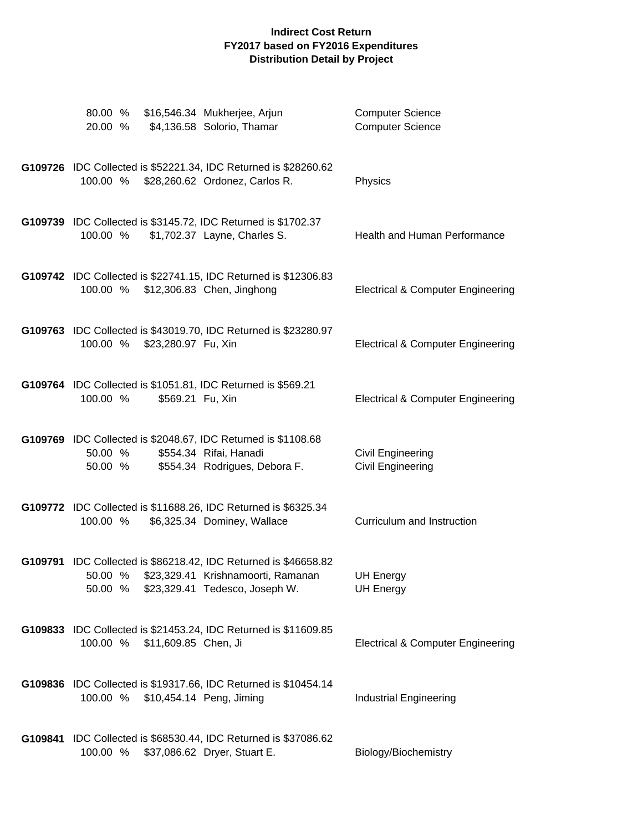| 80.00 %<br>20.00 %                  | \$16,546.34 Mukherjee, Arjun<br>\$4,136.58 Solorio, Thamar                                                                              | <b>Computer Science</b><br><b>Computer Science</b> |
|-------------------------------------|-----------------------------------------------------------------------------------------------------------------------------------------|----------------------------------------------------|
| 100.00 %                            | G109726 IDC Collected is \$52221.34, IDC Returned is \$28260.62<br>\$28,260.62 Ordonez, Carlos R.                                       | Physics                                            |
| 100.00 %                            | G109739 IDC Collected is \$3145.72, IDC Returned is \$1702.37<br>\$1,702.37 Layne, Charles S.                                           | Health and Human Performance                       |
| 100.00 % \$12,306.83 Chen, Jinghong | G109742 IDC Collected is \$22741.15, IDC Returned is \$12306.83                                                                         | <b>Electrical &amp; Computer Engineering</b>       |
| 100.00 %<br>\$23,280.97 Fu, Xin     | G109763 IDC Collected is \$43019.70, IDC Returned is \$23280.97                                                                         | <b>Electrical &amp; Computer Engineering</b>       |
| 100.00 %                            | G109764 IDC Collected is \$1051.81, IDC Returned is \$569.21<br>\$569.21 Fu, Xin                                                        | <b>Electrical &amp; Computer Engineering</b>       |
| 50.00 %<br>50.00 %                  | G109769 IDC Collected is \$2048.67, IDC Returned is \$1108.68<br>\$554.34 Rifai, Hanadi<br>\$554.34 Rodrigues, Debora F.                | Civil Engineering<br>Civil Engineering             |
| 100.00 %                            | G109772 IDC Collected is \$11688.26, IDC Returned is \$6325.34<br>\$6,325.34 Dominey, Wallace                                           | Curriculum and Instruction                         |
| 50.00 %<br>50.00 %                  | G109791 IDC Collected is \$86218.42, IDC Returned is \$46658.82<br>\$23,329.41 Krishnamoorti, Ramanan<br>\$23,329.41 Tedesco, Joseph W. | <b>UH Energy</b><br><b>UH Energy</b>               |
| 100.00 %<br>\$11,609.85 Chen, Ji    | G109833 IDC Collected is \$21453.24, IDC Returned is \$11609.85                                                                         | <b>Electrical &amp; Computer Engineering</b>       |
| 100.00 % \$10,454.14 Peng, Jiming   | G109836 IDC Collected is \$19317.66, IDC Returned is \$10454.14                                                                         | <b>Industrial Engineering</b>                      |
| 100.00 %                            | G109841 IDC Collected is \$68530.44, IDC Returned is \$37086.62<br>\$37,086.62 Dryer, Stuart E.                                         | Biology/Biochemistry                               |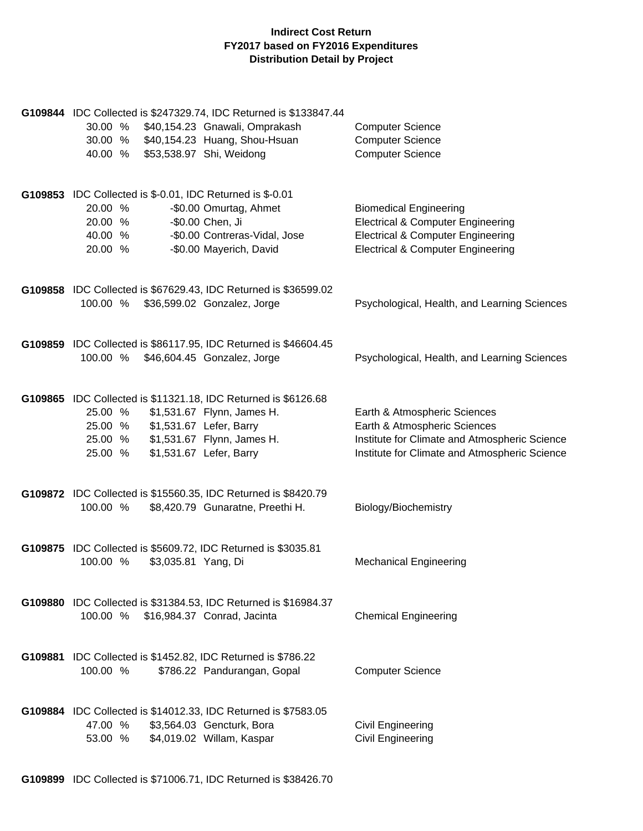| 30.00 % \$40,154.23 Gnawali, Omprakash<br>30.00 % \$40,154.23 Huang, Shou-Hsuan<br>40.00 %                                         | G109844 IDC Collected is \$247329.74, IDC Returned is \$133847.44<br>\$53,538.97 Shi, Weidong          | <b>Computer Science</b><br><b>Computer Science</b><br><b>Computer Science</b>                                                                                                 |
|------------------------------------------------------------------------------------------------------------------------------------|--------------------------------------------------------------------------------------------------------|-------------------------------------------------------------------------------------------------------------------------------------------------------------------------------|
| G109853 IDC Collected is \$-0.01, IDC Returned is \$-0.01<br>20.00 %<br>20.00 %<br>40.00 %<br>20.00 %                              | -\$0.00 Omurtag, Ahmet<br>-\$0.00 Chen, Ji<br>-\$0.00 Contreras-Vidal, Jose<br>-\$0.00 Mayerich, David | <b>Biomedical Engineering</b><br><b>Electrical &amp; Computer Engineering</b><br><b>Electrical &amp; Computer Engineering</b><br><b>Electrical &amp; Computer Engineering</b> |
| G109858 IDC Collected is \$67629.43, IDC Returned is \$36599.02<br>100.00 %                                                        | \$36,599.02 Gonzalez, Jorge                                                                            | Psychological, Health, and Learning Sciences                                                                                                                                  |
| G109859 IDC Collected is \$86117.95, IDC Returned is \$46604.45<br>100.00 %                                                        | \$46,604.45 Gonzalez, Jorge                                                                            | Psychological, Health, and Learning Sciences                                                                                                                                  |
| G109865 IDC Collected is \$11321.18, IDC Returned is \$6126.68<br>25.00 %<br>25.00 % \$1,531.67 Lefer, Barry<br>25.00 %<br>25.00 % | \$1,531.67 Flynn, James H.<br>\$1,531.67 Flynn, James H.<br>\$1,531.67 Lefer, Barry                    | Earth & Atmospheric Sciences<br>Earth & Atmospheric Sciences<br>Institute for Climate and Atmospheric Science<br>Institute for Climate and Atmospheric Science                |
| G109872 IDC Collected is \$15560.35, IDC Returned is \$8420.79<br>100.00 %                                                         | \$8,420.79 Gunaratne, Preethi H.                                                                       | Biology/Biochemistry                                                                                                                                                          |
| G109875 IDC Collected is \$5609.72, IDC Returned is \$3035.81<br>100.00 %<br>\$3,035.81 Yang, Di                                   |                                                                                                        | <b>Mechanical Engineering</b>                                                                                                                                                 |
| G109880 IDC Collected is \$31384.53, IDC Returned is \$16984.37<br>100.00 %                                                        | \$16,984.37 Conrad, Jacinta                                                                            | <b>Chemical Engineering</b>                                                                                                                                                   |
| G109881 IDC Collected is \$1452.82, IDC Returned is \$786.22<br>100.00 %                                                           | \$786.22 Pandurangan, Gopal                                                                            | <b>Computer Science</b>                                                                                                                                                       |
| G109884 IDC Collected is \$14012.33, IDC Returned is \$7583.05<br>47.00 %<br>53.00 %                                               | \$3,564.03 Gencturk, Bora<br>\$4,019.02 Willam, Kaspar                                                 | Civil Engineering<br><b>Civil Engineering</b>                                                                                                                                 |

**G109899** IDC Collected is \$71006.71, IDC Returned is \$38426.70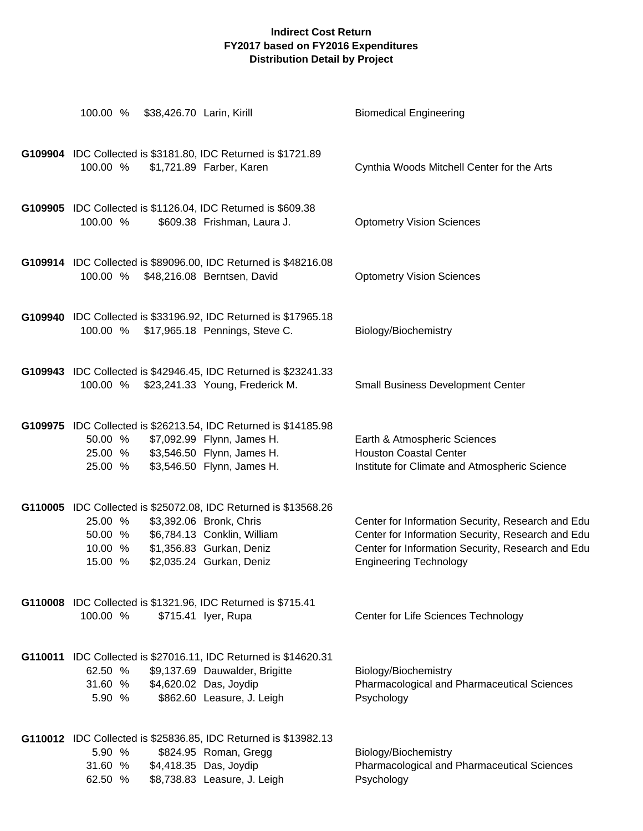| 100.00 %<br>\$38,426.70 Larin, Kirill                                     |                                                                                                                                                                                   | <b>Biomedical Engineering</b>                                                                                                                                                                |
|---------------------------------------------------------------------------|-----------------------------------------------------------------------------------------------------------------------------------------------------------------------------------|----------------------------------------------------------------------------------------------------------------------------------------------------------------------------------------------|
| G109904 IDC Collected is \$3181.80, IDC Returned is \$1721.89<br>100.00 % | \$1,721.89 Farber, Karen                                                                                                                                                          | Cynthia Woods Mitchell Center for the Arts                                                                                                                                                   |
| G109905 IDC Collected is \$1126.04, IDC Returned is \$609.38<br>100.00 %  | \$609.38 Frishman, Laura J.                                                                                                                                                       | <b>Optometry Vision Sciences</b>                                                                                                                                                             |
| 100.00 % \$48,216.08 Berntsen, David                                      | G109914 IDC Collected is \$89096.00, IDC Returned is \$48216.08                                                                                                                   | <b>Optometry Vision Sciences</b>                                                                                                                                                             |
| 100.00 % \$17,965.18 Pennings, Steve C.                                   | G109940 IDC Collected is \$33196.92, IDC Returned is \$17965.18                                                                                                                   | Biology/Biochemistry                                                                                                                                                                         |
| 100.00 %                                                                  | G109943 IDC Collected is \$42946.45, IDC Returned is \$23241.33<br>\$23,241.33 Young, Frederick M.                                                                                | <b>Small Business Development Center</b>                                                                                                                                                     |
| 50.00 %<br>25.00 %<br>25.00 %                                             | G109975 IDC Collected is \$26213.54, IDC Returned is \$14185.98<br>\$7,092.99 Flynn, James H.<br>\$3,546.50 Flynn, James H.<br>\$3,546.50 Flynn, James H.                         | Earth & Atmospheric Sciences<br><b>Houston Coastal Center</b><br>Institute for Climate and Atmospheric Science                                                                               |
| 25.00 %<br>50.00 %<br>10.00 %<br>15.00 %                                  | G110005 IDC Collected is \$25072.08, IDC Returned is \$13568.26<br>\$3,392.06 Bronk, Chris<br>\$6,784.13 Conklin, William<br>\$1,356.83 Gurkan, Deniz<br>\$2,035.24 Gurkan, Deniz | Center for Information Security, Research and Edu<br>Center for Information Security, Research and Edu<br>Center for Information Security, Research and Edu<br><b>Engineering Technology</b> |
| G110008 IDC Collected is \$1321.96, IDC Returned is \$715.41<br>100.00 %  | \$715.41 lyer, Rupa                                                                                                                                                               | Center for Life Sciences Technology                                                                                                                                                          |
| 62.50 %<br>31.60 %<br>5.90 %                                              | G110011 IDC Collected is \$27016.11, IDC Returned is \$14620.31<br>\$9,137.69 Dauwalder, Brigitte<br>\$4,620.02 Das, Joydip<br>\$862.60 Leasure, J. Leigh                         | Biology/Biochemistry<br><b>Pharmacological and Pharmaceutical Sciences</b><br>Psychology                                                                                                     |
| 5.90 %<br>31.60 %<br>62.50 %                                              | G110012 IDC Collected is \$25836.85, IDC Returned is \$13982.13<br>\$824.95 Roman, Gregg<br>\$4,418.35 Das, Joydip<br>\$8,738.83 Leasure, J. Leigh                                | Biology/Biochemistry<br>Pharmacological and Pharmaceutical Sciences<br>Psychology                                                                                                            |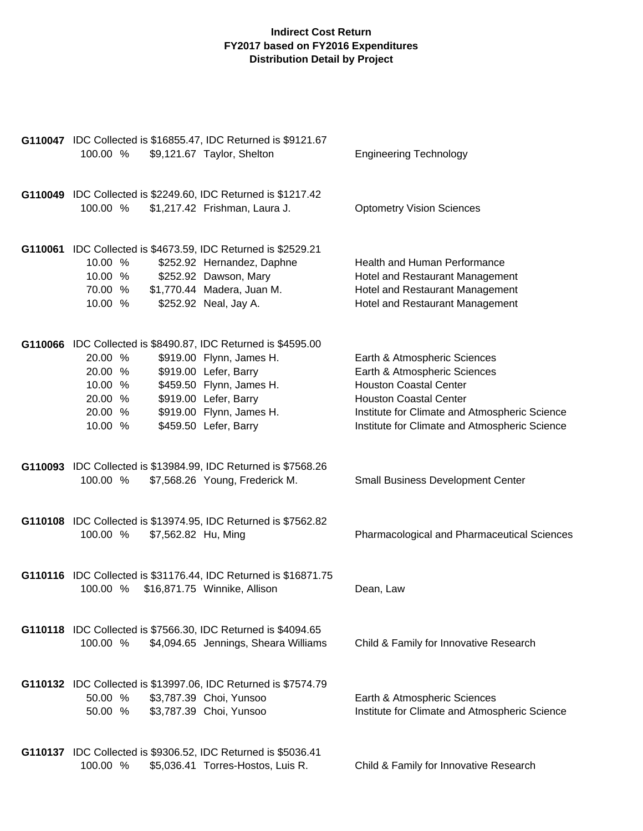| G110047 IDC Collected is \$16855.47, IDC Returned is \$9121.67<br>100.00 %<br>\$9,121.67 Taylor, Shelton                                                                                                                                                                                       | <b>Engineering Technology</b>                                                                                                                                                                                                    |
|------------------------------------------------------------------------------------------------------------------------------------------------------------------------------------------------------------------------------------------------------------------------------------------------|----------------------------------------------------------------------------------------------------------------------------------------------------------------------------------------------------------------------------------|
|                                                                                                                                                                                                                                                                                                |                                                                                                                                                                                                                                  |
| G110049 IDC Collected is \$2249.60, IDC Returned is \$1217.42<br>100.00 %<br>\$1,217.42 Frishman, Laura J.                                                                                                                                                                                     | <b>Optometry Vision Sciences</b>                                                                                                                                                                                                 |
| G110061 IDC Collected is \$4673.59, IDC Returned is \$2529.21<br>10.00 %<br>\$252.92 Hernandez, Daphne<br>\$252.92 Dawson, Mary<br>10.00 %<br>\$1,770.44 Madera, Juan M.<br>70.00 %<br>10.00 %<br>\$252.92 Neal, Jay A.                                                                        | Health and Human Performance<br>Hotel and Restaurant Management<br>Hotel and Restaurant Management<br>Hotel and Restaurant Management                                                                                            |
| G110066 IDC Collected is \$8490.87, IDC Returned is \$4595.00<br>\$919.00 Flynn, James H.<br>20.00 %<br>\$919.00 Lefer, Barry<br>20.00 %<br>\$459.50 Flynn, James H.<br>10.00 %<br>\$919.00 Lefer, Barry<br>20.00 %<br>\$919.00 Flynn, James H.<br>20.00 %<br>\$459.50 Lefer, Barry<br>10.00 % | Earth & Atmospheric Sciences<br>Earth & Atmospheric Sciences<br><b>Houston Coastal Center</b><br><b>Houston Coastal Center</b><br>Institute for Climate and Atmospheric Science<br>Institute for Climate and Atmospheric Science |
| G110093 IDC Collected is \$13984.99, IDC Returned is \$7568.26<br>100.00 %<br>\$7,568.26 Young, Frederick M.                                                                                                                                                                                   | <b>Small Business Development Center</b>                                                                                                                                                                                         |
| G110108 IDC Collected is \$13974.95, IDC Returned is \$7562.82<br>100.00 %<br>\$7,562.82 Hu, Ming                                                                                                                                                                                              | Pharmacological and Pharmaceutical Sciences                                                                                                                                                                                      |
| G110116 IDC Collected is \$31176.44, IDC Returned is \$16871.75<br>\$16,871.75 Winnike, Allison<br>100.00 %                                                                                                                                                                                    | Dean, Law                                                                                                                                                                                                                        |
| G110118 IDC Collected is \$7566.30, IDC Returned is \$4094.65<br>100.00 %<br>\$4,094.65 Jennings, Sheara Williams                                                                                                                                                                              | Child & Family for Innovative Research                                                                                                                                                                                           |
| G110132 IDC Collected is \$13997.06, IDC Returned is \$7574.79<br>50.00 %<br>\$3,787.39 Choi, Yunsoo<br>\$3,787.39 Choi, Yunsoo<br>50.00 %                                                                                                                                                     | Earth & Atmospheric Sciences<br>Institute for Climate and Atmospheric Science                                                                                                                                                    |
| G110137 IDC Collected is \$9306.52, IDC Returned is \$5036.41<br>100.00 %<br>\$5,036.41 Torres-Hostos, Luis R.                                                                                                                                                                                 | Child & Family for Innovative Research                                                                                                                                                                                           |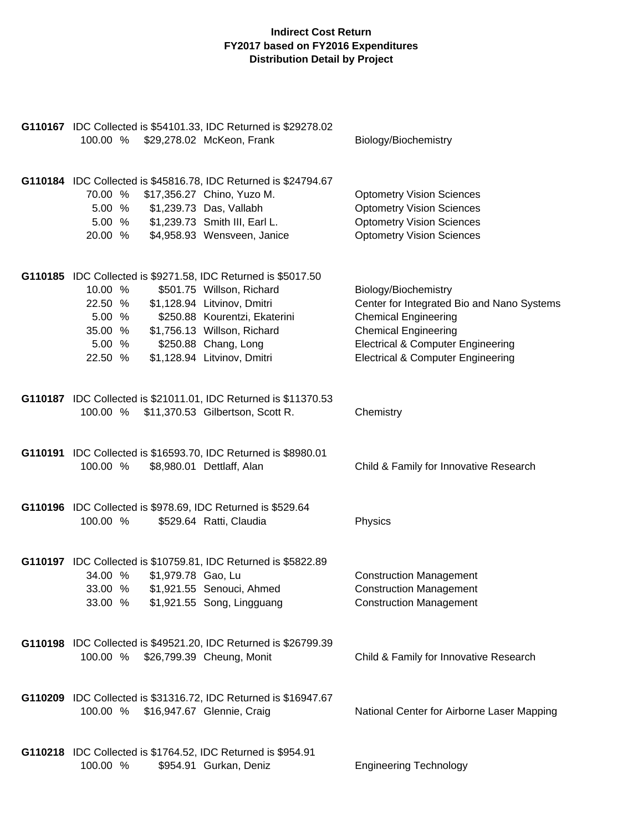| G110167 IDC Collected is \$54101.33, IDC Returned is \$29278.02<br>100.00 % \$29,278.02 McKeon, Frank                                                                                                                                                                                                            | Biology/Biochemistry                                                                                                                                                                                                             |
|------------------------------------------------------------------------------------------------------------------------------------------------------------------------------------------------------------------------------------------------------------------------------------------------------------------|----------------------------------------------------------------------------------------------------------------------------------------------------------------------------------------------------------------------------------|
| G110184 IDC Collected is \$45816.78, IDC Returned is \$24794.67<br>70.00 %<br>\$17,356.27 Chino, Yuzo M.<br>5.00 % \$1,239.73 Das, Vallabh<br>5.00 % \$1,239.73 Smith III, Earl L.<br>20.00 %<br>\$4,958.93 Wensveen, Janice                                                                                     | <b>Optometry Vision Sciences</b><br><b>Optometry Vision Sciences</b><br><b>Optometry Vision Sciences</b><br><b>Optometry Vision Sciences</b>                                                                                     |
| G110185 IDC Collected is \$9271.58, IDC Returned is \$5017.50<br>10.00 %<br>\$501.75 Willson, Richard<br>22.50 %<br>\$1,128.94 Litvinov, Dmitri<br>5.00 %<br>\$250.88 Kourentzi, Ekaterini<br>\$1,756.13 Willson, Richard<br>35.00 %<br>5.00 %<br>\$250.88 Chang, Long<br>\$1,128.94 Litvinov, Dmitri<br>22.50 % | Biology/Biochemistry<br>Center for Integrated Bio and Nano Systems<br><b>Chemical Engineering</b><br><b>Chemical Engineering</b><br><b>Electrical &amp; Computer Engineering</b><br><b>Electrical &amp; Computer Engineering</b> |
| G110187 IDC Collected is \$21011.01, IDC Returned is \$11370.53<br>100.00 % \$11,370.53 Gilbertson, Scott R.                                                                                                                                                                                                     | Chemistry                                                                                                                                                                                                                        |
| G110191 IDC Collected is \$16593.70, IDC Returned is \$8980.01<br>\$8,980.01 Dettlaff, Alan<br>100.00 %                                                                                                                                                                                                          | Child & Family for Innovative Research                                                                                                                                                                                           |
| G110196 IDC Collected is \$978.69, IDC Returned is \$529.64<br>100.00 %<br>\$529.64 Ratti, Claudia                                                                                                                                                                                                               | Physics                                                                                                                                                                                                                          |
| G110197 IDC Collected is \$10759.81, IDC Returned is \$5822.89<br>\$1,979.78 Gao, Lu<br>34.00 %<br>33.00 % \$1,921.55 Senouci, Ahmed<br>33.00 %<br>\$1,921.55 Song, Lingguang                                                                                                                                    | <b>Construction Management</b><br><b>Construction Management</b><br><b>Construction Management</b>                                                                                                                               |
| G110198 IDC Collected is \$49521.20, IDC Returned is \$26799.39<br>100.00 %<br>\$26,799.39 Cheung, Monit                                                                                                                                                                                                         | Child & Family for Innovative Research                                                                                                                                                                                           |
| G110209 IDC Collected is \$31316.72, IDC Returned is \$16947.67<br>100.00 %<br>\$16,947.67 Glennie, Craig                                                                                                                                                                                                        | National Center for Airborne Laser Mapping                                                                                                                                                                                       |
| G110218 IDC Collected is \$1764.52, IDC Returned is \$954.91<br>100.00 %<br>\$954.91 Gurkan, Deniz                                                                                                                                                                                                               | <b>Engineering Technology</b>                                                                                                                                                                                                    |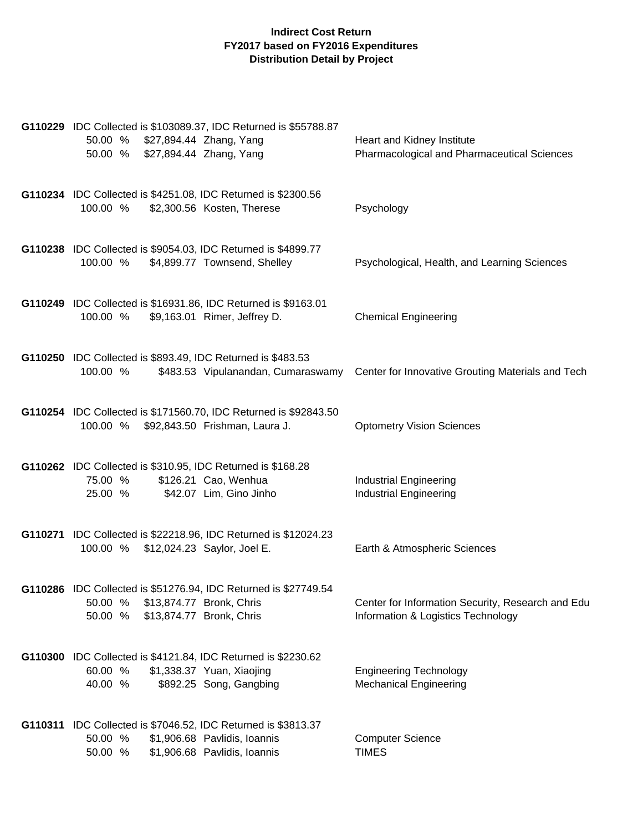| G110229 IDC Collected is \$103089.37, IDC Returned is \$55788.87<br>50.00 % \$27,894.44 Zhang, Yang<br>50.00 % \$27,894.44 Zhang, Yang              | Heart and Kidney Institute<br>Pharmacological and Pharmaceutical Sciences               |
|-----------------------------------------------------------------------------------------------------------------------------------------------------|-----------------------------------------------------------------------------------------|
| G110234 IDC Collected is \$4251.08, IDC Returned is \$2300.56<br>100.00 %<br>\$2,300.56 Kosten, Therese                                             | Psychology                                                                              |
| G110238 IDC Collected is \$9054.03, IDC Returned is \$4899.77<br>100.00 %<br>\$4,899.77 Townsend, Shelley                                           | Psychological, Health, and Learning Sciences                                            |
| G110249 IDC Collected is \$16931.86, IDC Returned is \$9163.01<br>\$9,163.01 Rimer, Jeffrey D.<br>100.00 %                                          | <b>Chemical Engineering</b>                                                             |
| G110250 IDC Collected is \$893.49, IDC Returned is \$483.53<br>100.00 %<br>\$483.53 Vipulanandan, Cumaraswamy                                       | Center for Innovative Grouting Materials and Tech                                       |
| G110254 IDC Collected is \$171560.70, IDC Returned is \$92843.50<br>100.00 % \$92,843.50 Frishman, Laura J.                                         | <b>Optometry Vision Sciences</b>                                                        |
| G110262 IDC Collected is \$310.95, IDC Returned is \$168.28<br>\$126.21 Cao, Wenhua<br>75.00 %<br>\$42.07 Lim, Gino Jinho<br>25.00 %                | <b>Industrial Engineering</b><br><b>Industrial Engineering</b>                          |
| G110271 IDC Collected is \$22218.96, IDC Returned is \$12024.23<br>100.00 % \$12,024.23 Saylor, Joel E.                                             | Earth & Atmospheric Sciences                                                            |
| G110286 IDC Collected is \$51276.94, IDC Returned is \$27749.54<br>\$13,874.77 Bronk, Chris<br>50.00 %<br>50.00 %<br>\$13,874.77 Bronk, Chris       | Center for Information Security, Research and Edu<br>Information & Logistics Technology |
| G110300 IDC Collected is \$4121.84, IDC Returned is \$2230.62<br>60.00 %<br>\$1,338.37 Yuan, Xiaojing<br>\$892.25 Song, Gangbing<br>40.00 %         | <b>Engineering Technology</b><br><b>Mechanical Engineering</b>                          |
| G110311 IDC Collected is \$7046.52, IDC Returned is \$3813.37<br>50.00 %<br>\$1,906.68 Pavlidis, Ioannis<br>\$1,906.68 Pavlidis, Ioannis<br>50.00 % | <b>Computer Science</b><br><b>TIMES</b>                                                 |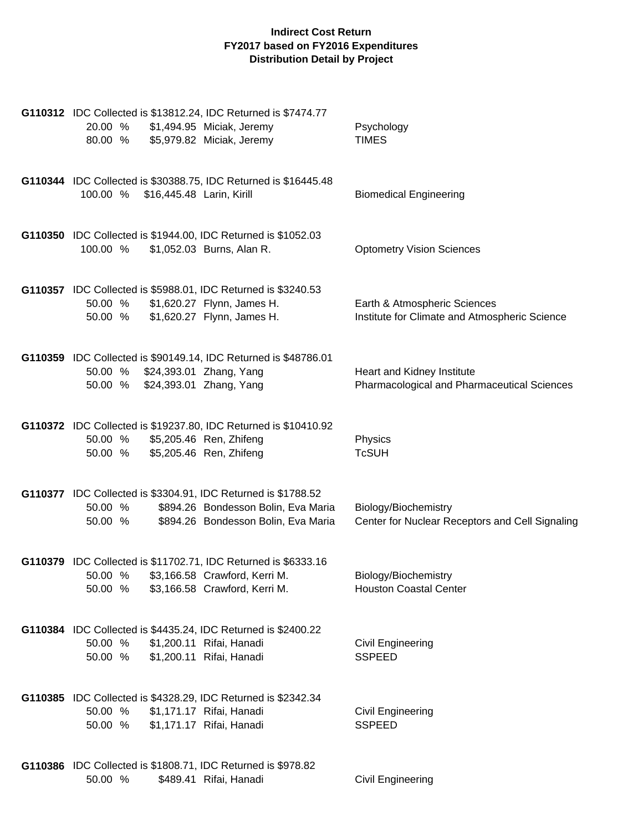| G110312 IDC Collected is \$13812.24, IDC Returned is \$7474.77<br>20.00 %<br>\$1,494.95 Miciak, Jeremy<br>80.00 %<br>\$5,979.82 Miciak, Jeremy                    | Psychology<br><b>TIMES</b>                                                    |
|-------------------------------------------------------------------------------------------------------------------------------------------------------------------|-------------------------------------------------------------------------------|
| G110344 IDC Collected is \$30388.75, IDC Returned is \$16445.48<br>\$16,445.48 Larin, Kirill<br>100.00 %                                                          | <b>Biomedical Engineering</b>                                                 |
| G110350 IDC Collected is \$1944.00, IDC Returned is \$1052.03<br>100.00 %<br>\$1,052.03 Burns, Alan R.                                                            | <b>Optometry Vision Sciences</b>                                              |
| G110357 IDC Collected is \$5988.01, IDC Returned is \$3240.53<br>\$1,620.27 Flynn, James H.<br>50.00 %<br>\$1,620.27 Flynn, James H.<br>50.00 %                   | Earth & Atmospheric Sciences<br>Institute for Climate and Atmospheric Science |
| G110359 IDC Collected is \$90149.14, IDC Returned is \$48786.01<br>50.00 % \$24,393.01 Zhang, Yang<br>\$24,393.01 Zhang, Yang<br>50.00 %                          | Heart and Kidney Institute<br>Pharmacological and Pharmaceutical Sciences     |
| G110372 IDC Collected is \$19237.80, IDC Returned is \$10410.92<br>\$5,205.46 Ren, Zhifeng<br>50.00 %<br>\$5,205.46 Ren, Zhifeng<br>50.00 %                       | Physics<br><b>TcSUH</b>                                                       |
| G110377 IDC Collected is \$3304.91, IDC Returned is \$1788.52<br>\$894.26 Bondesson Bolin, Eva Maria<br>50.00 %<br>\$894.26 Bondesson Bolin, Eva Maria<br>50.00 % | Biology/Biochemistry<br>Center for Nuclear Receptors and Cell Signaling       |
| G110379 IDC Collected is \$11702.71, IDC Returned is \$6333.16<br>50.00 %<br>\$3,166.58 Crawford, Kerri M.<br>50.00 %<br>\$3,166.58 Crawford, Kerri M.            | Biology/Biochemistry<br><b>Houston Coastal Center</b>                         |
| G110384 IDC Collected is \$4435.24, IDC Returned is \$2400.22<br>50.00 %<br>\$1,200.11 Rifai, Hanadi<br>\$1,200.11 Rifai, Hanadi<br>50.00 %                       | Civil Engineering<br><b>SSPEED</b>                                            |
| G110385 IDC Collected is \$4328.29, IDC Returned is \$2342.34<br>50.00 %<br>\$1,171.17 Rifai, Hanadi<br>\$1,171.17 Rifai, Hanadi<br>50.00 %                       | Civil Engineering<br><b>SSPEED</b>                                            |
| G110386 IDC Collected is \$1808.71, IDC Returned is \$978.82<br>50.00 %<br>\$489.41 Rifai, Hanadi                                                                 | Civil Engineering                                                             |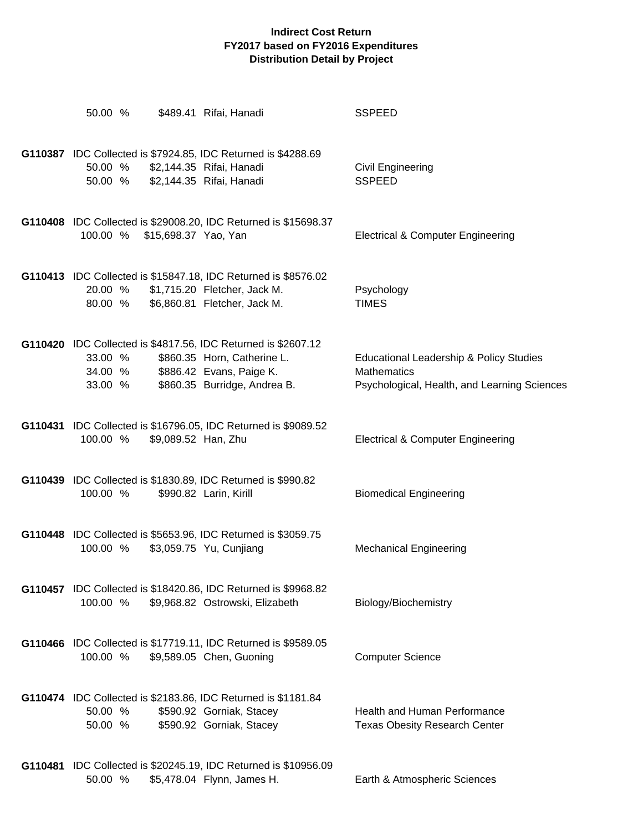| 50.00 %                                                                                        | \$489.41 Rifai, Hanadi                                                                                                         | <b>SSPEED</b>                                                                                                 |
|------------------------------------------------------------------------------------------------|--------------------------------------------------------------------------------------------------------------------------------|---------------------------------------------------------------------------------------------------------------|
| G110387 IDC Collected is \$7924.85, IDC Returned is \$4288.69<br>50.00 %<br>50.00 %            | \$2,144.35 Rifai, Hanadi<br>\$2,144.35 Rifai, Hanadi                                                                           | Civil Engineering<br><b>SSPEED</b>                                                                            |
| 100.00 %<br>\$15,698.37 Yao, Yan                                                               | G110408 IDC Collected is \$29008.20, IDC Returned is \$15698.37                                                                | <b>Electrical &amp; Computer Engineering</b>                                                                  |
| 20.00 %<br>80.00 %                                                                             | G110413 IDC Collected is \$15847.18, IDC Returned is \$8576.02<br>\$1,715.20 Fletcher, Jack M.<br>\$6,860.81 Fletcher, Jack M. | Psychology<br><b>TIMES</b>                                                                                    |
| G110420 IDC Collected is \$4817.56, IDC Returned is \$2607.12<br>33.00 %<br>34.00 %<br>33.00 % | \$860.35 Horn, Catherine L.<br>\$886.42 Evans, Paige K.<br>\$860.35 Burridge, Andrea B.                                        | Educational Leadership & Policy Studies<br><b>Mathematics</b><br>Psychological, Health, and Learning Sciences |
| 100.00 %                                                                                       | G110431 IDC Collected is \$16796.05, IDC Returned is \$9089.52<br>\$9,089.52 Han, Zhu                                          | <b>Electrical &amp; Computer Engineering</b>                                                                  |
| G110439 IDC Collected is \$1830.89, IDC Returned is \$990.82<br>100.00 %                       | \$990.82 Larin, Kirill                                                                                                         | <b>Biomedical Engineering</b>                                                                                 |
| G110448 IDC Collected is \$5653.96, IDC Returned is \$3059.75<br>100.00 %                      | \$3,059.75 Yu, Cunjiang                                                                                                        | <b>Mechanical Engineering</b>                                                                                 |
| 100.00 %                                                                                       | <b>G110457</b> IDC Collected is \$18420.86, IDC Returned is \$9968.82<br>\$9,968.82 Ostrowski, Elizabeth                       | Biology/Biochemistry                                                                                          |
| 100.00 %                                                                                       | G110466 IDC Collected is \$17719.11, IDC Returned is \$9589.05<br>\$9,589.05 Chen, Guoning                                     | <b>Computer Science</b>                                                                                       |
| G110474 IDC Collected is \$2183.86, IDC Returned is \$1181.84<br>50.00 %<br>50.00 %            | \$590.92 Gorniak, Stacey<br>\$590.92 Gorniak, Stacey                                                                           | <b>Health and Human Performance</b><br><b>Texas Obesity Research Center</b>                                   |
| 50.00 %                                                                                        | G110481 IDC Collected is \$20245.19, IDC Returned is \$10956.09<br>\$5,478.04 Flynn, James H.                                  | Earth & Atmospheric Sciences                                                                                  |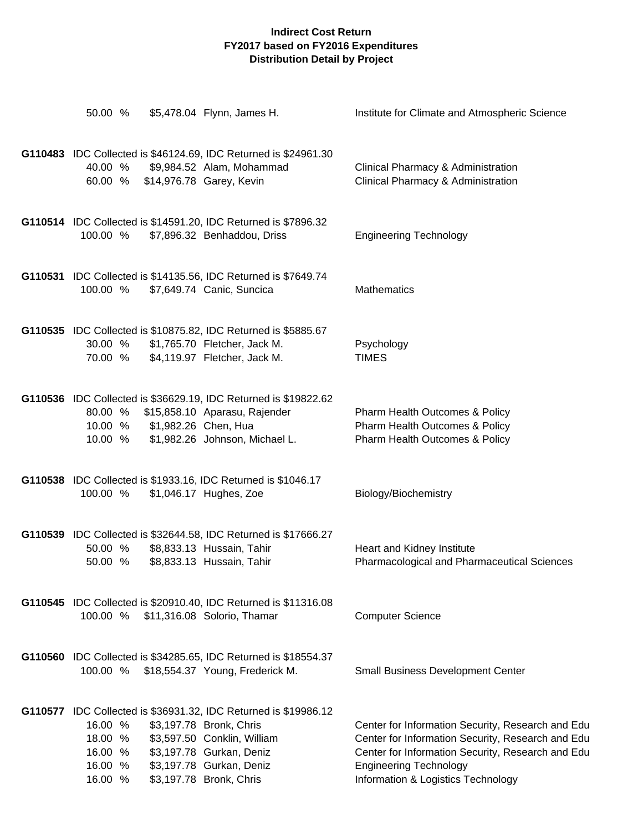| 50.00 %                                                                              | \$5,478.04 Flynn, James H.                                                                                                                                                                                   | Institute for Climate and Atmospheric Science                                                                                                                                                                                      |
|--------------------------------------------------------------------------------------|--------------------------------------------------------------------------------------------------------------------------------------------------------------------------------------------------------------|------------------------------------------------------------------------------------------------------------------------------------------------------------------------------------------------------------------------------------|
| 40.00 %<br>60.00 %                                                                   | G110483 IDC Collected is \$46124.69, IDC Returned is \$24961.30<br>\$9,984.52 Alam, Mohammad<br>\$14,976.78 Garey, Kevin                                                                                     | Clinical Pharmacy & Administration<br>Clinical Pharmacy & Administration                                                                                                                                                           |
| G110514 IDC Collected is \$14591.20, IDC Returned is \$7896.32<br>100.00 %           | \$7,896.32 Benhaddou, Driss                                                                                                                                                                                  | <b>Engineering Technology</b>                                                                                                                                                                                                      |
| G110531 IDC Collected is \$14135.56, IDC Returned is \$7649.74<br>100.00 %           | \$7,649.74 Canic, Suncica                                                                                                                                                                                    | Mathematics                                                                                                                                                                                                                        |
| G110535 IDC Collected is \$10875.82, IDC Returned is \$5885.67<br>30.00 %<br>70.00 % | \$1,765.70 Fletcher, Jack M.<br>\$4,119.97 Fletcher, Jack M.                                                                                                                                                 | Psychology<br><b>TIMES</b>                                                                                                                                                                                                         |
| 80.00 %<br>\$1,982.26 Chen, Hua<br>10.00 %<br>10.00 %                                | G110536 IDC Collected is \$36629.19, IDC Returned is \$19822.62<br>\$15,858.10 Aparasu, Rajender<br>\$1,982.26 Johnson, Michael L.                                                                           | Pharm Health Outcomes & Policy<br>Pharm Health Outcomes & Policy<br>Pharm Health Outcomes & Policy                                                                                                                                 |
| G110538 IDC Collected is \$1933.16, IDC Returned is \$1046.17<br>100.00 %            | \$1,046.17 Hughes, Zoe                                                                                                                                                                                       | Biology/Biochemistry                                                                                                                                                                                                               |
| 50.00 %<br>50.00 %                                                                   | G110539 IDC Collected is \$32644.58, IDC Returned is \$17666.27<br>\$8,833.13 Hussain, Tahir<br>\$8,833.13 Hussain, Tahir                                                                                    | Heart and Kidney Institute<br>Pharmacological and Pharmaceutical Sciences                                                                                                                                                          |
| 100.00 %                                                                             | G110545 IDC Collected is \$20910.40, IDC Returned is \$11316.08<br>\$11,316.08 Solorio, Thamar                                                                                                               | <b>Computer Science</b>                                                                                                                                                                                                            |
| 100.00 %                                                                             | G110560 IDC Collected is \$34285.65, IDC Returned is \$18554.37<br>\$18,554.37 Young, Frederick M.                                                                                                           | <b>Small Business Development Center</b>                                                                                                                                                                                           |
| 16.00 %<br>18.00 %<br>16.00 %<br>16.00 %<br>16.00 %                                  | G110577 IDC Collected is \$36931.32, IDC Returned is \$19986.12<br>\$3,197.78 Bronk, Chris<br>\$3,597.50 Conklin, William<br>\$3,197.78 Gurkan, Deniz<br>\$3,197.78 Gurkan, Deniz<br>\$3,197.78 Bronk, Chris | Center for Information Security, Research and Edu<br>Center for Information Security, Research and Edu<br>Center for Information Security, Research and Edu<br><b>Engineering Technology</b><br>Information & Logistics Technology |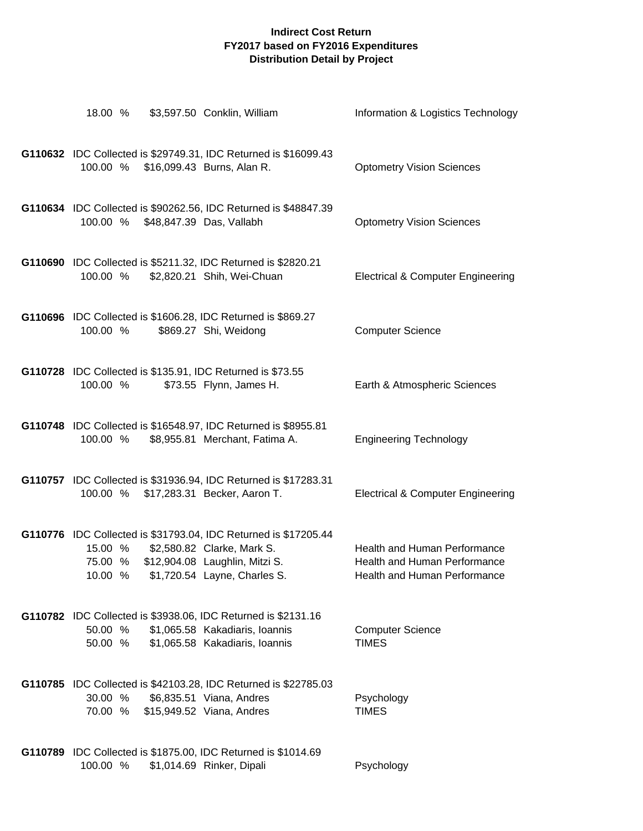| 18.00 %                                                                                          | \$3,597.50 Conklin, William                                                                  | Information & Logistics Technology                                                                  |
|--------------------------------------------------------------------------------------------------|----------------------------------------------------------------------------------------------|-----------------------------------------------------------------------------------------------------|
| G110632 IDC Collected is \$29749.31, IDC Returned is \$16099.43<br>100.00 %                      | \$16,099.43 Burns, Alan R.                                                                   | <b>Optometry Vision Sciences</b>                                                                    |
| G110634 IDC Collected is \$90262.56, IDC Returned is \$48847.39                                  | 100.00 % \$48,847.39 Das, Vallabh                                                            | <b>Optometry Vision Sciences</b>                                                                    |
| G110690 IDC Collected is \$5211.32, IDC Returned is \$2820.21<br>100.00 %                        | \$2,820.21 Shih, Wei-Chuan                                                                   | <b>Electrical &amp; Computer Engineering</b>                                                        |
| G110696 IDC Collected is \$1606.28, IDC Returned is \$869.27<br>100.00 %                         | \$869.27 Shi, Weidong                                                                        | <b>Computer Science</b>                                                                             |
| G110728 IDC Collected is \$135.91, IDC Returned is \$73.55<br>100.00 %                           | \$73.55 Flynn, James H.                                                                      | Earth & Atmospheric Sciences                                                                        |
| G110748 IDC Collected is \$16548.97, IDC Returned is \$8955.81<br>100.00 %                       | \$8,955.81 Merchant, Fatima A.                                                               | <b>Engineering Technology</b>                                                                       |
| G110757 IDC Collected is \$31936.94, IDC Returned is \$17283.31<br>100.00 %                      | \$17,283.31 Becker, Aaron T.                                                                 | <b>Electrical &amp; Computer Engineering</b>                                                        |
| G110776 IDC Collected is \$31793.04, IDC Returned is \$17205.44<br>15.00 %<br>75.00 %<br>10.00 % | \$2,580.82 Clarke, Mark S.<br>\$12,904.08 Laughlin, Mitzi S.<br>\$1,720.54 Layne, Charles S. | <b>Health and Human Performance</b><br>Health and Human Performance<br>Health and Human Performance |
| G110782 IDC Collected is \$3938.06, IDC Returned is \$2131.16<br>50.00 %<br>50.00 %              | \$1,065.58 Kakadiaris, Ioannis<br>\$1,065.58 Kakadiaris, Ioannis                             | <b>Computer Science</b><br><b>TIMES</b>                                                             |
| G110785 IDC Collected is \$42103.28, IDC Returned is \$22785.03<br>30.00 %<br>70.00 %            | \$6,835.51 Viana, Andres<br>\$15,949.52 Viana, Andres                                        | Psychology<br><b>TIMES</b>                                                                          |
| G110789 IDC Collected is \$1875.00, IDC Returned is \$1014.69<br>100.00 %                        | \$1,014.69 Rinker, Dipali                                                                    | Psychology                                                                                          |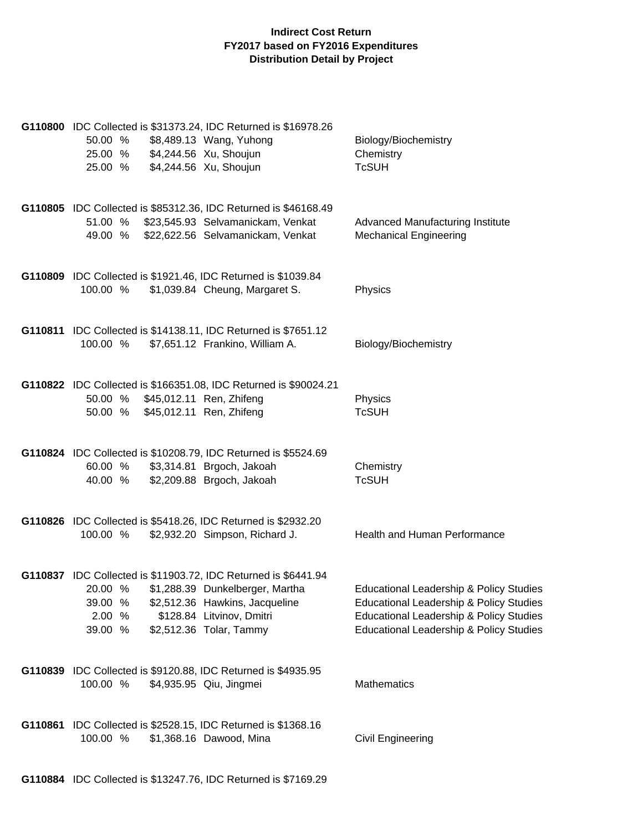|         | G110800 IDC Collected is \$31373.24, IDC Returned is \$16978.26<br>\$8,489.13 Wang, Yuhong<br>50.00 %<br>\$4,244.56 Xu, Shoujun<br>25.00 %<br>\$4,244.56 Xu, Shoujun<br>25.00 %                                                     |                                | Biology/Biochemistry<br>Chemistry<br><b>TcSUH</b>                                                                                                                                              |
|---------|-------------------------------------------------------------------------------------------------------------------------------------------------------------------------------------------------------------------------------------|--------------------------------|------------------------------------------------------------------------------------------------------------------------------------------------------------------------------------------------|
|         | G110805 IDC Collected is \$85312.36, IDC Returned is \$46168.49<br>51.00 % \$23,545.93 Selvamanickam, Venkat<br>49.00 % \$22,622.56 Selvamanickam, Venkat                                                                           |                                | Advanced Manufacturing Institute<br><b>Mechanical Engineering</b>                                                                                                                              |
|         | G110809 IDC Collected is \$1921.46, IDC Returned is \$1039.84<br>100.00 %                                                                                                                                                           | \$1,039.84 Cheung, Margaret S. | Physics                                                                                                                                                                                        |
|         | G110811 IDC Collected is \$14138.11, IDC Returned is \$7651.12<br>100.00 %<br>\$7,651.12 Frankino, William A.                                                                                                                       |                                | Biology/Biochemistry                                                                                                                                                                           |
|         | G110822 IDC Collected is \$166351.08, IDC Returned is \$90024.21<br>50.00 % \$45,012.11 Ren, Zhifeng<br>50.00 % \$45,012.11 Ren, Zhifeng                                                                                            |                                | Physics<br><b>TcSUH</b>                                                                                                                                                                        |
|         | G110824 IDC Collected is \$10208.79, IDC Returned is \$5524.69<br>\$3,314.81 Brgoch, Jakoah<br>60.00 %<br>40.00 %<br>\$2,209.88 Brgoch, Jakoah                                                                                      |                                | Chemistry<br><b>TcSUH</b>                                                                                                                                                                      |
|         | G110826 IDC Collected is \$5418.26, IDC Returned is \$2932.20<br>\$2,932.20 Simpson, Richard J.<br>100.00 %                                                                                                                         |                                | Health and Human Performance                                                                                                                                                                   |
|         | G110837 IDC Collected is \$11903.72, IDC Returned is \$6441.94<br>20.00 % \$1,288.39 Dunkelberger, Martha<br>39.00 %<br>\$2,512.36 Hawkins, Jacqueline<br>\$128.84 Litvinov, Dmitri<br>2.00 %<br>39.00 %<br>\$2,512.36 Tolar, Tammy |                                | Educational Leadership & Policy Studies<br>Educational Leadership & Policy Studies<br><b>Educational Leadership &amp; Policy Studies</b><br><b>Educational Leadership &amp; Policy Studies</b> |
|         | G110839 IDC Collected is \$9120.88, IDC Returned is \$4935.95<br>100.00 %<br>\$4,935.95 Qiu, Jingmei                                                                                                                                |                                | Mathematics                                                                                                                                                                                    |
| G110861 | IDC Collected is \$2528.15, IDC Returned is \$1368.16<br>100.00 %<br>\$1,368.16 Dawood, Mina                                                                                                                                        |                                | Civil Engineering                                                                                                                                                                              |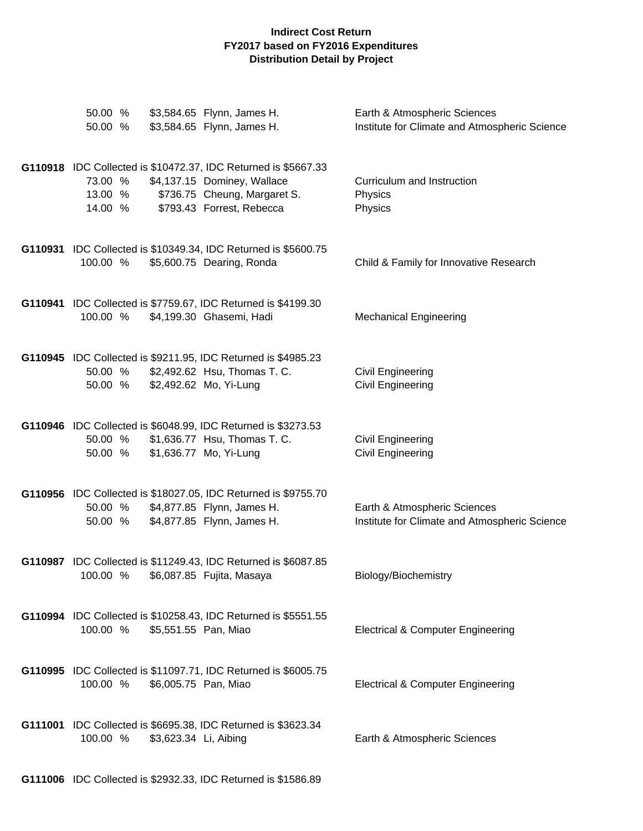| 50.00 %<br>50.00 %                                                                                 | \$3,584.65 Flynn, James H.<br>\$3,584.65 Flynn, James H.                                 | Earth & Atmospheric Sciences<br>Institute for Climate and Atmospheric Science |
|----------------------------------------------------------------------------------------------------|------------------------------------------------------------------------------------------|-------------------------------------------------------------------------------|
| G110918 IDC Collected is \$10472.37, IDC Returned is \$5667.33<br>73.00 %<br>13.00 %<br>14.00 %    | \$4,137.15 Dominey, Wallace<br>\$736.75 Cheung, Margaret S.<br>\$793.43 Forrest, Rebecca | Curriculum and Instruction<br>Physics<br>Physics                              |
| G110931 IDC Collected is \$10349.34, IDC Returned is \$5600.75<br>100.00 %                         | \$5,600.75 Dearing, Ronda                                                                | Child & Family for Innovative Research                                        |
| G110941 IDC Collected is \$7759.67, IDC Returned is \$4199.30<br>100.00 %                          | \$4,199.30 Ghasemi, Hadi                                                                 | <b>Mechanical Engineering</b>                                                 |
| G110945 IDC Collected is \$9211.95, IDC Returned is \$4985.23<br>50.00 %<br>50.00 %                | \$2,492.62 Hsu, Thomas T. C.<br>\$2,492.62 Mo, Yi-Lung                                   | Civil Engineering<br><b>Civil Engineering</b>                                 |
| G110946 IDC Collected is \$6048.99, IDC Returned is \$3273.53<br>50.00 %<br>50.00 %                | \$1,636.77 Hsu, Thomas T. C.<br>\$1,636.77 Mo, Yi-Lung                                   | Civil Engineering<br><b>Civil Engineering</b>                                 |
| G110956 IDC Collected is \$18027.05, IDC Returned is \$9755.70<br>50.00 %<br>50.00 %               | \$4,877.85 Flynn, James H.<br>\$4,877.85 Flynn, James H.                                 | Earth & Atmospheric Sciences<br>Institute for Climate and Atmospheric Science |
| G110987 IDC Collected is \$11249.43, IDC Returned is \$6087.85<br>100.00 %                         | \$6,087.85 Fujita, Masaya                                                                | Biology/Biochemistry                                                          |
| G110994 IDC Collected is \$10258.43, IDC Returned is \$5551.55<br>100.00 %<br>\$5,551.55 Pan, Miao |                                                                                          | <b>Electrical &amp; Computer Engineering</b>                                  |
| G110995 IDC Collected is \$11097.71, IDC Returned is \$6005.75<br>100.00 %<br>\$6,005.75 Pan, Miao |                                                                                          | <b>Electrical &amp; Computer Engineering</b>                                  |
| G111001 IDC Collected is \$6695.38, IDC Returned is \$3623.34<br>100.00 %<br>\$3,623.34 Li, Aibing |                                                                                          | Earth & Atmospheric Sciences                                                  |

**G111006** IDC Collected is \$2932.33, IDC Returned is \$1586.89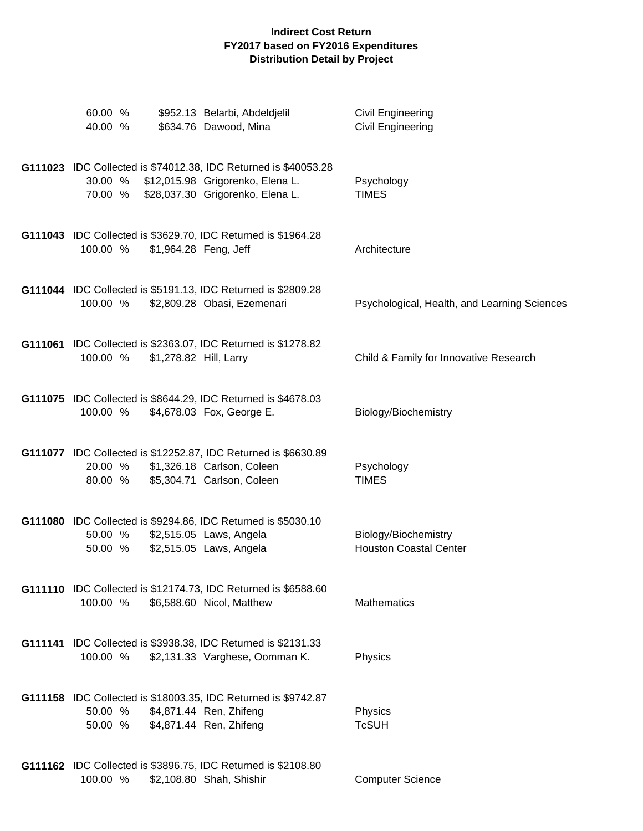| 60.00 %<br>40.00 % |                        | \$952.13 Belarbi, Abdeldjelil<br>\$634.76 Dawood, Mina                                                                                                  | Civil Engineering<br>Civil Engineering                |
|--------------------|------------------------|---------------------------------------------------------------------------------------------------------------------------------------------------------|-------------------------------------------------------|
|                    |                        | G111023 IDC Collected is \$74012.38, IDC Returned is \$40053.28<br>30.00 % \$12,015.98 Grigorenko, Elena L.<br>70.00 % \$28,037.30 Grigorenko, Elena L. | Psychology<br><b>TIMES</b>                            |
| 100.00 %           | \$1,964.28 Feng, Jeff  | G111043 IDC Collected is \$3629.70, IDC Returned is \$1964.28                                                                                           | Architecture                                          |
| 100.00 %           |                        | G111044 IDC Collected is \$5191.13, IDC Returned is \$2809.28<br>\$2,809.28 Obasi, Ezemenari                                                            | Psychological, Health, and Learning Sciences          |
| 100.00 %           | \$1,278.82 Hill, Larry | G111061 IDC Collected is \$2363.07, IDC Returned is \$1278.82                                                                                           | Child & Family for Innovative Research                |
| 100.00 %           |                        | G111075 IDC Collected is \$8644.29, IDC Returned is \$4678.03<br>\$4,678.03 Fox, George E.                                                              | Biology/Biochemistry                                  |
| 20.00 %<br>80.00 % |                        | G111077 IDC Collected is \$12252.87, IDC Returned is \$6630.89<br>\$1,326.18 Carlson, Coleen<br>\$5,304.71 Carlson, Coleen                              | Psychology<br><b>TIMES</b>                            |
| 50.00 %            |                        | G111080 IDC Collected is \$9294.86, IDC Returned is \$5030.10<br>50.00 % \$2,515.05 Laws, Angela<br>\$2,515.05 Laws, Angela                             | Biology/Biochemistry<br><b>Houston Coastal Center</b> |
| 100.00 %           |                        | G111110 IDC Collected is \$12174.73, IDC Returned is \$6588.60<br>\$6,588.60 Nicol, Matthew                                                             | <b>Mathematics</b>                                    |
| 100.00 %           |                        | G111141 IDC Collected is \$3938.38, IDC Returned is \$2131.33<br>\$2,131.33 Varghese, Oomman K.                                                         | Physics                                               |
| 50.00 %<br>50.00 % |                        | G111158 IDC Collected is \$18003.35, IDC Returned is \$9742.87<br>\$4,871.44 Ren, Zhifeng<br>\$4,871.44 Ren, Zhifeng                                    | Physics<br><b>TcSUH</b>                               |
| 100.00 %           |                        | G111162 IDC Collected is \$3896.75, IDC Returned is \$2108.80<br>\$2,108.80 Shah, Shishir                                                               | <b>Computer Science</b>                               |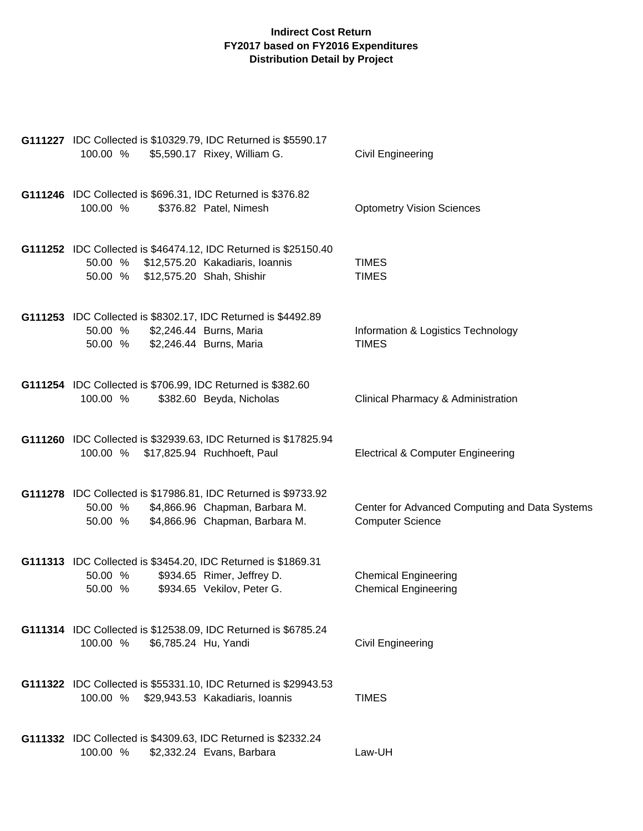| G111227 IDC Collected is \$10329.79, IDC Returned is \$5590.17<br>100.00 %<br>\$5,590.17 Rixey, William G.                                               | Civil Engineering                                                         |
|----------------------------------------------------------------------------------------------------------------------------------------------------------|---------------------------------------------------------------------------|
| G111246 IDC Collected is \$696.31, IDC Returned is \$376.82<br>100.00 %<br>\$376.82 Patel, Nimesh                                                        | <b>Optometry Vision Sciences</b>                                          |
| G111252 IDC Collected is \$46474.12, IDC Returned is \$25150.40<br>50.00 % \$12,575.20 Kakadiaris, Ioannis<br>50.00 %<br>\$12,575.20 Shah, Shishir       | <b>TIMES</b><br><b>TIMES</b>                                              |
| G111253 IDC Collected is \$8302.17, IDC Returned is \$4492.89<br>\$2,246.44 Burns, Maria<br>50.00 %<br>50.00 %<br>\$2,246.44 Burns, Maria                | Information & Logistics Technology<br><b>TIMES</b>                        |
| G111254 IDC Collected is \$706.99, IDC Returned is \$382.60<br>100.00 %<br>\$382.60 Beyda, Nicholas                                                      | Clinical Pharmacy & Administration                                        |
| G111260 IDC Collected is \$32939.63, IDC Returned is \$17825.94<br>100.00 %<br>\$17,825.94 Ruchhoeft, Paul                                               | <b>Electrical &amp; Computer Engineering</b>                              |
| G111278 IDC Collected is \$17986.81, IDC Returned is \$9733.92<br>\$4,866.96 Chapman, Barbara M.<br>50.00 %<br>\$4,866.96 Chapman, Barbara M.<br>50.00 % | Center for Advanced Computing and Data Systems<br><b>Computer Science</b> |
| G111313 IDC Collected is \$3454.20, IDC Returned is \$1869.31<br>\$934.65 Rimer, Jeffrey D.<br>50.00 %<br>\$934.65 Vekilov, Peter G.<br>50.00 %          | <b>Chemical Engineering</b><br><b>Chemical Engineering</b>                |
| G111314 IDC Collected is \$12538.09, IDC Returned is \$6785.24<br>100.00 %<br>\$6,785.24 Hu, Yandi                                                       | Civil Engineering                                                         |
| G111322 IDC Collected is \$55331.10, IDC Returned is \$29943.53<br>100.00 %<br>\$29,943.53 Kakadiaris, Ioannis                                           | <b>TIMES</b>                                                              |
| G111332 IDC Collected is \$4309.63, IDC Returned is \$2332.24<br>100.00 %<br>\$2,332.24 Evans, Barbara                                                   | Law-UH                                                                    |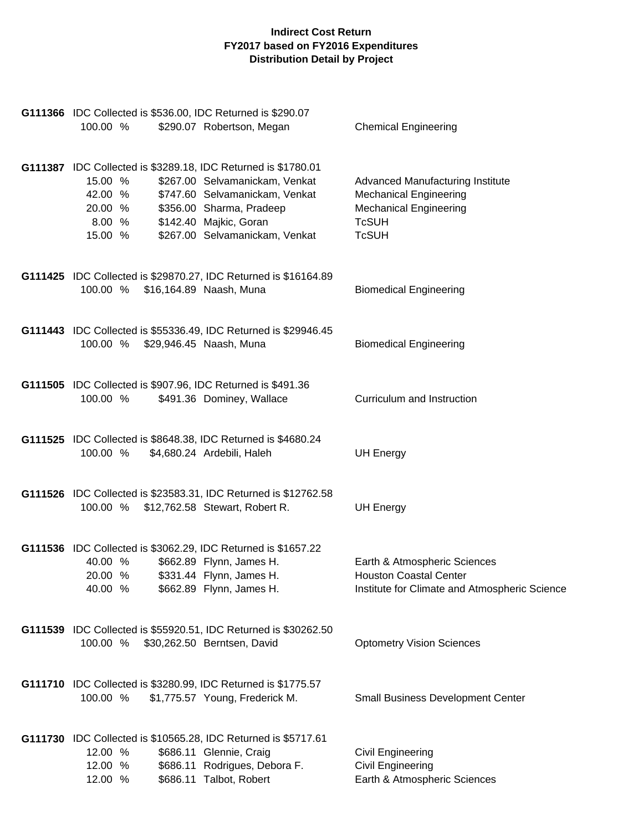| 100.00 %                                           | G111366 IDC Collected is \$536.00, IDC Returned is \$290.07<br>\$290.07 Robertson, Megan                                                                                                                                  | <b>Chemical Engineering</b>                                                                                                        |
|----------------------------------------------------|---------------------------------------------------------------------------------------------------------------------------------------------------------------------------------------------------------------------------|------------------------------------------------------------------------------------------------------------------------------------|
| 15.00 %<br>42.00 %<br>20.00 %<br>8.00 %<br>15.00 % | G111387 IDC Collected is \$3289.18, IDC Returned is \$1780.01<br>\$267.00 Selvamanickam, Venkat<br>\$747.60 Selvamanickam, Venkat<br>\$356.00 Sharma, Pradeep<br>\$142.40 Majkic, Goran<br>\$267.00 Selvamanickam, Venkat | Advanced Manufacturing Institute<br><b>Mechanical Engineering</b><br><b>Mechanical Engineering</b><br><b>TcSUH</b><br><b>TcSUH</b> |
| 100.00 %                                           | G111425 IDC Collected is \$29870.27, IDC Returned is \$16164.89<br>\$16,164.89 Naash, Muna                                                                                                                                | <b>Biomedical Engineering</b>                                                                                                      |
|                                                    | G111443 IDC Collected is \$55336.49, IDC Returned is \$29946.45<br>100.00 % \$29,946.45 Naash, Muna                                                                                                                       | <b>Biomedical Engineering</b>                                                                                                      |
| 100.00 %                                           | G111505 IDC Collected is \$907.96, IDC Returned is \$491.36<br>\$491.36 Dominey, Wallace                                                                                                                                  | Curriculum and Instruction                                                                                                         |
| 100.00 %                                           | G111525 IDC Collected is \$8648.38, IDC Returned is \$4680.24<br>\$4,680.24 Ardebili, Haleh                                                                                                                               | <b>UH Energy</b>                                                                                                                   |
|                                                    | G111526 IDC Collected is \$23583.31, IDC Returned is \$12762.58<br>100.00 % \$12,762.58 Stewart, Robert R.                                                                                                                | <b>UH Energy</b>                                                                                                                   |
| 40.00 %<br>20.00 %<br>40.00 %                      | G111536 IDC Collected is \$3062.29, IDC Returned is \$1657.22<br>\$662.89 Flynn, James H.<br>\$331.44 Flynn, James H.<br>\$662.89 Flynn, James H.                                                                         | Earth & Atmospheric Sciences<br><b>Houston Coastal Center</b><br>Institute for Climate and Atmospheric Science                     |
| 100.00 %                                           | G111539 IDC Collected is \$55920.51, IDC Returned is \$30262.50<br>\$30,262.50 Berntsen, David                                                                                                                            | <b>Optometry Vision Sciences</b>                                                                                                   |
| 100.00 %                                           | G111710 IDC Collected is \$3280.99, IDC Returned is \$1775.57<br>\$1,775.57 Young, Frederick M.                                                                                                                           | <b>Small Business Development Center</b>                                                                                           |
| 12.00 %<br>12.00 %<br>12.00 %                      | G111730 IDC Collected is \$10565.28, IDC Returned is \$5717.61<br>\$686.11 Glennie, Craig<br>\$686.11 Rodrigues, Debora F.<br>\$686.11 Talbot, Robert                                                                     | <b>Civil Engineering</b><br>Civil Engineering<br>Earth & Atmospheric Sciences                                                      |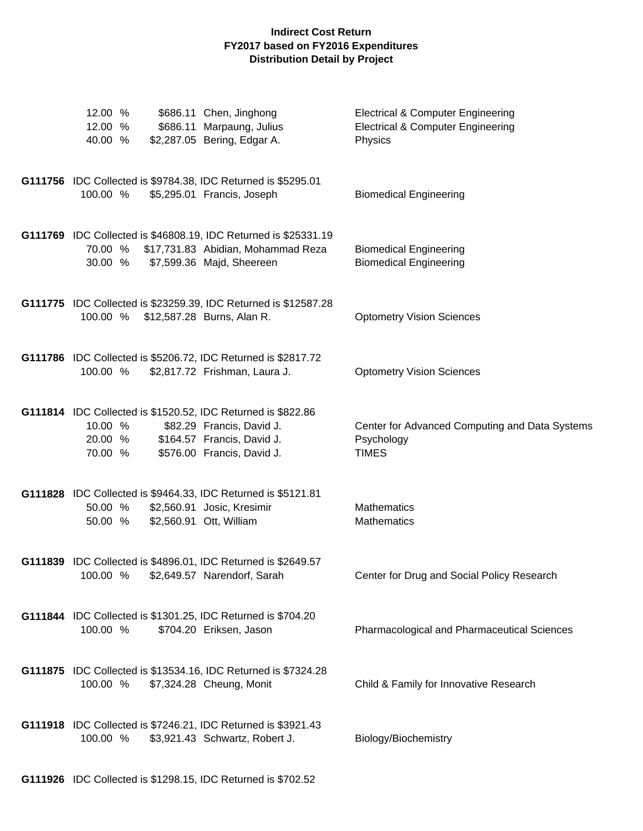| 12.00 %<br>12.00 %<br>40.00 %                                                                 | \$686.11 Chen, Jinghong<br>\$686.11 Marpaung, Julius<br>\$2,287.05 Bering, Edgar A.                                                | <b>Electrical &amp; Computer Engineering</b><br><b>Electrical &amp; Computer Engineering</b><br>Physics |
|-----------------------------------------------------------------------------------------------|------------------------------------------------------------------------------------------------------------------------------------|---------------------------------------------------------------------------------------------------------|
| G111756 IDC Collected is \$9784.38, IDC Returned is \$5295.01<br>100.00 %                     | \$5,295.01 Francis, Joseph                                                                                                         | <b>Biomedical Engineering</b>                                                                           |
| 70.00 %<br>30.00 %                                                                            | G111769 IDC Collected is \$46808.19, IDC Returned is \$25331.19<br>\$17,731.83 Abidian, Mohammad Reza<br>\$7,599.36 Majd, Sheereen | <b>Biomedical Engineering</b><br><b>Biomedical Engineering</b>                                          |
| 100.00 %                                                                                      | G111775 IDC Collected is \$23259.39, IDC Returned is \$12587.28<br>\$12,587.28 Burns, Alan R.                                      | <b>Optometry Vision Sciences</b>                                                                        |
| G111786 IDC Collected is \$5206.72, IDC Returned is \$2817.72<br>100.00 %                     | \$2,817.72 Frishman, Laura J.                                                                                                      | <b>Optometry Vision Sciences</b>                                                                        |
| G111814 IDC Collected is \$1520.52, IDC Returned is \$822.86<br>10.00 %<br>20.00 %<br>70.00 % | \$82.29 Francis, David J.<br>\$164.57 Francis, David J.<br>\$576.00 Francis, David J.                                              | Center for Advanced Computing and Data Systems<br>Psychology<br><b>TIMES</b>                            |
| G111828 IDC Collected is \$9464.33, IDC Returned is \$5121.81<br>50.00 %<br>50.00 %           | \$2,560.91 Josic, Kresimir<br>\$2,560.91 Ott, William                                                                              | <b>Mathematics</b><br><b>Mathematics</b>                                                                |
| G111839 IDC Collected is \$4896.01, IDC Returned is \$2649.57<br>100.00 %                     | \$2,649.57 Narendorf, Sarah                                                                                                        | Center for Drug and Social Policy Research                                                              |
| G111844 IDC Collected is \$1301.25, IDC Returned is \$704.20<br>100.00 %                      | \$704.20 Eriksen, Jason                                                                                                            | Pharmacological and Pharmaceutical Sciences                                                             |
| G111875 IDC Collected is \$13534.16, IDC Returned is \$7324.28<br>100.00 %                    | \$7,324.28 Cheung, Monit                                                                                                           | Child & Family for Innovative Research                                                                  |
| G111918 IDC Collected is \$7246.21, IDC Returned is \$3921.43<br>100.00 %                     | \$3,921.43 Schwartz, Robert J.                                                                                                     | Biology/Biochemistry                                                                                    |

**G111926** IDC Collected is \$1298.15, IDC Returned is \$702.52